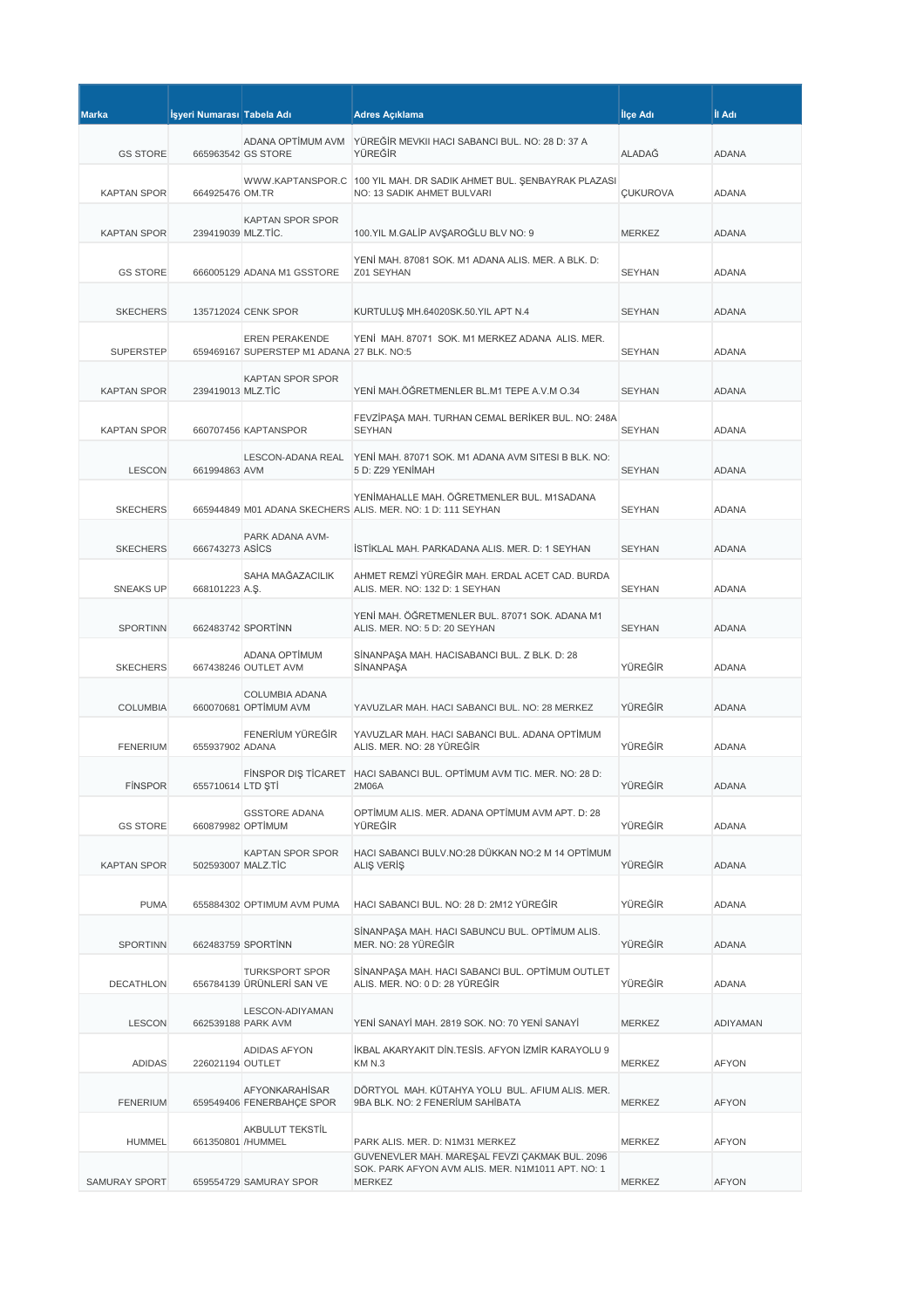| <b>Marka</b>       | İşyeri Numarası Tabela Adı |                                                             | <b>Adres Açıklama</b>                                                                                     | İlçe Adı        | İl Adı       |
|--------------------|----------------------------|-------------------------------------------------------------|-----------------------------------------------------------------------------------------------------------|-----------------|--------------|
|                    |                            | ADANA OPTİMUM AVM                                           | YÜREĞİR MEVKII HACI SABANCI BUL. NO: 28 D: 37 A                                                           |                 |              |
| <b>GS STORE</b>    |                            | 665963542 GS STORE                                          | YÜREĞİR                                                                                                   | <b>ALADAĞ</b>   | <b>ADANA</b> |
| <b>KAPTAN SPOR</b> | 664925476 OM.TR            |                                                             | WWW.KAPTANSPOR.C   100 YIL MAH. DR SADIK AHMET BUL. ŞENBAYRAK PLAZASI<br>NO: 13 SADIK AHMET BULVARI       | <b>ÇUKUROVA</b> | <b>ADANA</b> |
|                    |                            | <b>KAPTAN SPOR SPOR</b>                                     |                                                                                                           |                 |              |
| <b>KAPTAN SPOR</b> | 239419039 MLZ.TIC.         |                                                             | 100.YIL M.GALİP AVŞAROĞLU BLV NO: 9                                                                       | <b>MERKEZ</b>   | <b>ADANA</b> |
| <b>GS STORE</b>    |                            | 666005129 ADANA M1 GSSTORE                                  | YENİ MAH. 87081 SOK. M1 ADANA ALIS. MER. A BLK. D:<br>Z01 SEYHAN                                          | <b>SEYHAN</b>   | <b>ADANA</b> |
| <b>SKECHERS</b>    |                            | 135712024 CENK SPOR                                         | KURTULUŞ MH.64020SK.50.YIL APT N.4                                                                        | <b>SEYHAN</b>   | <b>ADANA</b> |
| <b>SUPERSTEP</b>   |                            | EREN PERAKENDE<br>659469167 SUPERSTEP M1 ADANA 27 BLK. NO:5 | YENİ MAH. 87071 SOK. M1 MERKEZ ADANA ALIS. MER.                                                           | <b>SEYHAN</b>   | <b>ADANA</b> |
| <b>KAPTAN SPOR</b> | 239419013 MLZ.TİC          | KAPTAN SPOR SPOR                                            | YENİ MAH.ÖĞRETMENLER BL.M1 TEPE A.V.M O.34                                                                | <b>SEYHAN</b>   | <b>ADANA</b> |
| <b>KAPTAN SPOR</b> |                            | 660707456 KAPTANSPOR                                        | FEVZİPAŞA MAH. TURHAN CEMAL BERİKER BUL. NO: 248A<br><b>SEYHAN</b>                                        | <b>SEYHAN</b>   | <b>ADANA</b> |
| <b>LESCON</b>      | 661994863 AVM              |                                                             | LESCON-ADANA REAL YENİ MAH. 87071 SOK. M1 ADANA AVM SITESI B BLK. NO:<br>5 D: Z29 YENİMAH                 | <b>SEYHAN</b>   | <b>ADANA</b> |
| <b>SKECHERS</b>    |                            |                                                             | YENİMAHALLE MAH. ÖĞRETMENLER BUL. M1SADANA<br>665944849 M01 ADANA SKECHERS ALIS. MER. NO: 1 D: 111 SEYHAN | <b>SEYHAN</b>   | <b>ADANA</b> |
|                    |                            | PARK ADANA AVM-                                             |                                                                                                           |                 |              |
| <b>SKECHERS</b>    | 666743273 ASICS            |                                                             | İSTİKLAL MAH. PARKADANA ALIS. MER. D: 1 SEYHAN                                                            | <b>SEYHAN</b>   | <b>ADANA</b> |
| <b>SNEAKS UP</b>   | 668101223 A.S.             | SAHA MAĞAZACILIK                                            | AHMET REMZİ YÜREĞİR MAH. ERDAL ACET CAD. BURDA<br>ALIS. MER. NO: 132 D: 1 SEYHAN                          | <b>SEYHAN</b>   | ADANA        |
| <b>SPORTINN</b>    |                            | 662483742 SPORTINN                                          | YENİ MAH. ÖĞRETMENLER BUL. 87071 SOK. ADANA M1<br>ALIS. MER. NO: 5 D: 20 SEYHAN                           | <b>SEYHAN</b>   | <b>ADANA</b> |
| <b>SKECHERS</b>    |                            | ADANA OPTIMUM<br>667438246 OUTLET AVM                       | SİNANPAŞA MAH. HACISABANCI BUL. Z BLK. D: 28<br>SİNANPAŞA                                                 | YÜREĞİR         | <b>ADANA</b> |
| <b>COLUMBIA</b>    |                            | <b>COLUMBIA ADANA</b><br>660070681 OPTİMUM AVM              | YAVUZLAR MAH. HACI SABANCI BUL. NO: 28 MERKEZ                                                             | YÜREĞİR         | ADANA        |
| <b>FENERIUM</b>    | 655937902 ADANA            | FENERİUM YÜREĞİR                                            | YAVUZLAR MAH. HACI SABANCI BUL. ADANA OPTİMUM<br>ALIS, MER. NO: 28 YÜREĞİR                                | YÜREĞİR         | <b>ADANA</b> |
| <b>FINSPOR</b>     | 655710614 LTD ŞTİ          |                                                             | FINSPOR DIS TICARET HACI SABANCI BUL. OPTIMUM AVM TIC. MER. NO: 28 D:<br>2M06A                            | YÜREĞİR         | <b>ADANA</b> |
| <b>GS STORE</b>    | 660879982 OPTİMUM          | <b>GSSTORE ADANA</b>                                        | OPTIMUM ALIS, MER, ADANA OPTIMUM AVM APT, D: 28<br>YÜREĞİR                                                | YÜREĞİR         | <b>ADANA</b> |
| <b>KAPTAN SPOR</b> | 502593007 MALZ.TİC         | KAPTAN SPOR SPOR                                            | HACI SABANCI BULV.NO:28 DÜKKAN NO:2 M 14 OPTİMUM<br>ALIŞ VERİŞ                                            | YÜREĞİR         | ADANA        |
| <b>PUMA</b>        |                            | 655884302 OPTIMUM AVM PUMA                                  | HACI SABANCI BUL, NO: 28 D: 2M12 YÜREĞİR                                                                  | YÜREĞİR         | <b>ADANA</b> |
| <b>SPORTINN</b>    |                            | 662483759 SPORTINN                                          | SİNANPAŞA MAH. HACI SABUNCU BUL. OPTİMUM ALIS.<br>MER. NO: 28 YÜREĞİR                                     | YÜREĞİR         | ADANA        |
| <b>DECATHLON</b>   |                            | <b>TURKSPORT SPOR</b><br>656784139 ÜRÜNLERİ SAN VE          | SİNANPAŞA MAH. HACI SABANCI BUL. OPTİMUM OUTLET<br>ALIS. MER. NO: 0 D: 28 YÜREĞİR                         | YÜREĞİR         | ADANA        |
| <b>LESCON</b>      |                            | LESCON-ADIYAMAN<br>662539188 PARK AVM                       | YENİ SANAYİ MAH. 2819 SOK. NO: 70 YENİ SANAYİ                                                             | MERKEZ          | ADIYAMAN     |
| <b>ADIDAS</b>      | 226021194 OUTLET           | ADIDAS AFYON                                                | İKBAL AKARYAKIT DİN.TESİS. AFYON İZMİR KARAYOLU 9<br>KM N.3                                               | MERKEZ          | <b>AFYON</b> |
| <b>FENERIUM</b>    |                            | AFYONKARAHİSAR<br>659549406 FENERBAHÇE SPOR                 | DÖRTYOL MAH. KÜTAHYA YOLU BUL. AFIUM ALIS. MER.<br>9BA BLK. NO: 2 FENERİUM SAHİBATA                       | MERKEZ          | <b>AFYON</b> |
| <b>HUMMEL</b>      | 661350801 /HUMMEL          | AKBULUT TEKSTİL                                             | PARK ALIS. MER. D: N1M31 MERKEZ<br>GÜVENEVLER MAH. MAREŞAL FEVZİ ÇAKMAK BUL. 2096                         | MERKEZ          | <b>AFYON</b> |
| SAMURAY SPORT      |                            | 659554729 SAMURAY SPOR                                      | SOK. PARK AFYON AVM ALIS. MER. N1M1011 APT. NO: 1<br>MERKEZ                                               | MERKEZ          | <b>AFYON</b> |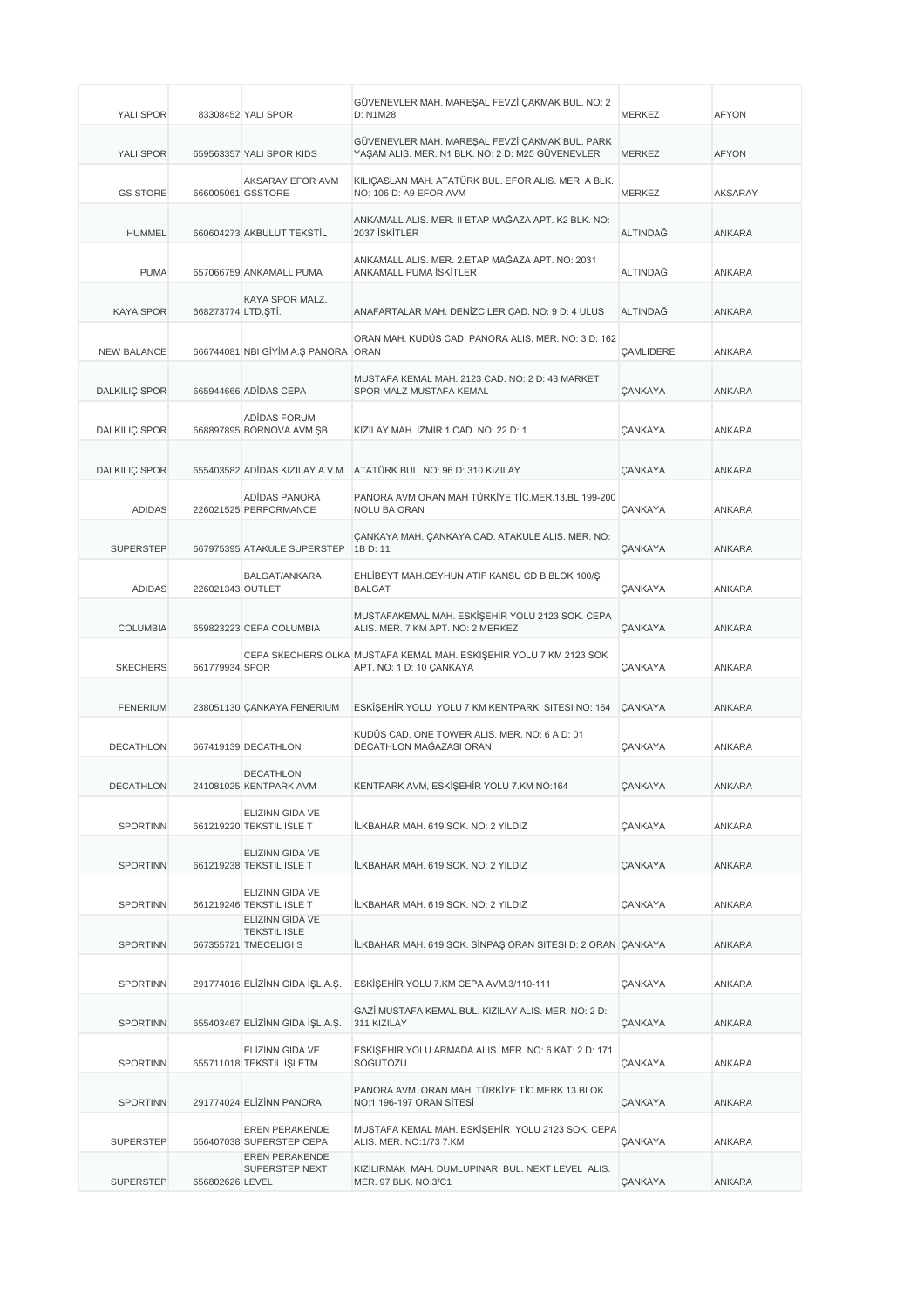| YALI SPOR            |                    | 83308452 YALI SPOR                                                     | GÜVENEVLER MAH. MAREŞAL FEVZİ ÇAKMAK BUL. NO: 2<br>D: N1M28                                        | <b>MERKEZ</b>           | <b>AFYON</b>  |
|----------------------|--------------------|------------------------------------------------------------------------|----------------------------------------------------------------------------------------------------|-------------------------|---------------|
| YALI SPOR            |                    | 659563357 YALI SPOR KIDS                                               | GÜVENEVLER MAH. MAREŞAL FEVZİ ÇAKMAK BUL. PARK<br>YAŞAM ALIS. MER. N1 BLK. NO: 2 D: M25 GÜVENEVLER | <b>MERKEZ</b>           | <b>AFYON</b>  |
| <b>GS STORE</b>      |                    | AKSARAY EFOR AVM<br>666005061 GSSTORE                                  | KILIÇASLAN MAH. ATATÜRK BUL. EFOR ALIS. MER. A BLK.<br>NO: 106 D: A9 EFOR AVM                      | <b>MERKEZ</b>           | AKSARAY       |
| <b>HUMMEL</b>        |                    | 660604273 AKBULUT TEKSTİL                                              | ANKAMALL ALIS, MER. II ETAP MAĞAZA APT. K2 BLK. NO:<br>2037 İSKİTLER                               | <b>ALTINDAĞ</b>         | ANKARA        |
| <b>PUMA</b>          |                    | 657066759 ANKAMALL PUMA                                                | ANKAMALL ALIS, MER. 2.ETAP MAĞAZA APT. NO: 2031<br>ANKAMALL PUMA İSKİTLER                          | ALTINDAĞ                | ANKARA        |
| <b>KAYA SPOR</b>     | 668273774 LTD.ŞTİ. | KAYA SPOR MALZ.                                                        | ANAFARTALAR MAH, DENIZCILER CAD, NO: 9 D: 4 ULUS                                                   | <b>ALTINDAĞ</b>         | <b>ANKARA</b> |
| <b>NEW BALANCE</b>   |                    | 666744081 NBI GİYİM A.Ş PANORA ORAN                                    | ORAN MAH. KUDÜS CAD. PANORA ALIS. MER. NO: 3 D: 162                                                | <b><i>CAMLIDERE</i></b> | ANKARA        |
| <b>DALKILIÇ SPOR</b> |                    | 665944666 ADIDAS CEPA                                                  | MUSTAFA KEMAL MAH. 2123 CAD. NO: 2 D: 43 MARKET<br>SPOR MALZ MUSTAFA KEMAL                         | <b>ÇANKAYA</b>          | <b>ANKARA</b> |
| <b>DALKILIÇ SPOR</b> |                    | ADIDAS FORUM<br>668897895 BORNOVA AVM SB.                              | KIZILAY MAH. İZMİR 1 CAD. NO: 22 D: 1                                                              | <b>ÇANKAYA</b>          | ANKARA        |
| <b>DALKILIÇ SPOR</b> |                    |                                                                        | 655403582 ADIDAS KIZILAY A.V.M. ATATÜRK BUL. NO: 96 D: 310 KIZILAY                                 | <b>CANKAYA</b>          | <b>ANKARA</b> |
| <b>ADIDAS</b>        |                    | ADIDAS PANORA<br>226021525 PERFORMANCE                                 | PANORA AVM ORAN MAH TÜRKİYE TİC.MER.13.BL 199-200<br><b>NOLU BA ORAN</b>                           | <b>CANKAYA</b>          | <b>ANKARA</b> |
| <b>SUPERSTEP</b>     |                    | 667975395 ATAKULE SUPERSTEP                                            | ÇANKAYA MAH. ÇANKAYA CAD. ATAKULE ALIS. MER. NO:<br>1B D: 11                                       | <b>ÇANKAYA</b>          | <b>ANKARA</b> |
| <b>ADIDAS</b>        | 226021343 OUTLET   | BALGAT/ANKARA                                                          | EHLİBEYT MAH.CEYHUN ATIF KANSU CD B BLOK 100/Ş<br><b>BALGAT</b>                                    | <b>ÇANKAYA</b>          | ANKARA        |
| <b>COLUMBIA</b>      |                    | 659823223 CEPA COLUMBIA                                                | MUSTAFAKEMAL MAH. ESKİŞEHİR YOLU 2123 SOK. CEPA<br>ALIS. MER. 7 KM APT. NO: 2 MERKEZ               | <b>ÇANKAYA</b>          | <b>ANKARA</b> |
| <b>SKECHERS</b>      | 661779934 SPOR     |                                                                        | CEPA SKECHERS OLKA MUSTAFA KEMAL MAH. ESKİŞEHİR YOLU 7 KM 2123 SOK<br>APT. NO: 1 D: 10 ÇANKAYA     | <b>CANKAYA</b>          | <b>ANKARA</b> |
| <b>FENERIUM</b>      |                    | 238051130 ÇANKAYA FENERIUM                                             | ESKİŞEHİR YOLU YOLU 7 KM KENTPARK SITESI NO: 164                                                   | <b>CANKAYA</b>          | <b>ANKARA</b> |
| <b>DECATHLON</b>     |                    | 667419139 DECATHLON                                                    | KUDÜS CAD. ONE TOWER ALIS. MER. NO: 6 A D: 01<br>DECATHLON MAĞAZASI ORAN                           | <b>CANKAYA</b>          | <b>ANKARA</b> |
| DECATHLON            |                    | <b>DECATHLON</b><br>241081025 KENTPARK AVM                             | KENTPARK AVM, ESKİŞEHİR YOLU 7.KM NO:164                                                           | ÇANKAYA                 | ANKARA        |
| <b>SPORTINN</b>      |                    | ELIZINN GIDA VE<br>661219220 TEKSTIL ISLE T                            | İLKBAHAR MAH, 619 SOK, NO: 2 YILDIZ                                                                | <b>ÇANKAYA</b>          | <b>ANKARA</b> |
| <b>SPORTINN</b>      |                    | <b>ELIZINN GIDA VE</b><br>661219238 TEKSTIL ISLE T                     | İLKBAHAR MAH. 619 SOK. NO: 2 YILDIZ                                                                | <b>ÇANKAYA</b>          | ANKARA        |
| <b>SPORTINN</b>      |                    | ELIZINN GIDA VE<br>661219246 TEKSTIL ISLE T                            | İLKBAHAR MAH. 619 SOK. NO: 2 YILDIZ                                                                | <b>ÇANKAYA</b>          | ANKARA        |
| <b>SPORTINN</b>      |                    | <b>ELIZINN GIDA VE</b><br><b>TEKSTIL ISLE</b><br>667355721 TMECELIGI S | İLKBAHAR MAH. 619 SOK. SİNPAŞ ORAN SITESI D: 2 ORAN ÇANKAYA                                        |                         | ANKARA        |
| <b>SPORTINN</b>      |                    | 291774016 ELİZİNN GIDA İŞL.A.Ş.                                        | ESKİSEHİR YOLU 7.KM CEPA AVM.3/110-111                                                             | <b>ÇANKAYA</b>          | ANKARA        |
| <b>SPORTINN</b>      |                    | 655403467 ELİZİNN GIDA İŞL.A.Ş.                                        | GAZİ MUSTAFA KEMAL BUL. KIZILAY ALIS. MER. NO: 2 D:<br>311 KIZILAY                                 | <b>ÇANKAYA</b>          | ANKARA        |
| <b>SPORTINN</b>      |                    | ELİZİNN GIDA VE<br>655711018 TEKSTİL İŞLETM                            | ESKİŞEHİR YOLU ARMADA ALIS. MER. NO: 6 KAT: 2 D: 171<br>SÖĞÜTÖZÜ                                   | ÇANKAYA                 | ANKARA        |
| <b>SPORTINN</b>      |                    | 291774024 ELİZİNN PANORA                                               | PANORA AVM. ORAN MAH. TÜRKİYE TİC.MERK.13.BLOK<br>NO:1 196-197 ORAN SİTESİ                         | <b>ÇANKAYA</b>          | ANKARA        |
| <b>SUPERSTEP</b>     |                    | EREN PERAKENDE<br>656407038 SUPERSTEP CEPA                             | MUSTAFA KEMAL MAH. ESKİŞEHİR YOLU 2123 SOK. CEPA<br>ALIS. MER. NO:1/73 7.KM                        | <b>ÇANKAYA</b>          | ANKARA        |
| <b>SUPERSTEP</b>     | 656802626 LEVEL    | EREN PERAKENDE<br>SUPERSTEP NEXT                                       | KIZILIRMAK MAH. DUMLUPINAR BUL. NEXT LEVEL ALIS.<br>MER. 97 BLK. NO:3/C1                           | <b>ÇANKAYA</b>          | ANKARA        |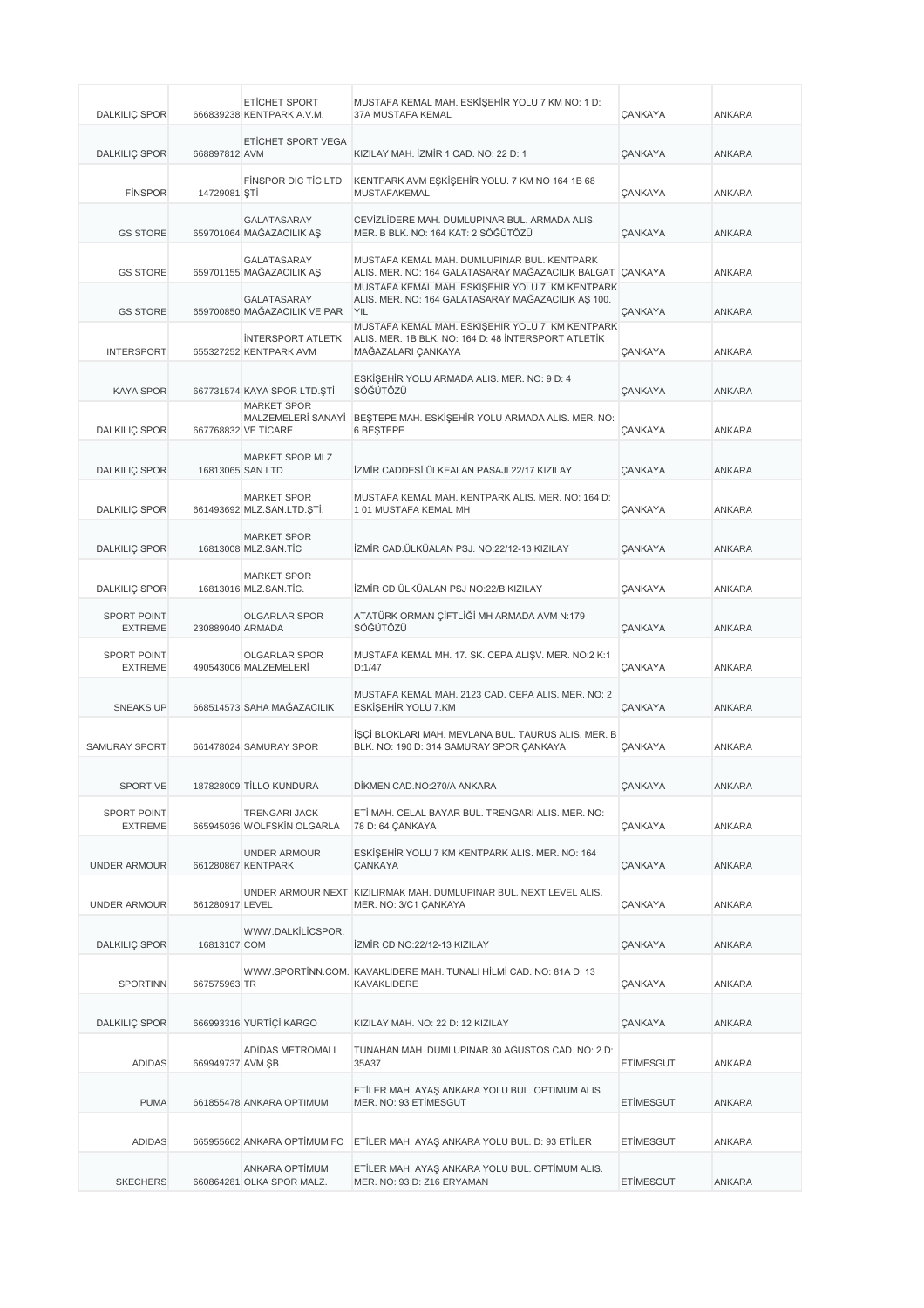| <b>DALKILIÇ SPOR</b>                 |                   | <b>ETICHET SPORT</b><br>666839238 KENTPARK A.V.M.               | MUSTAFA KEMAL MAH. ESKİŞEHİR YOLU 7 KM NO: 1 D:<br>37A MUSTAFA KEMAL                                                          | <b>ÇANKAYA</b> | ANKARA        |
|--------------------------------------|-------------------|-----------------------------------------------------------------|-------------------------------------------------------------------------------------------------------------------------------|----------------|---------------|
| <b>DALKILIÇ SPOR</b>                 | 668897812 AVM     | ETİCHET SPORT VEGA                                              | KIZILAY MAH. İZMİR 1 CAD. NO: 22 D: 1                                                                                         | <b>ÇANKAYA</b> | <b>ANKARA</b> |
| <b>FINSPOR</b>                       | 14729081 STI      | FINSPOR DIC TIC LTD                                             | KENTPARK AVM EŞKİŞEHİR YOLU. 7 KM NO 164 1B 68<br><b>MUSTAFAKEMAL</b>                                                         | CANKAYA        | <b>ANKARA</b> |
| <b>GS STORE</b>                      |                   | <b>GALATASARAY</b><br>659701064 MAĞAZACILIK AŞ                  | CEVİZLİDERE MAH. DUMLUPINAR BUL. ARMADA ALIS.<br>MER. B BLK. NO: 164 KAT: 2 SÖĞÜTÖZÜ                                          | CANKAYA        | <b>ANKARA</b> |
| <b>GS STORE</b>                      |                   | GALATASARAY<br>659701155 MAĞAZACILIK AŞ                         | MUSTAFA KEMAL MAH. DUMLUPINAR BUL. KENTPARK<br>ALIS. MER. NO: 164 GALATASARAY MAĞAZACILIK BALGAT CANKAYA                      |                | <b>ANKARA</b> |
| <b>GS STORE</b>                      |                   | GALATASARAY<br>659700850 MAĞAZACILIK VE PAR                     | MUSTAFA KEMAL MAH. ESKİŞEHİR YOLU 7. KM KENTPARK<br>ALIS. MER. NO: 164 GALATASARAY MAĞAZACILIK AŞ 100.<br><b>YIL</b>          | CANKAYA        | <b>ANKARA</b> |
| <b>INTERSPORT</b>                    |                   | <b>INTERSPORT ATLETK</b><br>655327252 KENTPARK AVM              | MUSTAFA KEMAL MAH. ESKİŞEHİR YOLU 7. KM KENTPARK<br>ALIS. MER. 1B BLK. NO: 164 D: 48 INTERSPORT ATLETIK<br>MAĞAZALARI CANKAYA | CANKAYA        | <b>ANKARA</b> |
| <b>KAYA SPOR</b>                     |                   | 667731574 KAYA SPOR LTD.STİ.                                    | ESKİŞEHİR YOLU ARMADA ALIS. MER. NO: 9 D: 4<br>SÖĞÜTÖZÜ                                                                       | <b>ÇANKAYA</b> | <b>ANKARA</b> |
| <b>DALKILIÇ SPOR</b>                 |                   | <b>MARKET SPOR</b><br>MALZEMELERİ SANAYİ<br>667768832 VE TİCARE | BESTEPE MAH. ESKİŞEHİR YOLU ARMADA ALIS. MER. NO:<br><b>6 BESTEPE</b>                                                         | CANKAYA        | <b>ANKARA</b> |
| <b>DALKILIÇ SPOR</b>                 |                   | MARKET SPOR MLZ<br>16813065 SAN LTD                             | İZMİR CADDESİ ÜLKEALAN PASAJI 22/17 KIZILAY                                                                                   | CANKAYA        | ANKARA        |
| <b>DALKILIC SPOR</b>                 |                   | <b>MARKET SPOR</b><br>661493692 MLZ.SAN.LTD.ŞTİ.                | MUSTAFA KEMAL MAH. KENTPARK ALIS. MER. NO: 164 D:<br>101 MUSTAFA KEMAL MH                                                     | <b>ÇANKAYA</b> | <b>ANKARA</b> |
| <b>DALKILIÇ SPOR</b>                 |                   | <b>MARKET SPOR</b><br>16813008 MLZ.SAN.TIC                      | İZMİR CAD.ÜLKÜALAN PSJ. NO:22/12-13 KIZILAY                                                                                   | <b>ÇANKAYA</b> | <b>ANKARA</b> |
| <b>DALKILIÇ SPOR</b>                 |                   | <b>MARKET SPOR</b><br>16813016 MLZ.SAN.TİC.                     | İZMİR CD ÜLKÜALAN PSJ NO:22/B KIZILAY                                                                                         | <b>ÇANKAYA</b> | ANKARA        |
| <b>SPORT POINT</b><br><b>EXTREME</b> | 230889040 ARMADA  | <b>OLGARLAR SPOR</b>                                            | ATATÜRK ORMAN ÇİFTLİĞİ MH ARMADA AVM N:179<br>SÖĞÜTÖZÜ                                                                        | <b>ÇANKAYA</b> | <b>ANKARA</b> |
| <b>SPORT POINT</b><br><b>EXTREME</b> |                   | <b>OLGARLAR SPOR</b><br>490543006 MALZEMELERİ                   | MUSTAFA KEMAL MH. 17. SK. CEPA ALIŞV. MER. NO:2 K:1<br>D:1/47                                                                 | CANKAYA        | ANKARA        |
| <b>SNEAKS UP</b>                     |                   | 668514573 SAHA MAĞAZACILIK                                      | MUSTAFA KEMAL MAH. 2123 CAD. CEPA ALIS. MER. NO: 2<br>ESKİŞEHİR YOLU 7.KM                                                     | <b>ÇANKAYA</b> | ANKARA        |
| <b>SAMURAY SPORT</b>                 |                   | 661478024 SAMURAY SPOR                                          | İŞÇİ BLOKLARI MAH. MEVLANA BUL. TAURUS ALIS. MER. B<br>BLK. NO: 190 D: 314 SAMURAY SPOR ÇANKAYA                               | CANKAYA        | <b>ANKARA</b> |
| SPORTIVE                             |                   | 187828009 TİLLO KUNDURA                                         | DİKMEN CAD.NO:270/A ANKARA                                                                                                    | ÇANKAYA        | ANKARA        |
| <b>SPORT POINT</b><br><b>EXTREME</b> |                   | <b>TRENGARI JACK</b><br>665945036 WOLFSKIN OLGARLA              | ETİ MAH. CELAL BAYAR BUL. TRENGARI ALIS. MER. NO:<br>78 D: 64 ÇANKAYA                                                         | <b>ÇANKAYA</b> | ANKARA        |
| <b>UNDER ARMOUR</b>                  |                   | <b>UNDER ARMOUR</b><br>661280867 KENTPARK                       | ESKISEHIR YOLU 7 KM KENTPARK ALIS. MER. NO: 164<br><b>ÇANKAYA</b>                                                             | ÇANKAYA        | ANKARA        |
| <b>UNDER ARMOUR</b>                  | 661280917 LEVEL   |                                                                 | UNDER ARMOUR NEXT KIZILIRMAK MAH. DUMLUPINAR BUL. NEXT LEVEL ALIS.<br>MER. NO: 3/C1 ÇANKAYA                                   | <b>ÇANKAYA</b> | ANKARA        |
| <b>DALKILIÇ SPOR</b>                 | 16813107 COM      | WWW.DALKİLİCSPOR.                                               | İZMİR CD NO:22/12-13 KIZILAY                                                                                                  | ÇANKAYA        | ANKARA        |
| SPORTINN                             | 667575963 TR      |                                                                 | WWW.SPORTINN.COM. KAVAKLIDERE MAH. TUNALI HİLMİ CAD. NO: 81A D: 13<br>KAVAKLIDERE                                             | <b>ÇANKAYA</b> | ANKARA        |
| <b>DALKILIÇ SPOR</b>                 |                   | 666993316 YURTİÇİ KARGO                                         | KIZILAY MAH. NO: 22 D: 12 KIZILAY                                                                                             | <b>ÇANKAYA</b> | ANKARA        |
| <b>ADIDAS</b>                        | 669949737 AVM.ŞB. | ADIDAS METROMALL                                                | TUNAHAN MAH. DUMLUPINAR 30 AĞUSTOS CAD. NO: 2 D:<br>35A37                                                                     | ETİMESGUT      | ANKARA        |
| <b>PUMA</b>                          |                   | 661855478 ANKARA OPTIMUM                                        | ETİLER MAH. AYAŞ ANKARA YOLU BUL. OPTIMUM ALIS.<br>MER. NO: 93 ETIMESGUT                                                      | ETİMESGUT      | ANKARA        |
| <b>ADIDAS</b>                        |                   | 665955662 ANKARA OPTIMUM FO                                     | ETİLER MAH. AYAŞ ANKARA YOLU BUL. D: 93 ETİLER                                                                                | ETİMESGUT      | ANKARA        |
| <b>SKECHERS</b>                      |                   | ANKARA OPTİMUM<br>660864281 OLKA SPOR MALZ.                     | ETİLER MAH. AYAŞ ANKARA YOLU BUL. OPTİMUM ALIS.<br>MER. NO: 93 D: Z16 ERYAMAN                                                 | ETİMESGUT      | ANKARA        |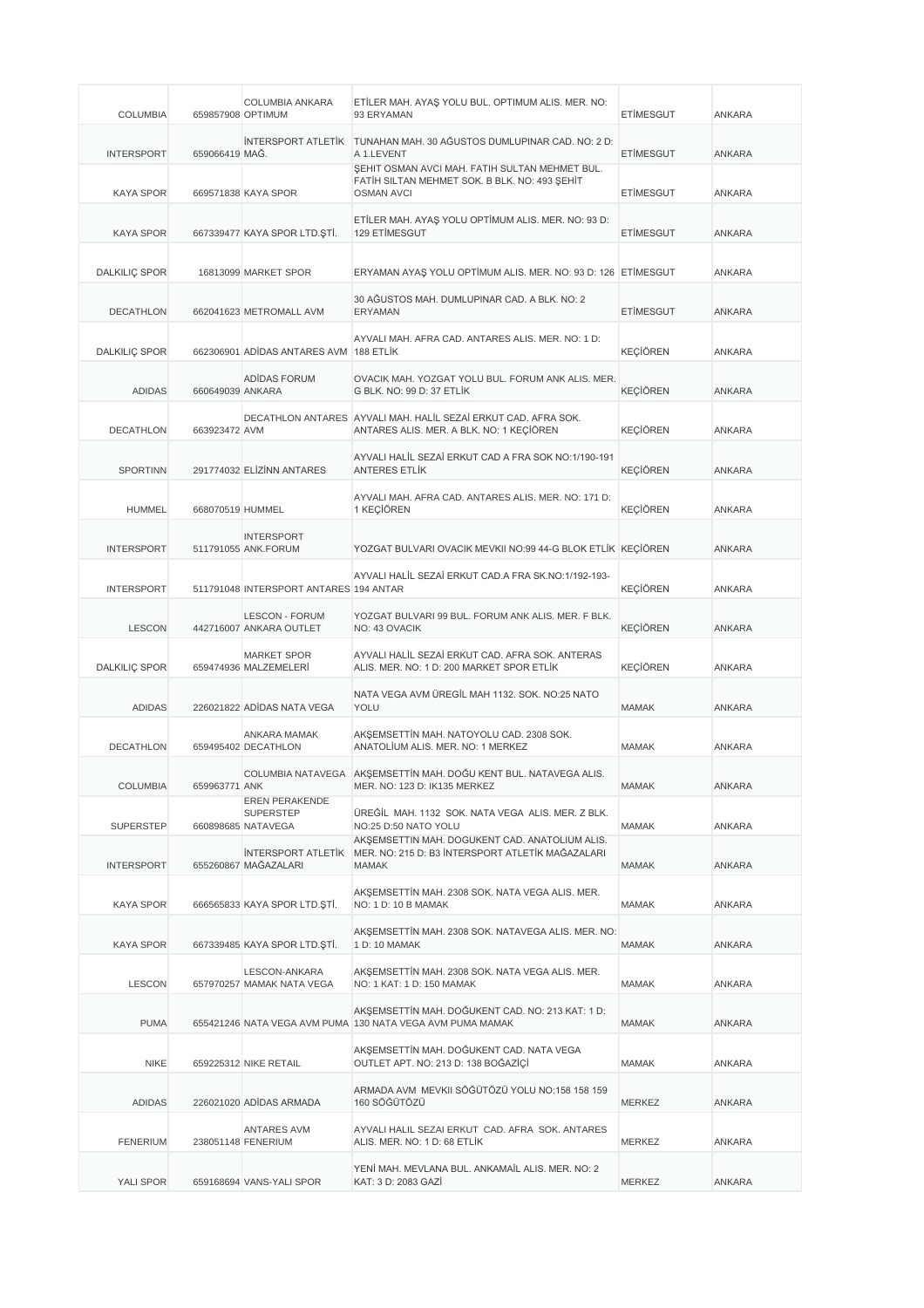| <b>COLUMBIA</b>      | 659857908 OPTIMUM | COLUMBIA ANKARA                                                 | ETİLER MAH. AYAŞ YOLU BUL. OPTIMUM ALIS. MER. NO:<br>93 ERYAMAN                                                             | <b>ETIMESGUT</b> | ANKARA        |
|----------------------|-------------------|-----------------------------------------------------------------|-----------------------------------------------------------------------------------------------------------------------------|------------------|---------------|
| <b>INTERSPORT</b>    | 659066419 MAG.    |                                                                 | İNTERSPORT ATLETİK TUNAHAN MAH. 30 AĞUSTOS DUMLUPINAR CAD. NO: 2 D:<br>A 1.LEVENT                                           | <b>ETIMESGUT</b> | <b>ANKARA</b> |
| <b>KAYA SPOR</b>     |                   | 669571838 KAYA SPOR                                             | ŞEHIT OSMAN AVCI MAH. FATIH SULTAN MEHMET BUL.<br>FATIH SILTAN MEHMET SOK. B BLK. NO: 493 ŞEHİT<br><b>OSMAN AVCI</b>        | <b>ETIMESGUT</b> | ANKARA        |
| <b>KAYA SPOR</b>     |                   | 667339477 KAYA SPOR LTD. STİ.                                   | ETİLER MAH. AYAŞ YOLU OPTİMUM ALIS. MER. NO: 93 D:<br><b>129 ETIMESGUT</b>                                                  | <b>ETIMESGUT</b> | <b>ANKARA</b> |
| <b>DALKILIC SPOR</b> |                   | 16813099 MARKET SPOR                                            | ERYAMAN AYAŞ YOLU OPTİMUM ALIS. MER. NO: 93 D: 126 ETİMESGUT                                                                |                  | ANKARA        |
| <b>DECATHLON</b>     |                   | 662041623 METROMALL AVM                                         | 30 AĞUSTOS MAH. DUMLUPINAR CAD. A BLK. NO: 2<br><b>ERYAMAN</b>                                                              | <b>ETIMESGUT</b> | <b>ANKARA</b> |
| <b>DALKILIÇ SPOR</b> |                   | 662306901 ADIDAS ANTARES AVM 188 ETLIK                          | AYVALI MAH. AFRA CAD. ANTARES ALIS. MER. NO: 1 D:                                                                           | <b>KEÇİÖREN</b>  | ANKARA        |
| <b>ADIDAS</b>        | 660649039 ANKARA  | ADIDAS FORUM                                                    | OVACIK MAH. YOZGAT YOLU BUL. FORUM ANK ALIS. MER.<br>G BLK. NO: 99 D: 37 ETLİK                                              | <b>KECIÖREN</b>  | <b>ANKARA</b> |
| <b>DECATHLON</b>     | 663923472 AVM     |                                                                 | DECATHLON ANTARES AYVALI MAH, HALIL SEZAİ ERKUT CAD, AFRA SOK.<br>ANTARES ALIS. MER. A BLK. NO: 1 KEÇİÖREN                  | <b>KEÇİÖREN</b>  | ANKARA        |
| <b>SPORTINN</b>      |                   | 291774032 ELİZİNN ANTARES                                       | AYVALI HALİL SEZAİ ERKUT CAD A FRA SOK NO:1/190-191<br><b>ANTERES ETLİK</b>                                                 | <b>KEÇİÖREN</b>  | ANKARA        |
| <b>HUMMEL</b>        | 668070519 HUMMEL  |                                                                 | AYVALI MAH. AFRA CAD. ANTARES ALIS. MER. NO: 171 D:<br>1 KEÇİÖREN                                                           | <b>KEÇİÖREN</b>  | ANKARA        |
| <b>INTERSPORT</b>    |                   | <b>INTERSPORT</b><br>511791055 ANK.FORUM                        | YOZGAT BULVARI OVACIK MEVKII NO:99 44-G BLOK ETLİK KEÇİÖREN                                                                 |                  | <b>ANKARA</b> |
| <b>INTERSPORT</b>    |                   | 511791048 INTERSPORT ANTARES 194 ANTAR                          | AYVALI HALİL SEZAİ ERKUT CAD.A FRA SK.NO:1/192-193-                                                                         | <b>KEÇİÖREN</b>  | ANKARA        |
| <b>LESCON</b>        |                   | <b>LESCON - FORUM</b><br>442716007 ANKARA OUTLET                | YOZGAT BULVARI 99 BUL. FORUM ANK ALIS. MER. F BLK.<br>NO: 43 OVACIK                                                         | <b>KEÇİÖREN</b>  | <b>ANKARA</b> |
| <b>DALKILIÇ SPOR</b> |                   | <b>MARKET SPOR</b><br>659474936 MALZEMELERİ                     | AYVALI HALİL SEZAİ ERKUT CAD. AFRA SOK. ANTERAS<br>ALIS. MER. NO: 1 D: 200 MARKET SPOR ETLİK                                | <b>KEÇİÖREN</b>  | ANKARA        |
| <b>ADIDAS</b>        |                   | 226021822 ADIDAS NATA VEGA                                      | NATA VEGA AVM ÜREGİL MAH 1132. SOK. NO:25 NATO<br><b>YOLU</b>                                                               | <b>MAMAK</b>     | <b>ANKARA</b> |
| <b>DECATHLON</b>     |                   | <b>ANKARA MAMAK</b><br>659495402 DECATHLON                      | AKŞEMSETTİN MAH. NATOYOLU CAD. 2308 SOK.<br>ANATOLIUM ALIS, MER, NO: 1 MERKEZ                                               | <b>MAMAK</b>     | ANKARA        |
| <b>COLUMBIA</b>      | 659963771 ANK     |                                                                 | COLUMBIA NATAVEGA AKŞEMSETTİN MAH. DOĞU KENT BUL. NATAVEGA ALIS.<br>MER. NO: 123 D: IK135 MERKEZ                            | <b>MAMAK</b>     | ANKARA        |
| <b>SUPERSTEP</b>     |                   | <b>EREN PERAKENDE</b><br><b>SUPERSTEP</b><br>660898685 NATAVEGA | ÜREĞİL MAH. 1132 SOK. NATA VEGA ALIS. MER. Z BLK.<br>NO:25 D:50 NATO YOLU<br>AKSEMSETTIN MAH. DOĞUKENT CAD. ANATOLİUM ALIS. | <b>MAMAK</b>     | ANKARA        |
| <b>INTERSPORT</b>    |                   | <b>INTERSPORT ATLETIK</b><br>655260867 MAĞAZALARI               | MER. NO: 215 D: B3 İNTERSPORT ATLETİK MAĞAZALARI<br><b>MAMAK</b>                                                            | MAMAK            | ANKARA        |
| <b>KAYA SPOR</b>     |                   | 666565833 KAYA SPOR LTD. STİ.                                   | AKŞEMSETTİN MAH. 2308 SOK. NATA VEGA ALIS. MER.<br>NO: 1 D: 10 B MAMAK                                                      | MAMAK            | ANKARA        |
| <b>KAYA SPOR</b>     |                   | 667339485 KAYA SPOR LTD. ŞTİ.                                   | AKŞEMSETTİN MAH. 2308 SOK. NATAVEGA ALIS. MER. NO:<br>1 D: 10 MAMAK                                                         | MAMAK            | ANKARA        |
| <b>LESCON</b>        |                   | LESCON-ANKARA<br>657970257 MAMAK NATA VEGA                      | AKŞEMSETTİN MAH. 2308 SOK. NATA VEGA ALIS. MER.<br>NO: 1 KAT: 1 D: 150 MAMAK                                                | MAMAK            | ANKARA        |
| <b>PUMA</b>          |                   |                                                                 | AKŞEMSETTİN MAH. DOĞUKENT CAD. NO: 213 KAT: 1 D:<br>655421246 NATA VEGA AVM PUMA 130 NATA VEGA AVM PUMA MAMAK               | <b>MAMAK</b>     | ANKARA        |
| <b>NIKE</b>          |                   | 659225312 NIKE RETAIL                                           | AKŞEMSETTİN MAH. DOĞUKENT CAD. NATA VEGA<br>OUTLET APT. NO: 213 D: 138 BOĞAZİÇİ                                             | MAMAK            | ANKARA        |
| <b>ADIDAS</b>        |                   | 226021020 ADİDAS ARMADA                                         | ARMADA AVM MEVKII SÖĞÜTÖZÜ YOLU NO:158 158 159<br>160 SÖĞÜTÖZÜ                                                              | MERKEZ           | ANKARA        |
| <b>FENERIUM</b>      |                   | ANTARES AVM<br>238051148 FENERIUM                               | AYVALI HALIL SEZAI ERKUT CAD. AFRA SOK. ANTARES<br>ALIS. MER. NO: 1 D: 68 ETLİK                                             | MERKEZ           | ANKARA        |
| YALI SPOR            |                   | 659168694 VANS-YALI SPOR                                        | YENİ MAH. MEVLANA BUL. ANKAMAİL ALIS. MER. NO: 2<br>KAT: 3 D: 2083 GAZİ                                                     | MERKEZ           | ANKARA        |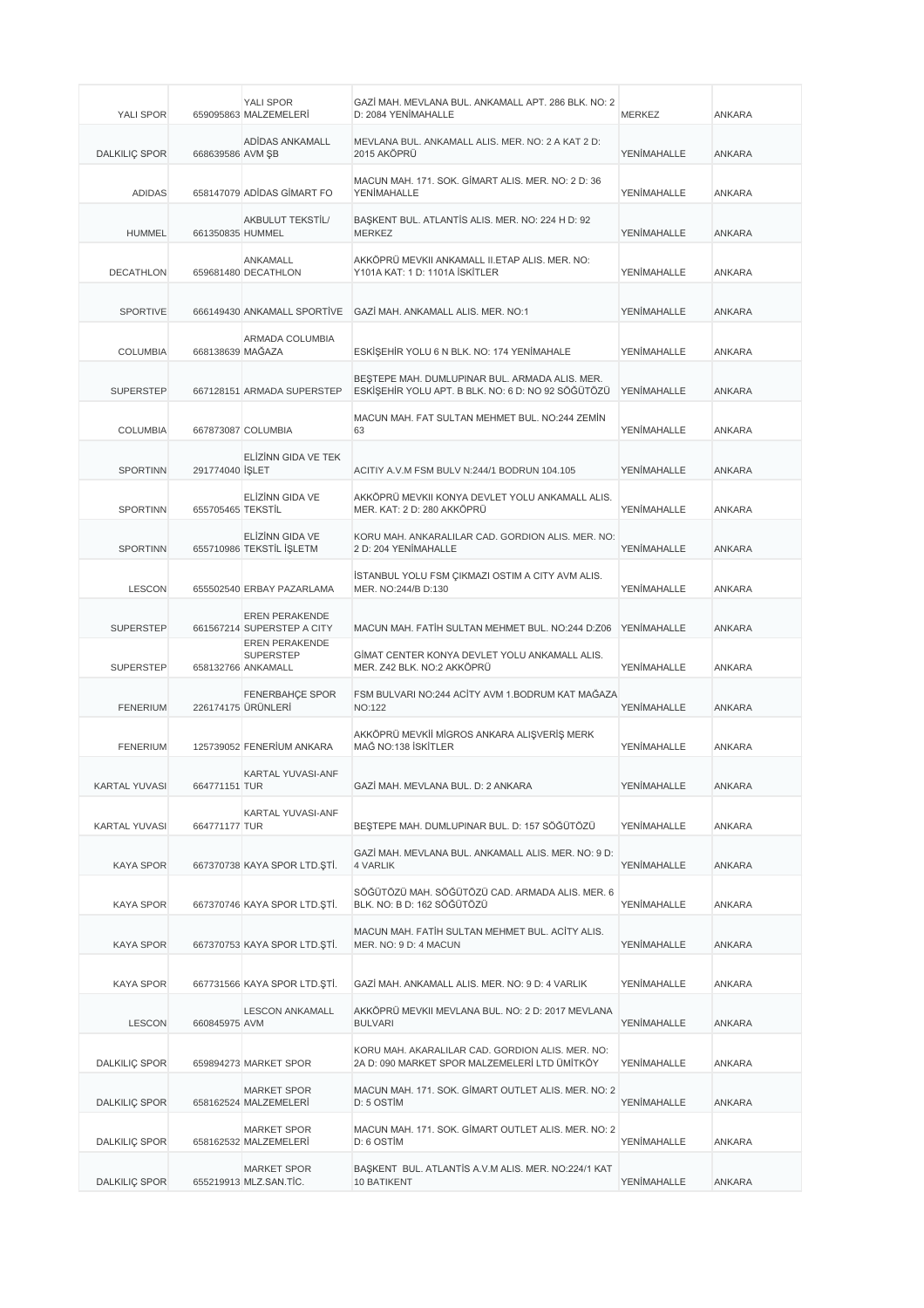| YALI SPOR            |                   | YALI SPOR<br>659095863 MALZEMELERİ                              | GAZİ MAH. MEVLANA BUL. ANKAMALL APT. 286 BLK. NO: 2<br>D: 2084 YENİMAHALLE                           | <b>MERKEZ</b>      | <b>ANKARA</b> |
|----------------------|-------------------|-----------------------------------------------------------------|------------------------------------------------------------------------------------------------------|--------------------|---------------|
| <b>DALKILIÇ SPOR</b> | 668639586 AVM ŞB  | ADİDAS ANKAMALL                                                 | MEVLANA BUL. ANKAMALL ALIS. MER. NO: 2 A KAT 2 D:<br>2015 AKÖPRÜ                                     | <b>YENİMAHALLE</b> | <b>ANKARA</b> |
| <b>ADIDAS</b>        |                   | 658147079 ADIDAS GIMART FO                                      | MACUN MAH. 171. SOK. GİMART ALIS. MER. NO: 2 D: 36<br><b>YENİMAHALLE</b>                             | <b>YENİMAHALLE</b> | ANKARA        |
| <b>HUMMEL</b>        | 661350835 HUMMEL  | AKBULUT TEKSTİL/                                                | BAŞKENT BUL. ATLANTİS ALIS. MER. NO: 224 H D: 92<br><b>MERKEZ</b>                                    | YENİMAHALLE        | <b>ANKARA</b> |
| <b>DECATHLON</b>     |                   | ANKAMALL<br>659681480 DECATHLON                                 | AKKÖPRÜ MEVKII ANKAMALL II.ETAP ALIS. MER. NO:<br>Y101A KAT: 1 D: 1101A İSKİTLER                     | YENİMAHALLE        | ANKARA        |
| <b>SPORTIVE</b>      |                   | 666149430 ANKAMALL SPORTIVE                                     | GAZİ MAH, ANKAMALL ALIS, MER, NO:1                                                                   | YENİMAHALLE        | <b>ANKARA</b> |
| <b>COLUMBIA</b>      | 668138639 MAĞAZA  | ARMADA COLUMBIA                                                 | ESKİŞEHİR YOLU 6 N BLK. NO: 174 YENİMAHALE                                                           | YENİMAHALLE        | ANKARA        |
| <b>SUPERSTEP</b>     |                   | 667128151 ARMADA SUPERSTEP                                      | BEŞTEPE MAH. DUMLUPINAR BUL. ARMADA ALIS. MER.<br>ESKİŞEHİR YOLU APT. B BLK. NO: 6 D: NO 92 SÖĞÜTÖZÜ | YENİMAHALLE        | <b>ANKARA</b> |
| <b>COLUMBIA</b>      |                   | 667873087 COLUMBIA                                              | MACUN MAH. FAT SULTAN MEHMET BUL. NO:244 ZEMİN<br>63                                                 | YENİMAHALLE        | ANKARA        |
| <b>SPORTINN</b>      | 291774040 SLET    | ELIZINN GIDA VE TEK                                             | ACITIY A.V.M FSM BULV N:244/1 BODRUN 104.105                                                         | YENİMAHALLE        | <b>ANKARA</b> |
| <b>SPORTINN</b>      | 655705465 TEKSTIL | ELİZİNN GIDA VE                                                 | AKKÖPRÜ MEVKII KONYA DEVLET YOLU ANKAMALL ALIS.<br>MER. KAT: 2 D: 280 AKKÖPRÜ                        | YENİMAHALLE        | ANKARA        |
| <b>SPORTINN</b>      |                   | ELİZİNN GIDA VE<br>655710986 TEKSTİL İŞLETM                     | KORU MAH. ANKARALILAR CAD. GORDION ALIS. MER. NO:<br>2 D: 204 YENİMAHALLE                            | YENİMAHALLE        | <b>ANKARA</b> |
| <b>LESCON</b>        |                   | 655502540 ERBAY PAZARLAMA                                       | İSTANBUL YOLU FSM ÇIKMAZI OSTIM A CITY AVM ALIS.<br>MER. NO:244/B D:130                              | YENİMAHALLE        | <b>ANKARA</b> |
| <b>SUPERSTEP</b>     |                   | <b>EREN PERAKENDE</b><br>661567214 SUPERSTEP A CITY             | MACUN MAH. FATİH SULTAN MEHMET BUL. NO:244 D:Z06                                                     | YENİMAHALLE        | <b>ANKARA</b> |
| <b>SUPERSTEP</b>     |                   | <b>EREN PERAKENDE</b><br><b>SUPERSTEP</b><br>658132766 ANKAMALL | GİMAT CENTER KONYA DEVLET YOLU ANKAMALL ALIS.<br>MER. Z42 BLK. NO:2 AKKÖPRÜ                          | YENİMAHALLE        | <b>ANKARA</b> |
| <b>FENERIUM</b>      |                   | <b>FENERBAHCE SPOR</b><br>226174175 ÜRÜNLERİ                    | FSM BULVARI NO:244 ACİTY AVM 1.BODRUM KAT MAĞAZA<br><b>NO:122</b>                                    | YENİMAHALLE        | ANKARA        |
| <b>FENERIUM</b>      |                   | 125739052 FENERIUM ANKARA                                       | AKKÖPRÜ MEVKİİ MİGROS ANKARA ALIŞVERİŞ MERK<br>MAĞ NO:138 İSKİTLER                                   | YENİMAHALLE        | <b>ANKARA</b> |
| <b>KARTAL YUVASI</b> | 664771151 TUR     | <b>KARTAL YUVASI-ANF</b>                                        | GAZİ MAH. MEVLANA BUL. D: 2 ANKARA                                                                   | YENİMAHALLE        | ANKARA        |
| <b>KARTAL YUVASI</b> | 664771177 TUR     | <b>KARTAL YUVASI-ANF</b>                                        | BEŞTEPE MAH. DUMLUPINAR BUL. D: 157 SÖĞÜTÖZÜ                                                         | YENİMAHALLE        | ANKARA        |
| <b>KAYA SPOR</b>     |                   | 667370738 KAYA SPOR LTD. ȘTİ.                                   | GAZİ MAH. MEVLANA BUL. ANKAMALL ALIS. MER. NO: 9 D:<br><b>4 VARLIK</b>                               | YENİMAHALLE        | ANKARA        |
| <b>KAYA SPOR</b>     |                   | 667370746 KAYA SPOR LTD. ȘTI.                                   | SÖĞÜTÖZÜ MAH. SÖĞÜTÖZÜ CAD. ARMADA ALIS. MER. 6<br>BLK. NO: B D: 162 SÖĞÜTÖZÜ                        | YENİMAHALLE        | ANKARA        |
| <b>KAYA SPOR</b>     |                   | 667370753 KAYA SPOR LTD.ŞTİ.                                    | MACUN MAH. FATIH SULTAN MEHMET BUL. ACITY ALIS.<br>MER. NO: 9 D: 4 MACUN                             | YENİMAHALLE        | ANKARA        |
| <b>KAYA SPOR</b>     |                   | 667731566 KAYA SPOR LTD. \$Tİ.                                  | GAZİ MAH. ANKAMALL ALIS. MER. NO: 9 D: 4 VARLIK                                                      | YENİMAHALLE        | ANKARA        |
| <b>LESCON</b>        | 660845975 AVM     | <b>LESCON ANKAMALL</b>                                          | AKKÖPRÜ MEVKII MEVLANA BUL. NO: 2 D: 2017 MEVLANA<br><b>BULVARI</b>                                  | YENİMAHALLE        | ANKARA        |
| <b>DALKILIÇ SPOR</b> |                   | 659894273 MARKET SPOR                                           | KORU MAH. AKARALILAR CAD. GORDION ALIS. MER. NO:<br>2A D: 090 MARKET SPOR MALZEMELERİ LTD ÜMİTKÖY    | YENİMAHALLE        | ANKARA        |
| <b>DALKILIÇ SPOR</b> |                   | <b>MARKET SPOR</b><br>658162524 MALZEMELERİ                     | MACUN MAH. 171. SOK. GİMART OUTLET ALIS. MER. NO: 2<br>D: 5 OSTIM                                    | YENİMAHALLE        | <b>ANKARA</b> |
| DALKILIÇ SPOR        |                   | <b>MARKET SPOR</b><br>658162532 MALZEMELERİ                     | MACUN MAH. 171. SOK. GİMART OUTLET ALIS. MER. NO: 2<br>D: 6 OSTİM                                    | YENİMAHALLE        | ANKARA        |
| DALKILIÇ SPOR        |                   | <b>MARKET SPOR</b><br>655219913 MLZ.SAN.TİC.                    | BAŞKENT BUL. ATLANTİS A.V.M ALIS. MER. NO:224/1 KAT<br><b>10 BATIKENT</b>                            | YENİMAHALLE        | <b>ANKARA</b> |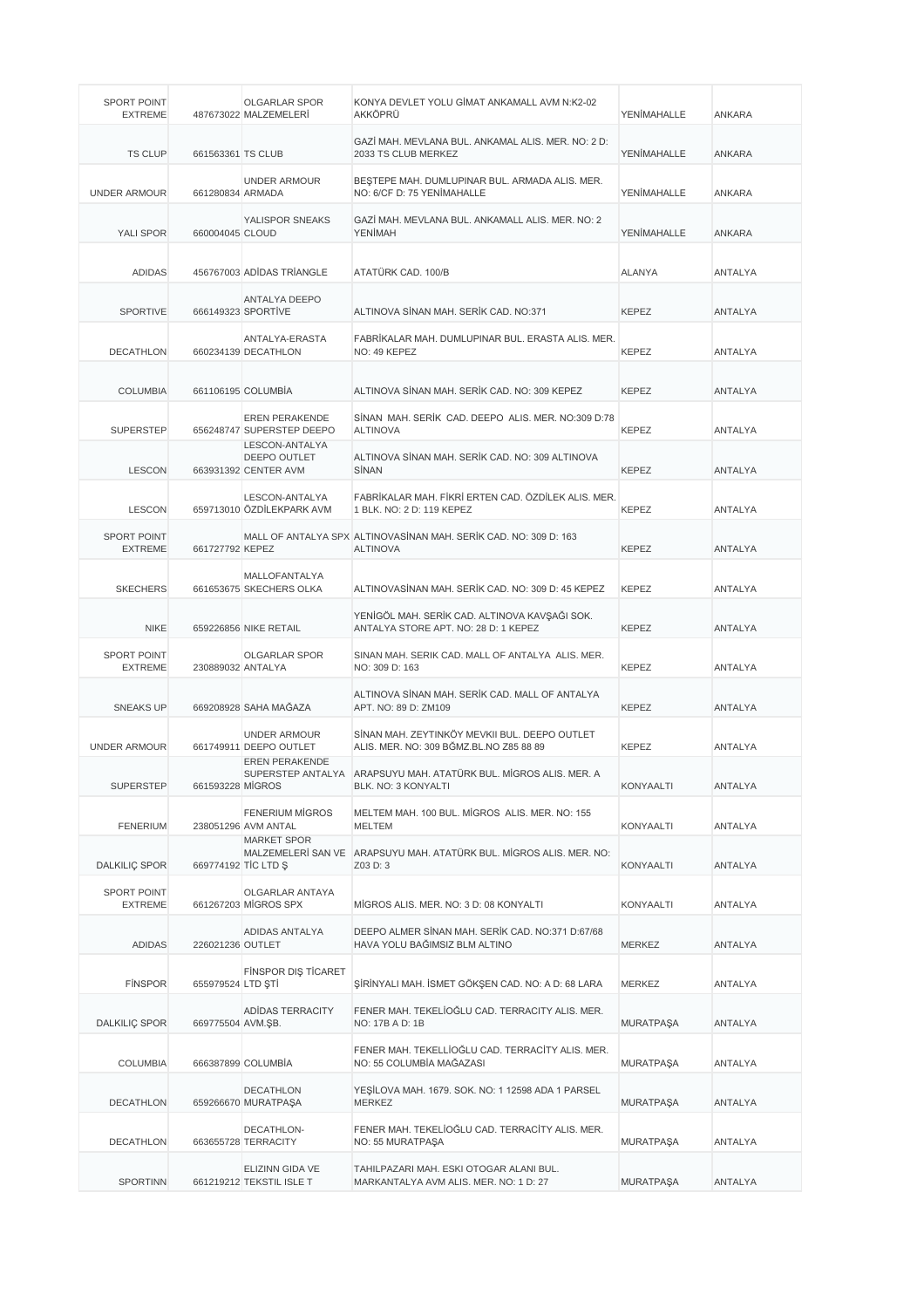| SPORT POINT<br><b>EXTREME</b>        |                   | <b>OLGARLAR SPOR</b><br>487673022 MALZEMELERİ                          | KONYA DEVLET YOLU GİMAT ANKAMALL AVM N:K2-02<br>AKKÖPRÜ                                  | YENİMAHALLE      | ANKARA         |
|--------------------------------------|-------------------|------------------------------------------------------------------------|------------------------------------------------------------------------------------------|------------------|----------------|
| <b>TS CLUP</b>                       | 661563361 TS CLUB |                                                                        | GAZİ MAH. MEVLANA BUL. ANKAMAL ALIS. MER. NO: 2 D:<br>2033 TS CLUB MERKEZ                | YENİMAHALLE      | <b>ANKARA</b>  |
| <b>UNDER ARMOUR</b>                  | 661280834 ARMADA  | <b>UNDER ARMOUR</b>                                                    | BEŞTEPE MAH. DUMLUPINAR BUL. ARMADA ALIS. MER.<br>NO: 6/CF D: 75 YENİMAHALLE             | YENİMAHALLE      | ANKARA         |
| YALI SPOR                            | 660004045 CLOUD   | YALISPOR SNEAKS                                                        | GAZİ MAH. MEVLANA BUL. ANKAMALL ALIS. MER. NO: 2<br><b>YENİMAH</b>                       | YENİMAHALLE      | ANKARA         |
| <b>ADIDAS</b>                        |                   | 456767003 ADIDAS TRIANGLE                                              | ATATÜRK CAD. 100/B                                                                       | <b>ALANYA</b>    | ANTALYA        |
| <b>SPORTIVE</b>                      |                   | ANTALYA DEEPO<br>666149323 SPORTİVE                                    | ALTINOVA SİNAN MAH. SERİK CAD. NO:371                                                    | <b>KEPEZ</b>     | <b>ANTALYA</b> |
| <b>DECATHLON</b>                     |                   | ANTALYA-ERASTA<br>660234139 DECATHLON                                  | FABRİKALAR MAH. DUMLUPINAR BUL. ERASTA ALIS. MER.<br>NO: 49 KEPEZ                        | <b>KEPEZ</b>     | ANTALYA        |
| <b>COLUMBIA</b>                      |                   | 661106195 COLUMBIA                                                     | ALTINOVA SİNAN MAH. SERİK CAD, NO: 309 KEPEZ                                             | <b>KEPEZ</b>     | <b>ANTALYA</b> |
| <b>SUPERSTEP</b>                     |                   | <b>EREN PERAKENDE</b><br>656248747 SUPERSTEP DEEPO                     | SİNAN MAH, SERİK CAD, DEEPO ALIS, MER, NO:309 D:78<br><b>ALTINOVA</b>                    | <b>KEPEZ</b>     | ANTALYA        |
| <b>LESCON</b>                        |                   | LESCON-ANTALYA<br>DEEPO OUTLET<br>663931392 CENTER AVM                 | ALTINOVA SİNAN MAH. SERİK CAD. NO: 309 ALTINOVA<br>SİNAN                                 | <b>KEPEZ</b>     | ANTALYA        |
| <b>LESCON</b>                        |                   | LESCON-ANTALYA<br>659713010 ÖZDİLEKPARK AVM                            | FABRİKALAR MAH. FİKRİ ERTEN CAD. ÖZDİLEK ALIS. MER.<br>1 BLK. NO: 2 D: 119 KEPEZ         | <b>KEPEZ</b>     | <b>ANTALYA</b> |
| <b>SPORT POINT</b><br><b>EXTREME</b> | 661727792 KEPEZ   |                                                                        | MALL OF ANTALYA SPX ALTINOVASINAN MAH. SERIK CAD. NO: 309 D: 163<br><b>ALTINOVA</b>      | <b>KEPEZ</b>     | ANTALYA        |
| <b>SKECHERS</b>                      |                   | <b>MALLOFANTALYA</b><br>661653675 SKECHERS OLKA                        | ALTINOVASİNAN MAH. SERİK CAD. NO: 309 D: 45 KEPEZ                                        | <b>KEPEZ</b>     | ANTALYA        |
| <b>NIKE</b>                          |                   | 659226856 NIKE RETAIL                                                  | YENİGÖL MAH. SERİK CAD. ALTINOVA KAVŞAĞI SOK.<br>ANTALYA STORE APT. NO: 28 D: 1 KEPEZ    | <b>KEPEZ</b>     | <b>ANTALYA</b> |
| <b>SPORT POINT</b><br><b>EXTREME</b> | 230889032 ANTALYA | <b>OLGARLAR SPOR</b>                                                   | SINAN MAH. SERIK CAD. MALL OF ANTALYA ALIS. MER.<br>NO: 309 D: 163                       | <b>KEPEZ</b>     | ANTALYA        |
| <b>SNEAKS UP</b>                     |                   | 669208928 SAHA MAĞAZA                                                  | ALTINOVA SİNAN MAH, SERİK CAD, MALL OF ANTALYA<br>APT. NO: 89 D: ZM109                   | <b>KEPEZ</b>     | <b>ANTALYA</b> |
| <b>UNDER ARMOUR</b>                  |                   | <b>UNDER ARMOUR</b><br>661749911 DEEPO OUTLET<br><b>EREN PERAKENDE</b> | SİNAN MAH. ZEYTINKÖY MEVKII BUL. DEEPO OUTLET<br>ALIS. MER. NO: 309 BĞMZ.BL.NO Z85 88 89 | <b>KEPEZ</b>     | ANTALYA        |
| <b>SUPERSTEP</b>                     | 661593228 MIGROS  |                                                                        | SUPERSTEP ANTALYA ARAPSUYU MAH. ATATÜRK BUL. MİGROS ALIS. MER. A<br>BLK. NO: 3 KONYALTI  | KONYAALTI        | ANTALYA        |
| <b>FENERIUM</b>                      |                   | <b>FENERIUM MIGROS</b><br>238051296 AVM ANTAL                          | MELTEM MAH. 100 BUL. MİGROS ALIS, MER. NO: 155<br><b>MELTEM</b>                          | KONYAALTI        | <b>ANTALYA</b> |
| <b>DALKILIC SPOR</b>                 |                   | <b>MARKET SPOR</b><br>669774192 TIC LTD \$                             | MALZEMELERİ SAN VE ARAPSUYU MAH. ATATÜRK BUL. MİGROS ALIS. MER. NO:<br>Z03 D: 3          | KONYAALTI        | ANTALYA        |
| <b>SPORT POINT</b><br><b>EXTREME</b> |                   | OLGARLAR ANTAYA<br>661267203 MIGROS SPX                                | MIGROS ALIS. MER. NO: 3 D: 08 KONYALTI                                                   | KONYAALTI        | ANTALYA        |
| ADIDAS                               | 226021236 OUTLET  | ADIDAS ANTALYA                                                         | DEEPO ALMER SİNAN MAH. SERİK CAD. NO:371 D:67/68<br>HAVA YOLU BAĞIMSIZ BLM ALTINO        | <b>MERKEZ</b>    | ANTALYA        |
| <b>FINSPOR</b>                       | 655979524 LTD STİ | <b>FINSPOR DIS TICARET</b>                                             | ŞİRİNYALI MAH. İSMET GÖKŞEN CAD. NO: A D: 68 LARA                                        | MERKEZ           | ANTALYA        |
| DALKILIÇ SPOR                        | 669775504 AVM.ŞB. | ADIDAS TERRACITY                                                       | FENER MAH. TEKELİOĞLU CAD. TERRACITY ALIS. MER.<br>NO: 17B A D: 1B                       | <b>MURATPAŞA</b> | ANTALYA        |
| <b>COLUMBIA</b>                      |                   | 666387899 COLUMBIA                                                     | FENER MAH. TEKELLİOĞLU CAD. TERRACİTY ALIS. MER.<br>NO: 55 COLUMBÍA MAĞAZASI             | <b>MURATPAŞA</b> | ANTALYA        |
| DECATHLON                            |                   | <b>DECATHLON</b><br>659266670 MURATPAŞA                                | YEŞİLOVA MAH. 1679. SOK. NO: 1 12598 ADA 1 PARSEL<br><b>MERKEZ</b>                       | <b>MURATPAŞA</b> | ANTALYA        |
| <b>DECATHLON</b>                     |                   | DECATHLON-<br>663655728 TERRACITY                                      | FENER MAH. TEKELİOĞLU CAD. TERRACİTY ALIS. MER.<br>NO: 55 MURATPAŞA                      | <b>MURATPAŞA</b> | ANTALYA        |
| <b>SPORTINN</b>                      |                   | ELIZINN GIDA VE<br>661219212 TEKSTIL ISLE T                            | TAHILPAZARI MAH. ESKI OTOGAR ALANI BUL.<br>MARKANTALYA AVM ALIS. MER. NO: 1 D: 27        | <b>MURATPAŞA</b> | ANTALYA        |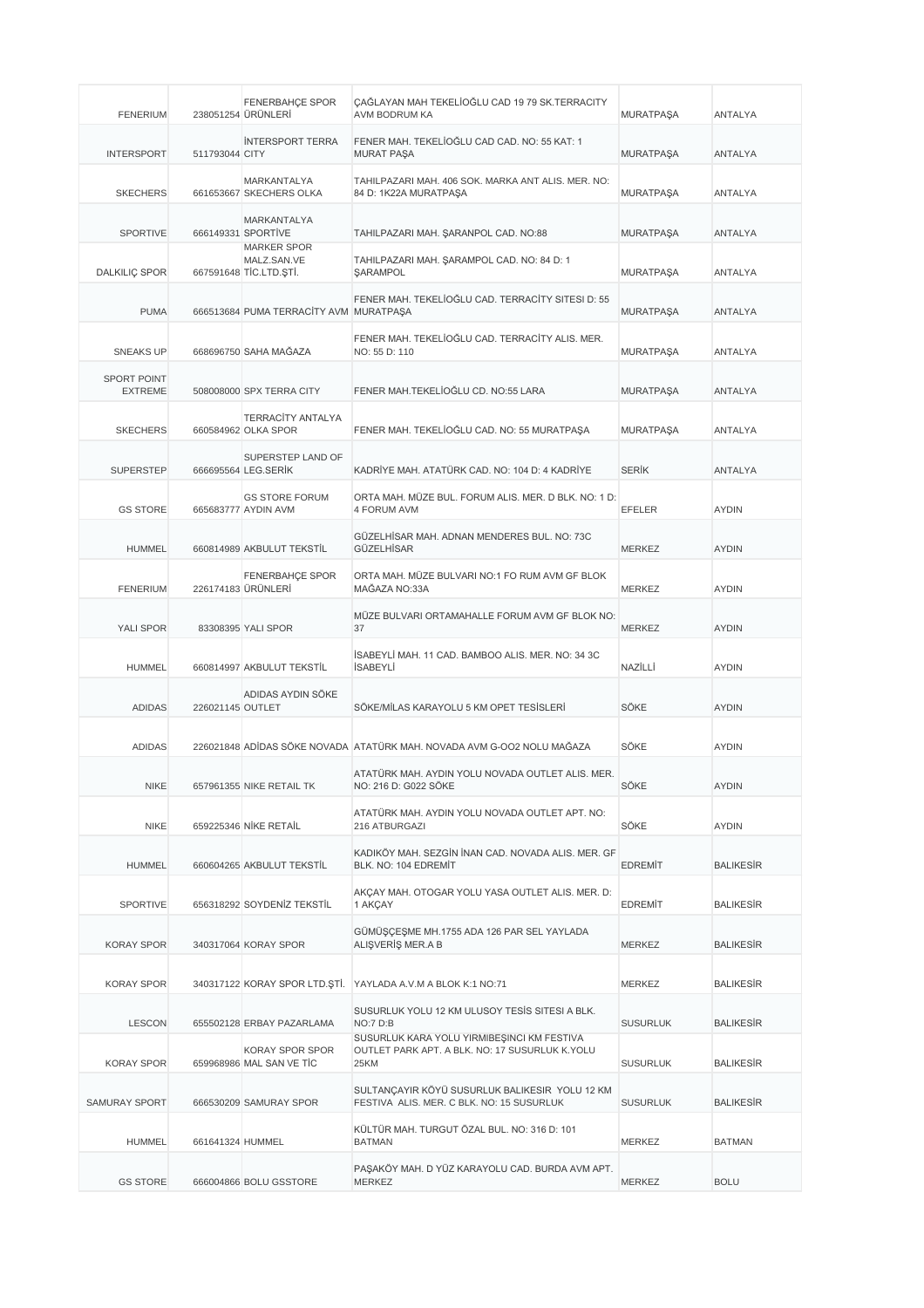| <b>FENERIUM</b>                      |                  | <b>FENERBAHÇE SPOR</b><br>238051254 ÜRÜNLERİ                | ÇAĞLAYAN MAH TEKELİOĞLU CAD 19 79 SK.TERRACITY<br>AVM BODRUM KA                                      | <b>MURATPASA</b> | ANTALYA          |
|--------------------------------------|------------------|-------------------------------------------------------------|------------------------------------------------------------------------------------------------------|------------------|------------------|
| <b>INTERSPORT</b>                    | 511793044 CITY   | <b>INTERSPORT TERRA</b>                                     | FENER MAH. TEKELİOĞLU CAD CAD. NO: 55 KAT: 1<br><b>MURAT PAŞA</b>                                    | <b>MURATPAŞA</b> | ANTALYA          |
| <b>SKECHERS</b>                      |                  | MARKANTALYA<br>661653667 SKECHERS OLKA                      | TAHILPAZARI MAH. 406 SOK. MARKA ANT ALIS. MER. NO:<br>84 D: 1K22A MURATPAŞA                          | <b>MURATPAŞA</b> | ANTALYA          |
| <b>SPORTIVE</b>                      |                  | MARKANTALYA<br>666149331 SPORTIVE                           | TAHILPAZARI MAH. ŞARANPOL CAD. NO:88                                                                 | <b>MURATPAŞA</b> | <b>ANTALYA</b>   |
| <b>DALKILIÇ SPOR</b>                 |                  | <b>MARKER SPOR</b><br>MALZ.SAN.VE<br>667591648 TİC.LTD.ŞTİ. | TAHILPAZARI MAH. ŞARAMPOL CAD. NO: 84 D: 1<br><b><i>ŞARAMPOL</i></b>                                 | <b>MURATPAŞA</b> | <b>ANTALYA</b>   |
| <b>PUMA</b>                          |                  | 666513684 PUMA TERRACITY AVM MURATPAŞA                      | FENER MAH. TEKELİOĞLU CAD. TERRACİTY SITESI D: 55                                                    | <b>MURATPAŞA</b> | <b>ANTALYA</b>   |
| <b>SNEAKS UP</b>                     |                  | 668696750 SAHA MAĞAZA                                       | FENER MAH. TEKELİOĞLU CAD. TERRACİTY ALIS. MER.<br>NO: 55 D: 110                                     | <b>MURATPAŞA</b> | ANTALYA          |
| <b>SPORT POINT</b><br><b>EXTREME</b> |                  | 508008000 SPX TERRA CITY                                    | FENER MAH.TEKELİOĞLU CD. NO:55 LARA                                                                  | <b>MURATPAŞA</b> | ANTALYA          |
| <b>SKECHERS</b>                      |                  | <b>TERRACITY ANTALYA</b><br>660584962 OLKA SPOR             | FENER MAH. TEKELİOĞLU CAD. NO: 55 MURATPAŞA                                                          | <b>MURATPAŞA</b> | <b>ANTALYA</b>   |
| <b>SUPERSTEP</b>                     |                  | SUPERSTEP LAND OF<br>666695564 LEG.SERİK                    | KADRİYE MAH, ATATÜRK CAD, NO: 104 D: 4 KADRİYE                                                       | <b>SERIK</b>     | ANTALYA          |
| <b>GS STORE</b>                      |                  | <b>GS STORE FORUM</b><br>665683777 AYDIN AVM                | ORTA MAH. MÜZE BUL. FORUM ALIS. MER. D BLK. NO: 1 D:<br>4 FORUM AVM                                  | <b>EFELER</b>    | <b>AYDIN</b>     |
| <b>HUMMEL</b>                        |                  | 660814989 AKBULUT TEKSTİL                                   | GÜZELHİSAR MAH. ADNAN MENDERES BUL. NO: 73C<br>GÜZELHİSAR                                            | <b>MERKEZ</b>    | <b>AYDIN</b>     |
| <b>FENERIUM</b>                      |                  | FENERBAHÇE SPOR<br>226174183 ÜRÜNLERİ                       | ORTA MAH. MÜZE BULVARI NO:1 FO RUM AVM GF BLOK<br>MAĞAZA NO:33A                                      | <b>MERKEZ</b>    | <b>AYDIN</b>     |
| YALI SPOR                            |                  | 83308395 YALI SPOR                                          | MÜZE BULVARI ORTAMAHALLE FORUM AVM GF BLOK NO:<br>37                                                 | <b>MERKEZ</b>    | <b>AYDIN</b>     |
| <b>HUMMEL</b>                        |                  | 660814997 AKBULUT TEKSTİL                                   | İSABEYLİ MAH. 11 CAD. BAMBOO ALIS. MER. NO: 34 3C<br><b>İSABEYLİ</b>                                 | NAZİLLİ          | <b>AYDIN</b>     |
| <b>ADIDAS</b>                        | 226021145 OUTLET | ADIDAS AYDIN SÖKE                                           | SÖKE/MİLAS KARAYOLU 5 KM OPET TESİSLERİ                                                              | SÖKE             | <b>AYDIN</b>     |
| <b>ADIDAS</b>                        |                  |                                                             | 226021848 ADİDAS SÖKE NOVADA ATATÜRK MAH. NOVADA AVM G-OO2 NOLU MAĞAZA                               | SÖKE             | <b>AYDIN</b>     |
| <b>NIKE</b>                          |                  | 657961355 NIKE RETAIL TK                                    | ATATÜRK MAH. AYDIN YOLU NOVADA OUTLET ALIS. MER.<br>NO: 216 D: G022 SÖKE                             | SÖKE             | <b>AYDIN</b>     |
| <b>NIKE</b>                          |                  | 659225346 NİKE RETAİL                                       | ATATÜRK MAH. AYDIN YOLU NOVADA OUTLET APT. NO:<br>216 ATBURGAZI                                      | SÖKE             | <b>AYDIN</b>     |
| <b>HUMMEL</b>                        |                  | 660604265 AKBULUT TEKSTİL                                   | KADIKÖY MAH. SEZGİN İNAN CAD. NOVADA ALIS. MER. GF<br>BLK. NO: 104 EDREMIT                           | <b>EDREMIT</b>   | <b>BALIKESIR</b> |
| <b>SPORTIVE</b>                      |                  | 656318292 SOYDENİZ TEKSTİL                                  | AKCAY MAH. OTOGAR YOLU YASA OUTLET ALIS. MER. D:<br>1 AKÇAY                                          | <b>EDREMIT</b>   | <b>BALIKESIR</b> |
| <b>KORAY SPOR</b>                    |                  | 340317064 KORAY SPOR                                        | GÜMÜŞÇEŞME MH.1755 ADA 126 PAR SEL YAYLADA<br>ALIŞVERİŞ MER.A B                                      | <b>MERKEZ</b>    | <b>BALIKESIR</b> |
| <b>KORAY SPOR</b>                    |                  |                                                             | 340317122 KORAY SPOR LTD. STI. YAYLADA A.V.M A BLOK K:1 NO:71                                        | MERKEZ           | <b>BALIKESIR</b> |
| <b>LESCON</b>                        |                  | 655502128 ERBAY PAZARLAMA                                   | SUSURLUK YOLU 12 KM ULUSOY TESIS SITESI A BLK.<br>NO:7 D:B                                           | <b>SUSURLUK</b>  | <b>BALIKESIR</b> |
| <b>KORAY SPOR</b>                    |                  | KORAY SPOR SPOR<br>659968986 MAL SAN VE TİC                 | SUSURLUK KARA YOLU YİRMİBEŞİNCI KM FESTİVA<br>OUTLET PARK APT. A BLK. NO: 17 SUSURLUK K.YOLU<br>25KM | <b>SUSURLUK</b>  | <b>BALIKESIR</b> |
| SAMURAY SPORT                        |                  | 666530209 SAMURAY SPOR                                      | SULTANÇAYIR KÖYÜ SUSURLUK BALIKESIR YOLU 12 KM<br>FESTIVA ALIS. MER. C BLK. NO: 15 SUSURLUK          | <b>SUSURLUK</b>  | <b>BALIKESIR</b> |
| <b>HUMMEL</b>                        | 661641324 HUMMEL |                                                             | KÜLTÜR MAH. TURGUT ÖZAL BUL. NO: 316 D: 101<br><b>BATMAN</b>                                         | MERKEZ           | <b>BATMAN</b>    |
| <b>GS STORE</b>                      |                  | 666004866 BOLU GSSTORE                                      | PAŞAKÖY MAH. D YÜZ KARAYOLU CAD. BURDA AVM APT.<br><b>MERKEZ</b>                                     | <b>MERKEZ</b>    | <b>BOLU</b>      |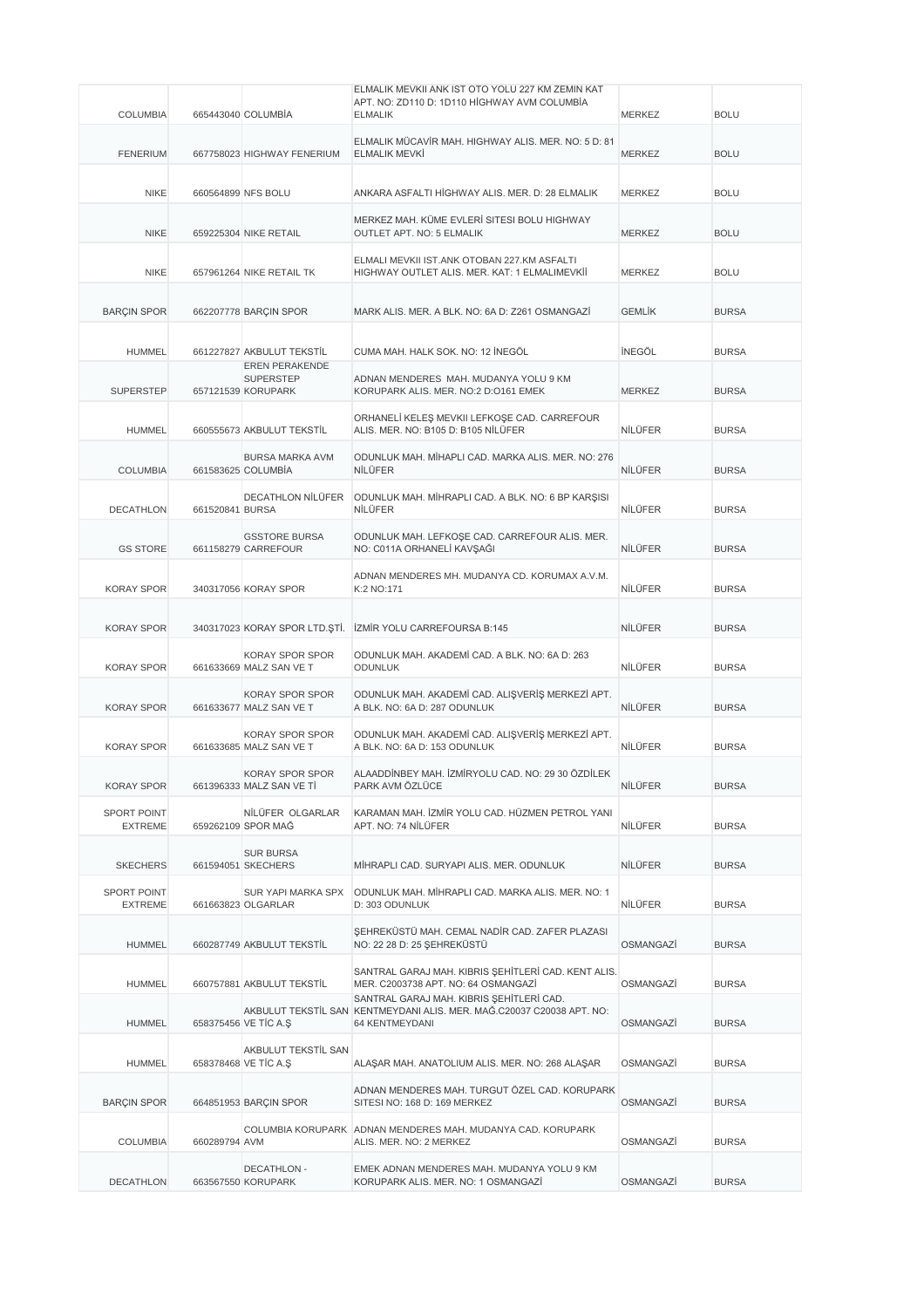|                               |                 |                                                    | ELMALIK MEVKII ANK IST OTO YOLU 227 KM ZEMIN KAT<br>APT. NO: ZD110 D: 1D110 HİGHWAY AVM COLUMBİA                                       |               |              |
|-------------------------------|-----------------|----------------------------------------------------|----------------------------------------------------------------------------------------------------------------------------------------|---------------|--------------|
| <b>COLUMBIA</b>               |                 | 665443040 COLUMBIA                                 | <b>ELMALIK</b>                                                                                                                         | <b>MERKEZ</b> | <b>BOLU</b>  |
| <b>FENERIUM</b>               |                 | 667758023 HIGHWAY FENERIUM                         | ELMALIK MÜCAVİR MAH. HIGHWAY ALIS. MER. NO: 5 D: 81<br><b>ELMALIK MEVKİ</b>                                                            | <b>MERKEZ</b> | <b>BOLU</b>  |
| <b>NIKE</b>                   |                 | 660564899 NFS BOLU                                 | ANKARA ASFALTI HİGHWAY ALIS. MER. D: 28 ELMALIK                                                                                        | <b>MERKEZ</b> | <b>BOLU</b>  |
| <b>NIKE</b>                   |                 | 659225304 NIKE RETAIL                              | MERKEZ MAH. KÜME EVLERİ SITESI BOLU HIGHWAY<br><b>OUTLET APT. NO: 5 ELMALIK</b>                                                        | <b>MERKEZ</b> | <b>BOLU</b>  |
| <b>NIKE</b>                   |                 | 657961264 NIKE RETAIL TK                           | ELMALI MEVKII IST.ANK OTOBAN 227.KM ASFALTI<br>HIGHWAY OUTLET ALIS. MER. KAT: 1 ELMALIMEVKİİ                                           | <b>MERKEZ</b> | <b>BOLU</b>  |
| <b>BARÇIN SPOR</b>            |                 | 662207778 BARÇIN SPOR                              | MARK ALIS. MER. A BLK. NO: 6A D: Z261 OSMANGAZI                                                                                        | <b>GEMLİK</b> | <b>BURSA</b> |
| <b>HUMMEL</b>                 |                 | 661227827 AKBULUT TEKSTİL<br>EREN PERAKENDE        | CUMA MAH. HALK SOK. NO: 12 İNEGÖL                                                                                                      | <b>INEGÖL</b> | <b>BURSA</b> |
| <b>SUPERSTEP</b>              |                 | <b>SUPERSTEP</b><br>657121539 KORUPARK             | ADNAN MENDERES MAH. MUDANYA YOLU 9 KM<br>KORUPARK ALIS. MER. NO:2 D:0161 EMEK                                                          | <b>MERKEZ</b> | <b>BURSA</b> |
| <b>HUMMEL</b>                 |                 | 660555673 AKBULUT TEKSTİL                          | ORHANELİ KELEŞ MEVKII LEFKOŞE CAD. CARREFOUR<br>ALIS, MER. NO: B105 D: B105 NİLÜFER                                                    | NİLÜFER       | <b>BURSA</b> |
| <b>COLUMBIA</b>               |                 | BURSA MARKA AVM<br>661583625 COLUMBIA              | ODUNLUK MAH. MİHAPLI CAD. MARKA ALIS. MER. NO: 276<br>NİLÜFER                                                                          | NİLÜFER       | <b>BURSA</b> |
| <b>DECATHLON</b>              | 661520841 BURSA | <b>DECATHLON NİLÜFER</b>                           | ODUNLUK MAH. MİHRAPLI CAD. A BLK. NO: 6 BP KARŞISI<br>NİLÜFER                                                                          | NİLÜFER       | <b>BURSA</b> |
| <b>GS STORE</b>               |                 | <b>GSSTORE BURSA</b><br>661158279 CARREFOUR        | ODUNLUK MAH. LEFKOŞE CAD. CARREFOUR ALIS. MER.<br>NO: C011A ORHANELİ KAVŞAĞI                                                           | NİLÜFER       | <b>BURSA</b> |
| <b>KORAY SPOR</b>             |                 | 340317056 KORAY SPOR                               | ADNAN MENDERES MH. MUDANYA CD. KORUMAX A.V.M.<br>K:2 NO:171                                                                            | NİLÜFER       | <b>BURSA</b> |
| <b>KORAY SPOR</b>             |                 |                                                    | 340317023 KORAY SPOR LTD. STİ. İZMİR YOLU CARREFOURSA B:145                                                                            | NİLÜFER       | <b>BURSA</b> |
| <b>KORAY SPOR</b>             |                 | KORAY SPOR SPOR<br>661633669 MALZ SAN VE T         | ODUNLUK MAH. AKADEMİ CAD. A BLK. NO: 6A D: 263<br><b>ODUNLUK</b>                                                                       | NİLÜFER       | <b>BURSA</b> |
| <b>KORAY SPOR</b>             |                 | KORAY SPOR SPOR<br>661633677 MALZ SAN VE T         | ODUNLUK MAH. AKADEMİ CAD. ALIŞVERİŞ MERKEZİ APT.<br>A BLK. NO: 6A D: 287 ODUNLUK                                                       | NILÜFER       | <b>BURSA</b> |
| <b>KORAY SPOR</b>             |                 | <b>KORAY SPOR SPOR</b><br>661633685 MALZ SAN VE T  | ODUNLUK MAH. AKADEMİ CAD. ALIŞVERİŞ MERKEZİ APT.<br>A BLK. NO: 6A D: 153 ODUNLUK                                                       | NİLÜFER       | <b>BURSA</b> |
| KORAY SPOR                    |                 | <b>KORAY SPOR SPOR</b><br>661396333 MALZ SAN VE TI | ALAADDİNBEY MAH. İZMİRYOLU CAD. NO: 29 30 ÖZDİLEK<br>PARK AVM ÖZLÜCE                                                                   | NİLÜFER       | <b>BURSA</b> |
| SPORT POINT<br><b>EXTREME</b> |                 | NİLÜFER OLGARLAR<br>659262109 SPOR MAĞ             | KARAMAN MAH. İZMİR YOLU CAD. HÜZMEN PETROL YANI<br>APT. NO: 74 NİLÜFER                                                                 | NİLÜFER       | <b>BURSA</b> |
| <b>SKECHERS</b>               |                 | <b>SUR BURSA</b><br>661594051 SKECHERS             | MİHRAPLI CAD. SURYAPI ALIS. MER. ODUNLUK                                                                                               | NİLÜFER       | <b>BURSA</b> |
| SPORT POINT<br><b>EXTREME</b> |                 | SUR YAPI MARKA SPX<br>661663823 OLGARLAR           | ODUNLUK MAH. MİHRAPLI CAD. MARKA ALIS. MER. NO: 1<br>D: 303 ODUNLUK                                                                    | NİLÜFER       | <b>BURSA</b> |
| <b>HUMMEL</b>                 |                 | 660287749 AKBULUT TEKSTİL                          | ŞEHREKÜSTÜ MAH. CEMAL NADİR CAD. ZAFER PLAZASI<br>NO: 22 28 D: 25 ŞEHREKÜSTÜ                                                           | OSMANGAZİ     | <b>BURSA</b> |
| <b>HUMMEL</b>                 |                 | 660757881 AKBULUT TEKSTİL                          | SANTRAL GARAJ MAH. KIBRIS SEHİTLERİ CAD. KENT ALIS.<br>MER. C2003738 APT. NO: 64 OSMANGAZİ<br>SANTRAL GARAJ MAH. KIBRIS SEHİTLERİ CAD. | OSMANGAZİ     | <b>BURSA</b> |
| <b>HUMMEL</b>                 |                 | 658375456 VE TİC A.Ş                               | AKBULUT TEKSTİL SAN KENTMEYDANI ALIS. MER. MAĞ.C20037 C20038 APT. NO:<br>64 KENTMEYDANI                                                | OSMANGAZİ     | <b>BURSA</b> |
| <b>HUMMEL</b>                 |                 | AKBULUT TEKSTİL SAN<br>658378468 VE TIC A.Ş        | ALAŞAR MAH. ANATOLIUM ALIS. MER. NO: 268 ALAŞAR                                                                                        | OSMANGAZİ     | <b>BURSA</b> |
| <b>BARÇIN SPOR</b>            |                 | 664851953 BARÇIN SPOR                              | ADNAN MENDERES MAH. TURGUT ÖZEL CAD. KORUPARK<br>SITESI NO: 168 D: 169 MERKEZ                                                          | OSMANGAZİ     | <b>BURSA</b> |
| <b>COLUMBIA</b>               | 660289794 AVM   |                                                    | COLUMBIA KORUPARK ADNAN MENDERES MAH. MUDANYA CAD. KORUPARK<br>ALIS. MER. NO: 2 MERKEZ                                                 | OSMANGAZİ     | <b>BURSA</b> |
| <b>DECATHLON</b>              |                 | <b>DECATHLON -</b><br>663567550 KORUPARK           | EMEK ADNAN MENDERES MAH. MUDANYA YOLU 9 KM<br>KORUPARK ALIS. MER. NO: 1 OSMANGAZİ                                                      | OSMANGAZİ     | <b>BURSA</b> |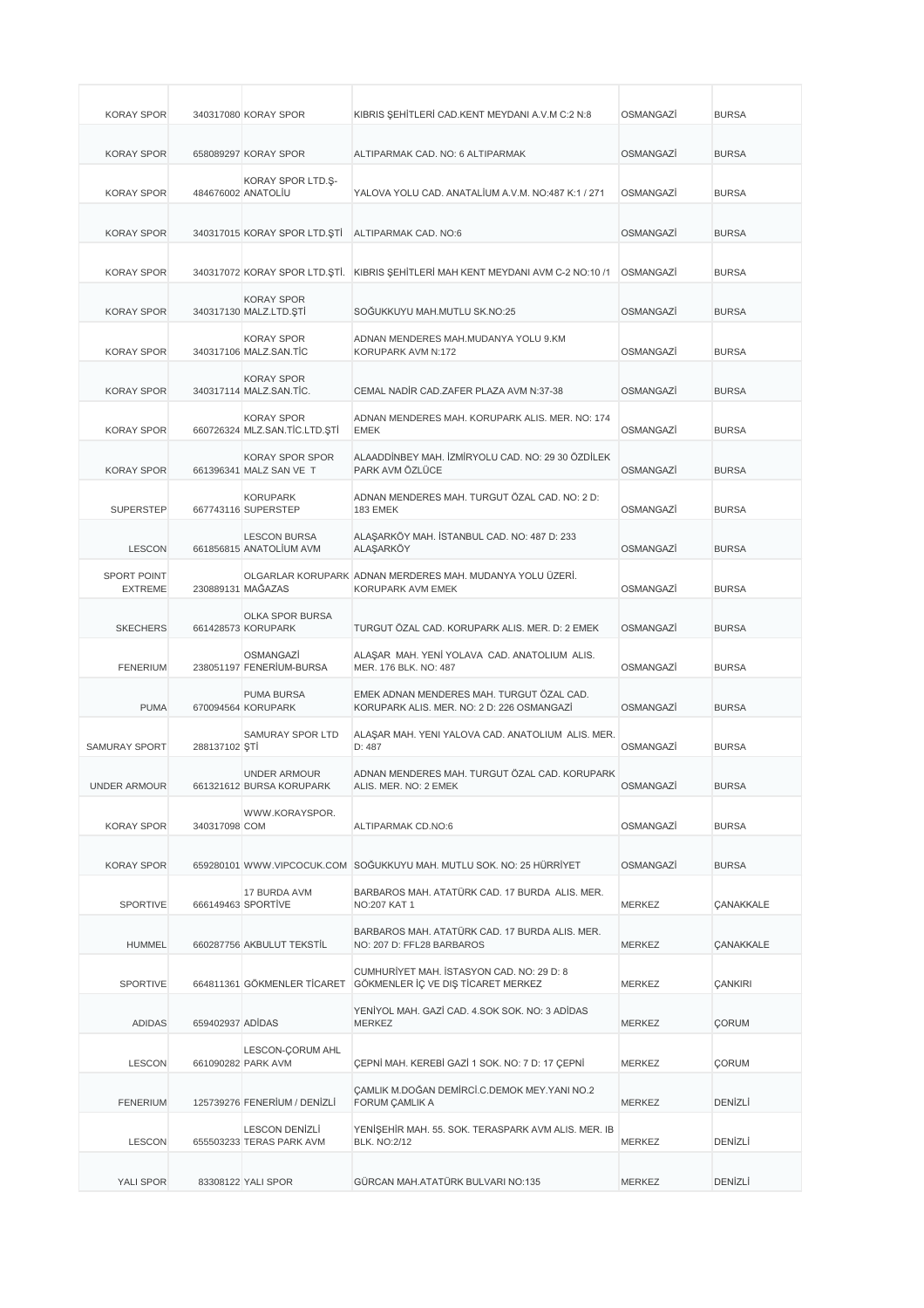| <b>KORAY SPOR</b>                    |                  | 340317080 KORAY SPOR                               | KIBRIS ŞEHİTLERİ CAD.KENT MEYDANI A.V.M C:2 N:8                                         | OSMANGAZİ        | <b>BURSA</b>     |
|--------------------------------------|------------------|----------------------------------------------------|-----------------------------------------------------------------------------------------|------------------|------------------|
| <b>KORAY SPOR</b>                    |                  | 658089297 KORAY SPOR                               | ALTIPARMAK CAD. NO: 6 ALTIPARMAK                                                        | OSMANGAZİ        | <b>BURSA</b>     |
| <b>KORAY SPOR</b>                    |                  | KORAY SPOR LTD.Ş-<br>484676002 ANATOLIU            | YALOVA YOLU CAD, ANATALIUM A.V.M. NO:487 K:1 / 271                                      | OSMANGAZİ        | <b>BURSA</b>     |
| <b>KORAY SPOR</b>                    |                  | 340317015 KORAY SPOR LTD.ŞTİ                       | ALTIPARMAK CAD. NO:6                                                                    | OSMANGAZİ        | <b>BURSA</b>     |
| <b>KORAY SPOR</b>                    |                  |                                                    | 340317072 KORAY SPOR LTD.ŞTİ. KIBRIS ŞEHİTLERİ MAH KENT MEYDANI AVM C-2 NO:10 /1        | OSMANGAZİ        | <b>BURSA</b>     |
| <b>KORAY SPOR</b>                    |                  | <b>KORAY SPOR</b><br>340317130 MALZ.LTD.ŞTİ        | SOGUKKUYU MAH.MUTLU SK.NO:25                                                            | OSMANGAZİ        | <b>BURSA</b>     |
| <b>KORAY SPOR</b>                    |                  | <b>KORAY SPOR</b><br>340317106 MALZ.SAN.TIC        | ADNAN MENDERES MAH.MUDANYA YOLU 9.KM<br>KORUPARK AVM N:172                              | OSMANGAZİ        | <b>BURSA</b>     |
| <b>KORAY SPOR</b>                    |                  | <b>KORAY SPOR</b><br>340317114 MALZ.SAN.TİC.       | CEMAL NADIR CAD.ZAFER PLAZA AVM N:37-38                                                 | OSMANGAZİ        | <b>BURSA</b>     |
| <b>KORAY SPOR</b>                    |                  | <b>KORAY SPOR</b><br>660726324 MLZ.SAN.TİC.LTD.ŞTİ | ADNAN MENDERES MAH. KORUPARK ALIS. MER. NO: 174<br><b>EMEK</b>                          | OSMANGAZİ        | <b>BURSA</b>     |
| <b>KORAY SPOR</b>                    |                  | KORAY SPOR SPOR<br>661396341 MALZ SAN VE T         | ALAADDİNBEY MAH. İZMİRYOLU CAD. NO: 29 30 ÖZDİLEK<br>PARK AVM ÖZLÜCE                    | OSMANGAZİ        | <b>BURSA</b>     |
| <b>SUPERSTEP</b>                     |                  | <b>KORUPARK</b><br>667743116 SUPERSTEP             | ADNAN MENDERES MAH. TURGUT ÖZAL CAD. NO: 2 D:<br>183 EMEK                               | OSMANGAZİ        | <b>BURSA</b>     |
| <b>LESCON</b>                        |                  | <b>LESCON BURSA</b><br>661856815 ANATOLİUM AVM     | ALAŞARKÖY MAH. İSTANBUL CAD. NO: 487 D: 233<br><b>ALAŞARKÖY</b>                         | OSMANGAZİ        | <b>BURSA</b>     |
| <b>SPORT POINT</b><br><b>EXTREME</b> |                  | 230889131 MAĞAZAS                                  | OLGARLAR KORUPARK ADNAN MERDERES MAH. MUDANYA YOLU ÜZERİ.<br>KORUPARK AVM EMEK          | OSMANGAZİ        | <b>BURSA</b>     |
| <b>SKECHERS</b>                      |                  | OLKA SPOR BURSA<br>661428573 KORUPARK              | TURGUT ÖZAL CAD. KORUPARK ALIS. MER. D: 2 EMEK                                          | OSMANGAZİ        | <b>BURSA</b>     |
| <b>FENERIUM</b>                      |                  | OSMANGAZI<br>238051197 FENERİUM-BURSA              | ALAŞAR MAH. YENİ YOLAVA CAD. ANATOLIUM ALIS.<br>MER. 176 BLK. NO: 487                   | OSMANGAZİ        | <b>BURSA</b>     |
| <b>PUMA</b>                          |                  | PUMA BURSA<br>670094564 KORUPARK                   | EMEK ADNAN MENDERES MAH. TURGUT ÖZAL CAD.<br>KORUPARK ALIS. MER. NO: 2 D: 226 OSMANGAZI | OSMANGAZİ        | <b>BURSA</b>     |
| <b>SAMURAY SPORT</b>                 | 288137102 ŞTİ    | SAMURAY SPOR LTD                                   | ALAŞAR MAH. YENI YALOVA CAD. ANATOLIUM ALIS. MER.<br>D: 487                             | <b>OSMANGAZI</b> | <b>BURSA</b>     |
| UNDER ARMOUR                         |                  | <b>UNDER ARMOUR</b><br>661321612 BURSA KORUPARK    | ADNAN MENDERES MAH. TURGUT ÖZAL CAD. KORUPARK<br>ALIS. MER. NO: 2 EMEK                  | OSMANGAZİ        | <b>BURSA</b>     |
| <b>KORAY SPOR</b>                    | 340317098 COM    | WWW.KORAYSPOR.                                     | ALTIPARMAK CD.NO:6                                                                      | OSMANGAZİ        | <b>BURSA</b>     |
| <b>KORAY SPOR</b>                    |                  |                                                    | 659280101 WWW.VIPCOCUK.COM SOĞUKKUYU MAH. MUTLU SOK. NO: 25 HÜRRİYET                    | OSMANGAZİ        | <b>BURSA</b>     |
| SPORTIVE                             |                  | 17 BURDA AVM<br>666149463 SPORTİVE                 | BARBAROS MAH. ATATÜRK CAD. 17 BURDA ALIS. MER.<br>NO:207 KAT 1                          | <b>MERKEZ</b>    | <b>ÇANAKKALE</b> |
| <b>HUMMEL</b>                        |                  | 660287756 AKBULUT TEKSTİL                          | BARBAROS MAH. ATATÜRK CAD. 17 BURDA ALIS. MER.<br>NO: 207 D: FFL28 BARBAROS             | MERKEZ           | CANAKKALE        |
| <b>SPORTIVE</b>                      |                  | 664811361 GÖKMENLER TİCARET                        | CUMHURİYET MAH. İSTASYON CAD. NO: 29 D: 8<br>GÖKMENLER İÇ VE DIŞ TİCARET MERKEZ         | MERKEZ           | <b>ÇANKIRI</b>   |
| <b>ADIDAS</b>                        | 659402937 ADİDAS |                                                    | YENİYOL MAH. GAZİ CAD. 4.SOK SOK. NO: 3 ADİDAS<br><b>MERKEZ</b>                         | MERKEZ           | <b>ÇORUM</b>     |
| <b>LESCON</b>                        |                  | LESCON-CORUM AHL<br>661090282 PARK AVM             | ÇEPNİ MAH. KEREBİ GAZİ 1 SOK. NO: 7 D: 17 ÇEPNİ                                         | MERKEZ           | <b>ÇORUM</b>     |
| <b>FENERIUM</b>                      |                  | 125739276 FENERİUM / DENİZLİ                       | CAMLIK M.DOĞAN DEMİRCİ.C.DEMOK MEY.YANI NO.2<br>FORUM ÇAMLIK A                          | <b>MERKEZ</b>    | DENİZLİ          |
| <b>LESCON</b>                        |                  | LESCON DENIZLI<br>655503233 TERAS PARK AVM         | YENİŞEHİR MAH. 55. SOK. TERASPARK AVM ALIS. MER. IB<br><b>BLK. NO:2/12</b>              | <b>MERKEZ</b>    | DENİZLİ          |
| YALI SPOR                            |                  | 83308122 YALI SPOR                                 | GÜRCAN MAH.ATATÜRK BULVARI NO:135                                                       | <b>MERKEZ</b>    | DENİZLİ          |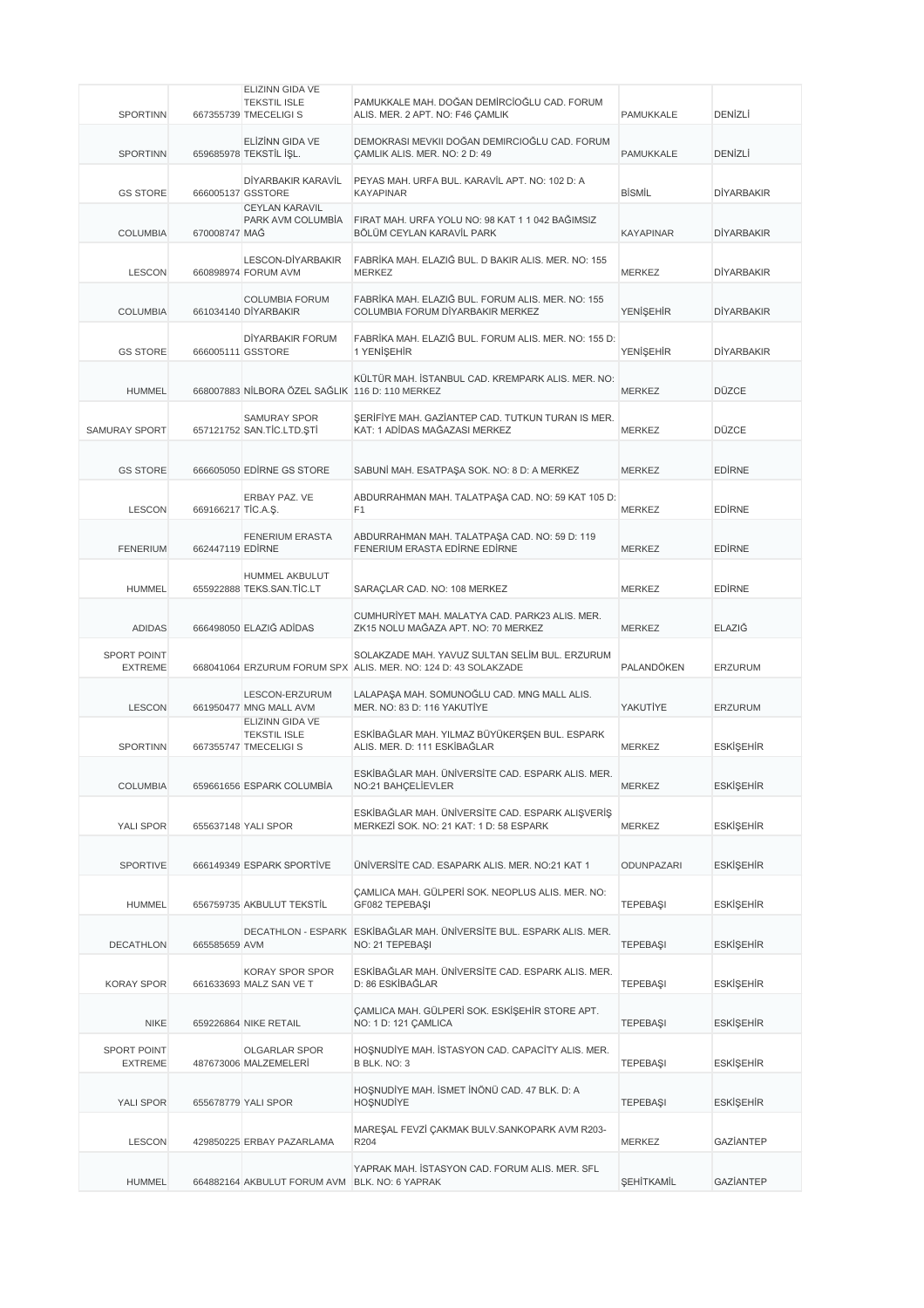|                                      |                    | ELIZINN GIDA VE                                                 |                                                                                                                  |                   |                   |
|--------------------------------------|--------------------|-----------------------------------------------------------------|------------------------------------------------------------------------------------------------------------------|-------------------|-------------------|
| <b>SPORTINN</b>                      |                    | <b>TEKSTIL ISLE</b><br>667355739 TMECELIGI S                    | PAMUKKALE MAH. DOĞAN DEMİRCİOĞLU CAD. FORUM<br>ALIS. MER. 2 APT. NO: F46 CAMLIK                                  | PAMUKKALE         | DENIZLI           |
| <b>SPORTINN</b>                      |                    | ELIZINN GIDA VE<br>659685978 TEKSTİL İŞL.                       | DEMOKRASI MEVKII DOĞAN DEMIRCIOĞLU CAD. FORUM<br>CAMLIK ALIS. MER. NO: 2 D: 49                                   | PAMUKKALE         | DENIZLI           |
| <b>GS STORE</b>                      |                    | DİYARBAKIR KARAVİL<br>666005137 GSSTORE                         | PEYAS MAH, URFA BUL, KARAVİL APT, NO: 102 D: A<br><b>KAYAPINAR</b>                                               | <b>BİSMİL</b>     | <b>DİYARBAKIR</b> |
| <b>COLUMBIA</b>                      | 670008747 MAG      | <b>CEYLAN KARAVIL</b><br>PARK AVM COLUMBIA                      | FIRAT MAH. URFA YOLU NO: 98 KAT 1 1 042 BAĞIMSIZ<br>BÖLÜM CEYLAN KARAVİL PARK                                    | <b>KAYAPINAR</b>  | <b>DİYARBAKIR</b> |
| <b>LESCON</b>                        |                    | LESCON-DIYARBAKIR<br>660898974 FORUM AVM                        | FABRİKA MAH. ELAZIĞ BUL. D BAKIR ALIS. MER. NO: 155<br><b>MERKEZ</b>                                             | <b>MERKEZ</b>     | <b>DİYARBAKIR</b> |
| <b>COLUMBIA</b>                      |                    | <b>COLUMBIA FORUM</b><br>661034140 DİYARBAKIR                   | FABRİKA MAH. ELAZIĞ BUL. FORUM ALIS. MER. NO: 155<br>COLUMBIA FORUM DİYARBAKIR MERKEZ                            | <b>YENİŞEHİR</b>  | <b>DİYARBAKIR</b> |
| <b>GS STORE</b>                      |                    | DİYARBAKIR FORUM<br>666005111 GSSTORE                           | FABRİKA MAH. ELAZIĞ BUL. FORUM ALIS. MER. NO: 155 D:<br>1 YENİŞEHİR                                              | <b>YENİŞEHİR</b>  | <b>DİYARBAKIR</b> |
| <b>HUMMEL</b>                        |                    | 668007883 NİLBORA ÖZEL SAĞLIK 116 D: 110 MERKEZ                 | KÜLTÜR MAH. İSTANBUL CAD. KREMPARK ALIS. MER. NO:                                                                | <b>MERKEZ</b>     | <b>DÜZCE</b>      |
| <b>SAMURAY SPORT</b>                 |                    | SAMURAY SPOR<br>657121752 SAN.TİC.LTD.ŞTİ                       | ŞERİFİYE MAH. GAZİANTEP CAD. TUTKUN TURAN IS MER.<br>KAT: 1 ADİDAS MAĞAZASI MERKEZ                               | <b>MERKEZ</b>     | <b>DÜZCE</b>      |
| <b>GS STORE</b>                      |                    | 666605050 EDIRNE GS STORE                                       | SABUNİ MAH. ESATPAŞA SOK. NO: 8 D: A MERKEZ                                                                      | <b>MERKEZ</b>     | <b>EDIRNE</b>     |
| <b>LESCON</b>                        | 669166217 TİC.A.Ş. | ERBAY PAZ. VE                                                   | ABDURRAHMAN MAH. TALATPAŞA CAD. NO: 59 KAT 105 D:<br>F <sub>1</sub>                                              | <b>MERKEZ</b>     | <b>EDIRNE</b>     |
| <b>FENERIUM</b>                      | 662447119 EDIRNE   | <b>FENERIUM ERASTA</b>                                          | ABDURRAHMAN MAH. TALATPAŞA CAD. NO: 59 D: 119<br>FENERIUM ERASTA EDİRNE EDİRNE                                   | <b>MERKEZ</b>     | <b>EDIRNE</b>     |
| <b>HUMMEL</b>                        |                    | <b>HUMMEL AKBULUT</b><br>655922888 TEKS.SAN.TİC.LT              | SARAÇLAR CAD. NO: 108 MERKEZ                                                                                     | <b>MERKEZ</b>     | <b>EDIRNE</b>     |
| <b>ADIDAS</b>                        |                    | 666498050 ELAZIĞ ADİDAS                                         | CUMHURİYET MAH. MALATYA CAD. PARK23 ALIS. MER.<br>ZK15 NOLU MAĞAZA APT. NO: 70 MERKEZ                            | <b>MERKEZ</b>     | ELAZIĞ            |
| <b>SPORT POINT</b><br><b>EXTREME</b> |                    |                                                                 | SOLAKZADE MAH. YAVUZ SULTAN SELİM BUL. ERZURUM<br>668041064 ERZURUM FORUM SPX ALIS. MER. NO: 124 D: 43 SOLAKZADE | PALANDÖKEN        | ERZURUM           |
| <b>LESCON</b>                        |                    | LESCON-ERZURUM<br>661950477 MNG MALL AVM                        | LALAPAŞA MAH. SOMUNOĞLU CAD. MNG MALL ALIS.<br>MER. NO: 83 D: 116 YAKUTİYE                                       | YAKUTİYE          | <b>ERZURUM</b>    |
| <b>SPORTINN</b>                      |                    | ELIZINN GIDA VE<br><b>TEKSTIL ISLE</b><br>667355747 TMECELIGI S | ESKİBAĞLAR MAH. YILMAZ BÜYÜKERŞEN BUL. ESPARK<br>ALIS, MER. D: 111 ESKİBAĞLAR                                    | <b>MERKEZ</b>     | <b>ESKİŞEHİR</b>  |
| <b>COLUMBIA</b>                      |                    | 659661656 ESPARK COLUMBIA                                       | ESKİBAĞLAR MAH. ÜNİVERSİTE CAD. ESPARK ALIS. MER.<br>NO:21 BAHÇELİEVLER                                          | <b>MERKEZ</b>     | <b>ESKİŞEHİR</b>  |
| YALI SPOR                            |                    | 655637148 YALI SPOR                                             | ESKİBAĞLAR MAH. ÜNİVERSİTE CAD. ESPARK ALIŞVERİŞ<br>MERKEZİ SOK. NO: 21 KAT: 1 D: 58 ESPARK                      | <b>MERKEZ</b>     | ESKİŞEHİR         |
| <b>SPORTIVE</b>                      |                    | 666149349 ESPARK SPORTIVE                                       | ÜNİVERSİTE CAD. ESAPARK ALIS. MER. NO:21 KAT 1                                                                   | ODUNPAZARI        | <b>ESKİŞEHİR</b>  |
| <b>HUMMEL</b>                        |                    | 656759735 AKBULUT TEKSTİL                                       | ÇAMLICA MAH. GÜLPERİ SOK. NEOPLUS ALIS. MER. NO:<br>GF082 TEPEBASI                                               | <b>TEPEBAŞI</b>   | <b>ESKİŞEHİR</b>  |
| DECATHLON                            | 665585659 AVM      |                                                                 | DECATHLON - ESPARK ESKİBAĞLAR MAH. ÜNİVERSİTE BUL. ESPARK ALIS. MER.<br>NO: 21 TEPEBAŞI                          | <b>TEPEBASI</b>   | ESKİŞEHİR         |
| <b>KORAY SPOR</b>                    |                    | KORAY SPOR SPOR<br>661633693 MALZ SAN VE T                      | ESKİBAĞLAR MAH. ÜNİVERSİTE CAD. ESPARK ALIS. MER.<br>D: 86 ESKİBAĞLAR                                            | <b>TEPEBAŞI</b>   | ESKİŞEHİR         |
| <b>NIKE</b>                          |                    | 659226864 NIKE RETAIL                                           | ÇAMLICA MAH. GÜLPERİ SOK. ESKİŞEHİR STORE APT.<br>NO: 1 D: 121 ÇAMLICA                                           | <b>TEPEBAŞI</b>   | <b>ESKİŞEHİR</b>  |
| SPORT POINT<br><b>EXTREME</b>        |                    | OLGARLAR SPOR<br>487673006 MALZEMELERİ                          | HOŞNUDİYE MAH. İSTASYON CAD. CAPACİTY ALIS. MER.<br>B BLK. NO: 3                                                 | <b>TEPEBAŞI</b>   | <b>ESKİŞEHİR</b>  |
| YALI SPOR                            |                    | 655678779 YALI SPOR                                             | HOŞNUDİYE MAH. İSMET İNÖNÜ CAD. 47 BLK. D: A<br><b>HOŞNUDİYE</b>                                                 | TEPEBAŞI          | <b>ESKİŞEHİR</b>  |
| <b>LESCON</b>                        |                    | 429850225 ERBAY PAZARLAMA                                       | MAREŞAL FEVZİ ÇAKMAK BULV.SANKOPARK AVM R203-<br>R204                                                            | MERKEZ            | <b>GAZIANTEP</b>  |
| HUMMEL                               |                    | 664882164 AKBULUT FORUM AVM BLK. NO: 6 YAPRAK                   | YAPRAK MAH. İSTASYON CAD. FORUM ALIS. MER. SFL                                                                   | <b>ŞEHİTKAMİL</b> | <b>GAZIANTEP</b>  |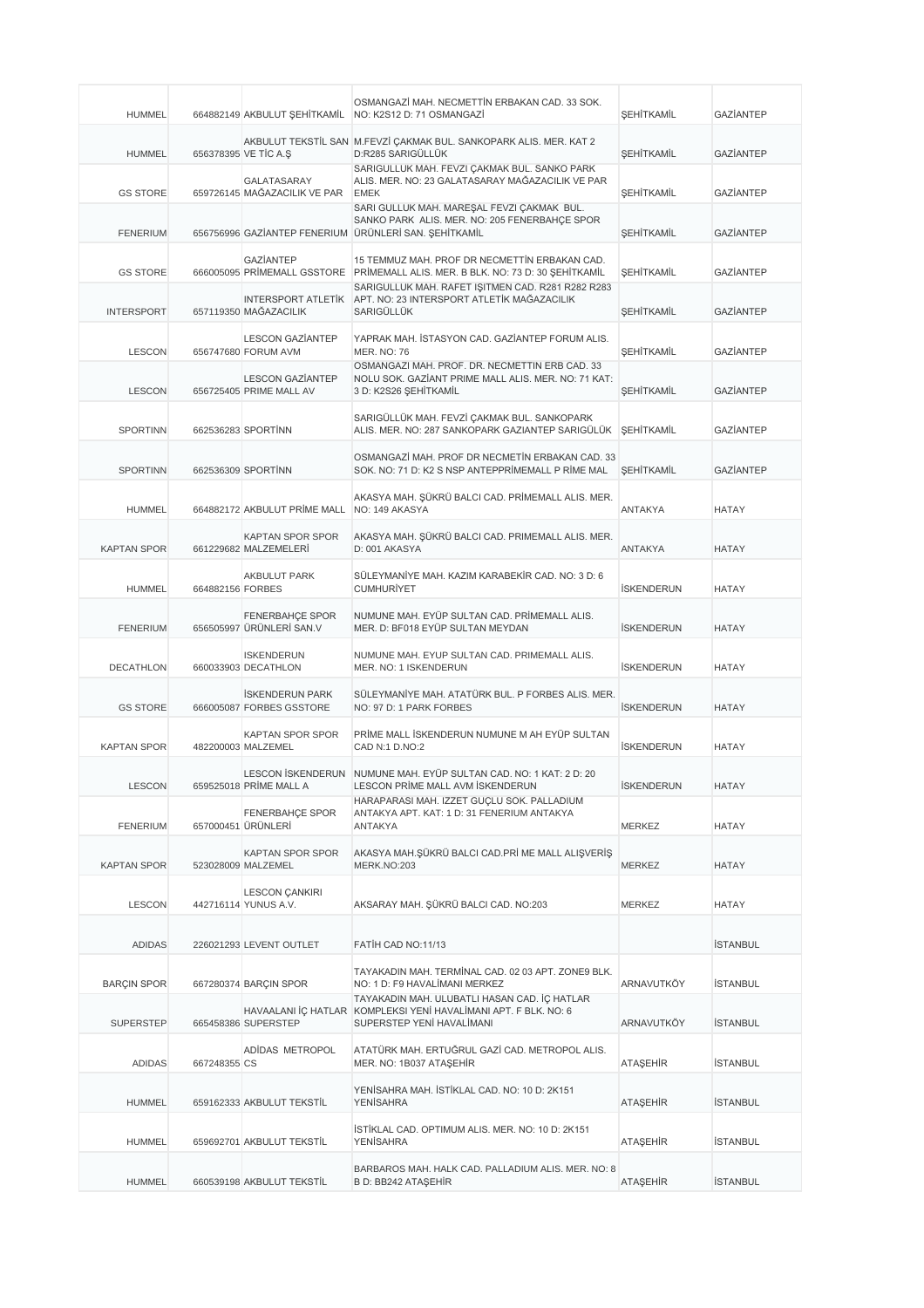| <b>HUMMEL</b>      |                  |                                                    | OSMANGAZI MAH. NECMETTIN ERBAKAN CAD. 33 SOK.<br>664882149 AKBULUT ŞEHİTKAMİL NO: K2S12 D: 71 OSMANGAZİ                                              | SEHİTKAMİL               | <b>GAZIANTEP</b> |
|--------------------|------------------|----------------------------------------------------|------------------------------------------------------------------------------------------------------------------------------------------------------|--------------------------|------------------|
| <b>HUMMEL</b>      |                  | 656378395 VE TİC A.Ş                               | AKBULUT TEKSTİL SAN M.FEVZİ ÇAKMAK BUL. SANKOPARK ALIS. MER. KAT 2<br>D:R285 SARIGÜLLÜK                                                              | <b>ŞEHİTKAMİL</b>        | <b>GAZIANTEP</b> |
| <b>GS STORE</b>    |                  | GALATASARAY<br>659726145 MAĞAZACILIK VE PAR        | SARIGULLUK MAH. FEVZI ÇAKMAK BUL. SANKO PARK<br>ALIS. MER. NO: 23 GALATASARAY MAĞAZACILIK VE PAR<br><b>EMEK</b>                                      | SEHİTKAMİL               | <b>GAZIANTEP</b> |
| <b>FENERIUM</b>    |                  |                                                    | SARI GÜLLÜK MAH. MAREŞAL FEVZI ÇAKMAK BUL.<br>SANKO PARK ALIS. MER. NO: 205 FENERBAHÇE SPOR<br>656756996 GAZİANTEP FENERIUM ÜRÜNLERİ SAN. ŞEHİTKAMİL | <b>ŞEHİTKAMİL</b>        | <b>GAZIANTEP</b> |
| <b>GS STORE</b>    |                  | GAZİANTEP                                          | 15 TEMMUZ MAH. PROF DR NECMETTİN ERBAKAN CAD.<br>666005095 PRİMEMALL GSSTORE PRİMEMALL ALIS. MER. B BLK. NO: 73 D: 30 ŞEHİTKAMİL                     | <b>SEHİTKAMİL</b>        | <b>GAZIANTEP</b> |
| <b>INTERSPORT</b>  |                  | 657119350 MAĞAZACILIK                              | SARIGÜLLÜK MAH. RAFET İŞİTMEN CAD. R281 R282 R283<br>INTERSPORT ATLETİK APT. NO: 23 INTERSPORT ATLETİK MAĞAZACILIK<br><b>SARIGÜLLÜK</b>              | <b>ŞEHİTKAMİL</b>        | <b>GAZIANTEP</b> |
| <b>LESCON</b>      |                  | <b>LESCON GAZIANTEP</b><br>656747680 FORUM AVM     | YAPRAK MAH. İSTASYON CAD. GAZİANTEP FORUM ALIS.<br><b>MER. NO: 76</b>                                                                                | <b>ŞEHİTKAMİL</b>        | <b>GAZIANTEP</b> |
| <b>LESCON</b>      |                  | <b>LESCON GAZIANTEP</b><br>656725405 PRIME MALL AV | OSMANGAZI MAH, PROF. DR. NECMETTIN ERB CAD, 33<br>NOLU SOK. GAZİANT PRIME MALL ALIS. MER. NO: 71 KAT:<br>3 D: K2S26 ŞEHİTKAMİL                       | SEHİTKAMİL               | <b>GAZIANTEP</b> |
| <b>SPORTINN</b>    |                  | 662536283 SPORTINN                                 | SARIGÜLLÜK MAH. FEVZİ ÇAKMAK BUL. SANKOPARK<br>ALIS. MER. NO: 287 SANKOPARK GAZIANTEP SARIGÜLÜK SEHİTKAMİL                                           |                          | <b>GAZIANTEP</b> |
| <b>SPORTINN</b>    |                  | 662536309 SPORTINN                                 | OSMANGAZİ MAH. PROF DR NECMETİN ERBAKAN CAD. 33<br>SOK. NO: 71 D: K2 S NSP ANTEPPRİMEMALL P RİME MAL                                                 | <b><i>ŞEHİTKAMİL</i></b> | <b>GAZIANTEP</b> |
| <b>HUMMEL</b>      |                  | 664882172 AKBULUT PRIME MALL NO: 149 AKASYA        | AKASYA MAH. ŞÜKRÜ BALCI CAD. PRİMEMALL ALIS. MER.                                                                                                    | <b>ANTAKYA</b>           | <b>HATAY</b>     |
| <b>KAPTAN SPOR</b> |                  | <b>KAPTAN SPOR SPOR</b><br>661229682 MALZEMELERİ   | AKASYA MAH. ŞÜKRÜ BALCI CAD. PRIMEMALL ALIS. MER.<br>D: 001 AKASYA                                                                                   | ANTAKYA                  | <b>HATAY</b>     |
| <b>HUMMEL</b>      | 664882156 FORBES | <b>AKBULUT PARK</b>                                | SÜLEYMANİYE MAH. KAZIM KARABEKİR CAD. NO: 3 D: 6<br><b>CUMHURİYET</b>                                                                                | <b>İSKENDERUN</b>        | <b>HATAY</b>     |
| <b>FENERIUM</b>    |                  | FENERBAHÇE SPOR<br>656505997 ÜRÜNLERİ SAN.V        | NUMUNE MAH. EYÜP SULTAN CAD. PRİMEMALL ALIS.<br>MER. D: BF018 EYÜP SULTAN MEYDAN                                                                     | <b>İSKENDERUN</b>        | <b>HATAY</b>     |
| DECATHLON          |                  | <b>ISKENDERUN</b><br>660033903 DECATHLON           | NUMUNE MAH. EYUP SULTAN CAD. PRIMEMALL ALIS.<br>MER. NO: 1 ISKENDERUN                                                                                | <b>İSKENDERUN</b>        | <b>HATAY</b>     |
| <b>GS STORE</b>    |                  | <b>ISKENDERUN PARK</b><br>666005087 FORBES GSSTORE | SÜLEYMANİYE MAH. ATATÜRK BUL. P FORBES ALIS. MER.<br>NO: 97 D: 1 PARK FORBES                                                                         | <b>İSKENDERUN</b>        | <b>HATAY</b>     |
| <b>KAPTAN SPOR</b> |                  | <b>KAPTAN SPOR SPOR</b><br>482200003 MALZEMEL      | PRİME MALL İSKENDERUN NUMUNE M AH EYÜP SULTAN<br>CAD N:1 D.NO:2                                                                                      | <b>İSKENDERUN</b>        | <b>HATAY</b>     |
| <b>LESCON</b>      |                  | 659525018 PRİME MALL A                             | LESCON İSKENDERUN NUMUNE MAH. EYÜP SULTAN CAD. NO: 1 KAT: 2 D: 20<br>LESCON PRIME MALL AVM ISKENDERUN                                                | <b>İSKENDERUN</b>        | <b>HATAY</b>     |
| <b>FENERIUM</b>    |                  | <b>FENERBAHCE SPOR</b><br>657000451 ÜRÜNLERİ       | HARAPARASI MAH. İZZET GÜÇLÜ SOK. PALLADİUM<br>ANTAKYA APT. KAT: 1 D: 31 FENERIUM ANTAKYA<br>ANTAKYA                                                  | MERKEZ                   | <b>HATAY</b>     |
| <b>KAPTAN SPOR</b> |                  | KAPTAN SPOR SPOR<br>523028009 MALZEMEL             | AKASYA MAH.ŞÜKRÜ BALCI CAD.PRİ ME MALL ALIŞVERİŞ<br>MERK.NO:203                                                                                      | MERKEZ                   | <b>HATAY</b>     |
| <b>LESCON</b>      |                  | <b>LESCON CANKIRI</b><br>442716114 YUNUS A.V.      | AKSARAY MAH. ŞÜKRÜ BALCI CAD. NO:203                                                                                                                 | MERKEZ                   | <b>HATAY</b>     |
| <b>ADIDAS</b>      |                  | 226021293 LEVENT OUTLET                            | FATIH CAD NO:11/13                                                                                                                                   |                          | <b>İSTANBUL</b>  |
| <b>BARÇIN SPOR</b> |                  | 667280374 BARÇIN SPOR                              | TAYAKADIN MAH. TERMİNAL CAD. 02 03 APT. ZONE9 BLK.<br>NO: 1 D: F9 HAVALİMANI MERKEZ                                                                  | ARNAVUTKÖY               | <b>İSTANBUL</b>  |
| <b>SUPERSTEP</b>   |                  | 665458386 SUPERSTEP                                | TAYAKADIN MAH. ULUBATLI HASAN CAD. İÇ HATLAR<br>HAVAALANI İÇ HATLAR KOMPLEKSI YENİ HAVALİMANI APT. F BLK. NO: 6<br>SUPERSTEP YENİ HAVALİMANI         | ARNAVUTKÖY               | <b>İSTANBUL</b>  |
| <b>ADIDAS</b>      | 667248355 CS     | ADIDAS METROPOL                                    | ATATÜRK MAH. ERTUĞRUL GAZİ CAD. METROPOL ALIS.<br>MER. NO: 1B037 ATAŞEHİR                                                                            | <b>ATAŞEHİR</b>          | <b>İSTANBUL</b>  |
| <b>HUMMEL</b>      |                  | 659162333 AKBULUT TEKSTİL                          | YENİSAHRA MAH. İSTİKLAL CAD. NO: 10 D: 2K151<br><b>YENISAHRA</b>                                                                                     | ATAŞEHİR                 | İSTANBUL         |
| <b>HUMMEL</b>      |                  | 659692701 AKBULUT TEKSTİL                          | İSTİKLAL CAD. OPTIMUM ALIS. MER. NO: 10 D: 2K151<br>YENİSAHRA                                                                                        | ATAŞEHİR                 | <b>İSTANBUL</b>  |
| <b>HUMMEL</b>      |                  | 660539198 AKBULUT TEKSTİL                          | BARBAROS MAH. HALK CAD. PALLADIUM ALIS. MER. NO: 8<br>B D: BB242 ATAŞEHİR                                                                            | ATAŞEHİR                 | <b>İSTANBUL</b>  |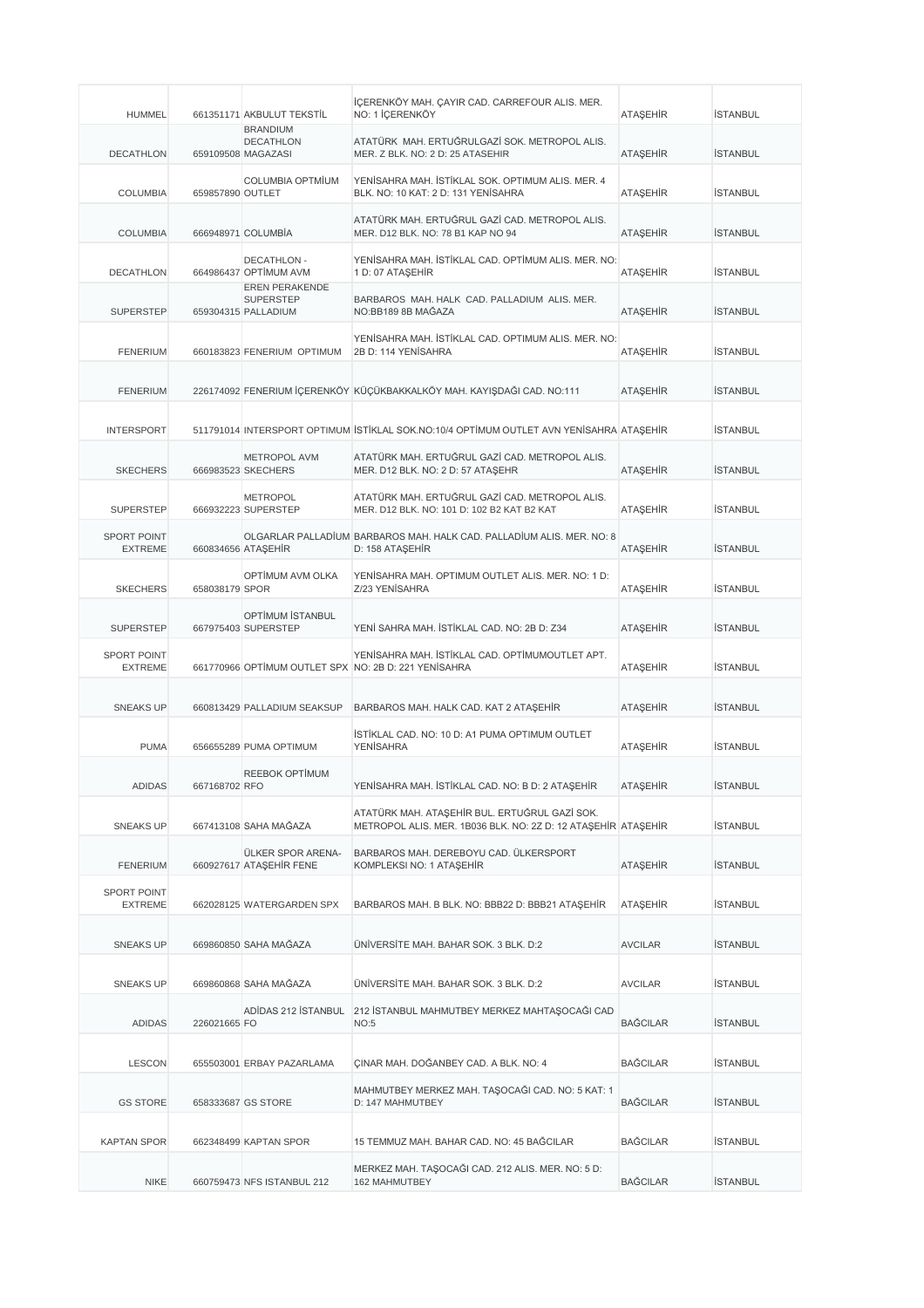| <b>HUMMEL</b>                        |                  | 661351171 AKBULUT TEKSTİL                                        | İÇERENKÖY MAH. ÇAYIR CAD. CARREFOUR ALIS. MER.<br>NO: 1 İÇERENKÖY                                              | ATAŞEHİR        | <b>İSTANBUL</b> |
|--------------------------------------|------------------|------------------------------------------------------------------|----------------------------------------------------------------------------------------------------------------|-----------------|-----------------|
| <b>DECATHLON</b>                     |                  | <b>BRANDIUM</b><br><b>DECATHLON</b><br>659109508 MAGAZASI        | ATATÜRK MAH. ERTUĞRULGAZİ SOK. METROPOL ALIS.<br>MER. Z BLK. NO: 2 D: 25 ATASEHIR                              | <b>ATAŞEHİR</b> | <b>İSTANBUL</b> |
| <b>COLUMBIA</b>                      | 659857890 OUTLET | <b>COLUMBIA OPTMİUM</b>                                          | YENİSAHRA MAH. İSTİKLAL SOK. OPTIMUM ALIS. MER. 4<br>BLK. NO: 10 KAT: 2 D: 131 YENİSAHRA                       | <b>ATAŞEHİR</b> | <b>İSTANBUL</b> |
| <b>COLUMBIA</b>                      |                  | 666948971 COLUMBIA                                               | ATATÜRK MAH. ERTUĞRUL GAZİ CAD. METROPOL ALIS.<br>MER. D12 BLK. NO: 78 B1 KAP NO 94                            | <b>ATAŞEHİR</b> | <b>İSTANBUL</b> |
| <b>DECATHLON</b>                     |                  | <b>DECATHLON -</b><br>664986437 OPTIMUM AVM                      | YENİSAHRA MAH. İSTİKLAL CAD. OPTİMUM ALIS. MER. NO:<br>1 D: 07 ATAŞEHİR                                        | <b>ATAŞEHİR</b> | <b>İSTANBUL</b> |
| <b>SUPERSTEP</b>                     |                  | <b>EREN PERAKENDE</b><br><b>SUPERSTEP</b><br>659304315 PALLADIUM | BARBAROS MAH. HALK CAD. PALLADIUM ALIS. MER.<br>NO:BB189 8B MAĞAZA                                             | <b>ATAŞEHİR</b> | <b>İSTANBUL</b> |
| <b>FENERIUM</b>                      |                  | 660183823 FENERIUM OPTIMUM                                       | YENİSAHRA MAH. İSTİKLAL CAD. OPTIMUM ALIS. MER. NO:<br>2B D: 114 YENİSAHRA                                     | <b>ATAŞEHİR</b> | <b>İSTANBUL</b> |
| <b>FENERIUM</b>                      |                  |                                                                  | 226174092 FENERIUM İÇERENKÖY KÜÇÜKBAKKALKÖY MAH. KAYIŞDAĞI CAD. NO:111                                         | <b>ATAŞEHİR</b> | <b>İSTANBUL</b> |
| <b>INTERSPORT</b>                    |                  |                                                                  | 511791014 INTERSPORT OPTIMUM ISTIKLAL SOK.NO:10/4 OPTIMUM OUTLET AVN YENISAHRA ATAŞEHIR                        |                 | <b>İSTANBUL</b> |
| <b>SKECHERS</b>                      |                  | METROPOL AVM<br>666983523 SKECHERS                               | ATATÜRK MAH. ERTUĞRUL GAZİ CAD. METROPOL ALIS.<br>MER. D12 BLK. NO: 2 D: 57 ATAŞEHR                            | ATAŞEHİR        | <b>İSTANBUL</b> |
| <b>SUPERSTEP</b>                     |                  | <b>METROPOL</b><br>666932223 SUPERSTEP                           | ATATÜRK MAH. ERTUĞRUL GAZİ CAD. METROPOL ALIS.<br>MER. D12 BLK. NO: 101 D: 102 B2 KAT B2 KAT                   | <b>ATAŞEHİR</b> | <b>İSTANBUL</b> |
| <b>SPORT POINT</b><br><b>EXTREME</b> |                  | 660834656 ATAŞEHİR                                               | OLGARLAR PALLADİUM BARBAROS MAH. HALK CAD. PALLADİUM ALIS. MER. NO: 8<br>D: 158 ATAŞEHİR                       | <b>ATAŞEHİR</b> | <b>İSTANBUL</b> |
| <b>SKECHERS</b>                      | 658038179 SPOR   | OPTIMUM AVM OLKA                                                 | YENİSAHRA MAH. OPTIMUM OUTLET ALIS. MER. NO: 1 D:<br>Z/23 YENİSAHRA                                            | ATAŞEHİR        | <b>İSTANBUL</b> |
| <b>SUPERSTEP</b>                     |                  | OPTİMUM İSTANBUL<br>667975403 SUPERSTEP                          | YENİ SAHRA MAH. İSTİKLAL CAD. NO: 2B D: Z34                                                                    | ATAŞEHİR        | <b>İSTANBUL</b> |
| <b>SPORT POINT</b><br><b>EXTREME</b> |                  |                                                                  | YENİSAHRA MAH. İSTİKLAL CAD. OPTİMUMOUTLET APT.<br>661770966 OPTİMUM OUTLET SPX NO: 2B D: 221 YENİSAHRA        | ATAŞEHİR        | <b>İSTANBUL</b> |
| <b>SNEAKS UP</b>                     |                  | 660813429 PALLADIUM SEAKSUP                                      | BARBAROS MAH. HALK CAD. KAT 2 ATAŞEHİR                                                                         | ATAŞEHİR        | <b>İSTANBUL</b> |
| <b>PUMA</b>                          |                  | 656655289 PUMA OPTIMUM                                           | İSTİKLAL CAD. NO: 10 D: A1 PUMA OPTIMUM OUTLET<br><b>YENİSAHRA</b>                                             | <b>ATASEHIR</b> | <b>İSTANBUL</b> |
| ADIDAS                               | 667168702 RFO    | <b>REEBOK OPTIMUM</b>                                            | YENISAHRA MAH. ISTIKLAL CAD. NO: B D: 2 ATAŞEHIR                                                               | ATAŞEHIR        | ISTANBUL        |
| <b>SNEAKS UP</b>                     |                  | 667413108 SAHA MAĞAZA                                            | ATATÜRK MAH. ATAŞEHİR BUL. ERTUĞRUL GAZİ SOK.<br>METROPOL ALIS. MER. 1B036 BLK. NO: 2Z D: 12 ATAŞEHİR ATAŞEHİR |                 | <b>İSTANBUL</b> |
| <b>FENERIUM</b>                      |                  | ÜLKER SPOR ARENA-<br>660927617 ATAŞEHİR FENE                     | BARBAROS MAH. DEREBOYU CAD. ÜLKERSPORT<br>KOMPLEKSI NO: 1 ATAŞEHİR                                             | ATAŞEHİR        | <b>İSTANBUL</b> |
| SPORT POINT<br><b>EXTREME</b>        |                  | 662028125 WATERGARDEN SPX                                        | BARBAROS MAH. B BLK. NO: BBB22 D: BBB21 ATAŞEHİR                                                               | ATAŞEHİR        | <b>İSTANBUL</b> |
| <b>SNEAKS UP</b>                     |                  | 669860850 SAHA MAĞAZA                                            | ÜNİVERSİTE MAH. BAHAR SOK. 3 BLK. D:2                                                                          | <b>AVCILAR</b>  | <b>İSTANBUL</b> |
| SNEAKS UP                            |                  | 669860868 SAHA MAGAZA                                            | ÜNİVERSİTE MAH. BAHAR SOK. 3 BLK. D:2                                                                          | <b>AVCILAR</b>  | <b>İSTANBUL</b> |
| <b>ADIDAS</b>                        | 226021665 FO     | ADIDAS 212 ISTANBUL                                              | 212 İSTANBUL MAHMUTBEY MERKEZ MAHTAŞOCAĞI CAD<br><b>NO:5</b>                                                   | <b>BAĞCILAR</b> | <b>İSTANBUL</b> |
| <b>LESCON</b>                        |                  | 655503001 ERBAY PAZARLAMA                                        | CINAR MAH. DOGANBEY CAD. A BLK. NO: 4                                                                          | <b>BAGCILAR</b> | <b>İSTANBUL</b> |
| <b>GS STORE</b>                      |                  | 658333687 GS STORE                                               | MAHMUTBEY MERKEZ MAH. TAŞOCAĞI CAD. NO: 5 KAT: 1<br>D: 147 MAHMUTBEY                                           | <b>BAGCILAR</b> | <b>İSTANBUL</b> |
| <b>KAPTAN SPOR</b>                   |                  | 662348499 KAPTAN SPOR                                            | 15 TEMMUZ MAH. BAHAR CAD. NO: 45 BAĞCILAR                                                                      | <b>BAĞCILAR</b> | <b>İSTANBUL</b> |
| <b>NIKE</b>                          |                  | 660759473 NFS ISTANBUL 212                                       | MERKEZ MAH. TAŞOCAĞI CAD. 212 ALIS. MER. NO: 5 D:<br>162 MAHMUTBEY                                             | <b>BAĞCILAR</b> | <b>İSTANBUL</b> |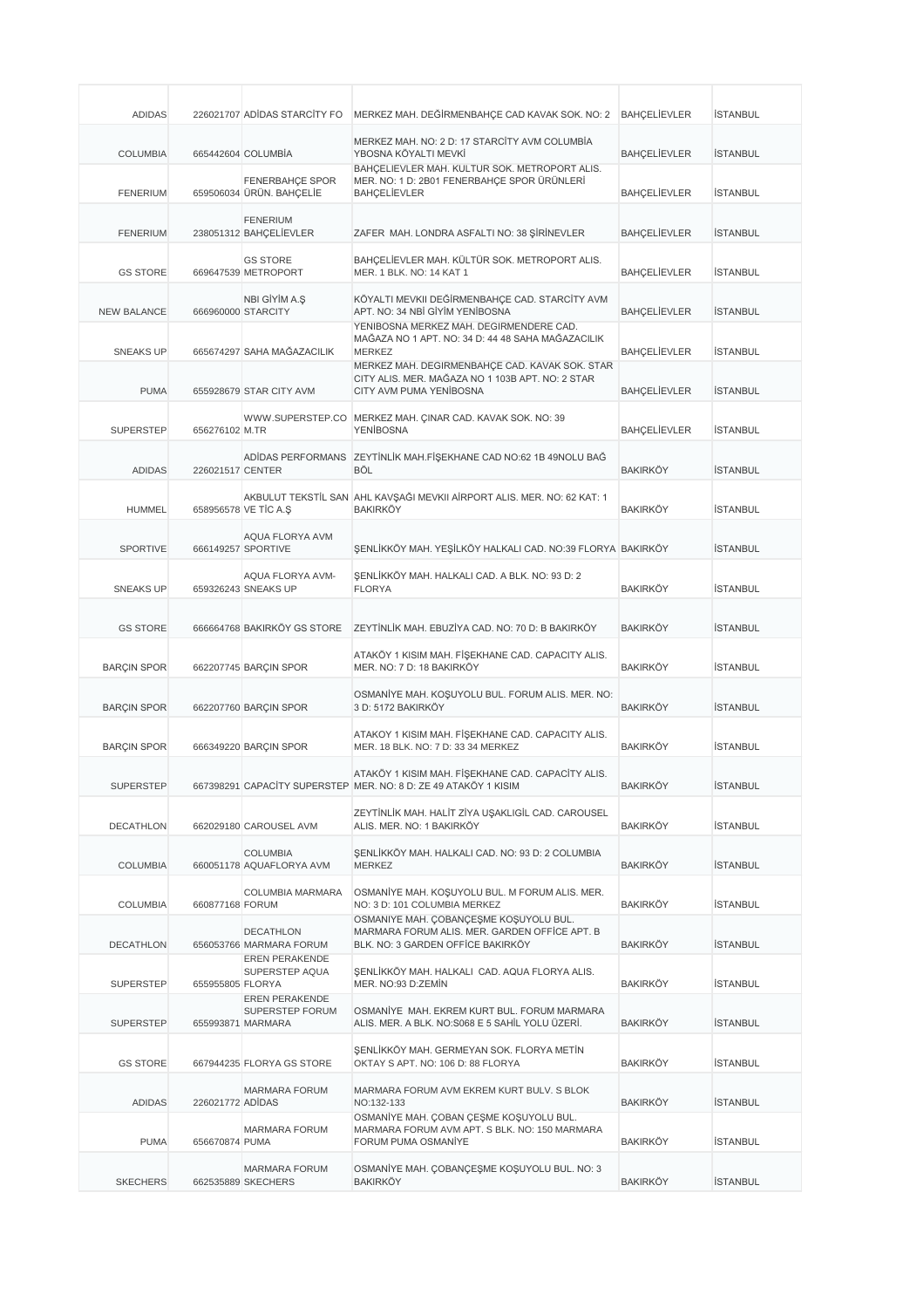| <b>ADIDAS</b>      |                  | 226021707 ADIDAS STARCITY FO                              | MERKEZ MAH. DEĞİRMENBAHÇE CAD KAVAK SOK. NO: 2                                                                                | <b>BAHCELIEVLER</b> | <b>İSTANBUL</b> |
|--------------------|------------------|-----------------------------------------------------------|-------------------------------------------------------------------------------------------------------------------------------|---------------------|-----------------|
| <b>COLUMBIA</b>    |                  | 665442604 COLUMBIA                                        | MERKEZ MAH. NO: 2 D: 17 STARCİTY AVM COLUMBİA<br>YBOSNA KÖYALTI MEVKİ                                                         | <b>BAHÇELİEVLER</b> | <b>İSTANBUL</b> |
| <b>FENERIUM</b>    |                  | FENERBAHÇE SPOR<br>659506034 ÜRÜN. BAHÇELİE               | BAHCELIEVLER MAH. KULTUR SOK. METROPORT ALIS.<br>MER. NO: 1 D: 2B01 FENERBAHÇE SPOR ÜRÜNLERİ<br><b>BAHCELIEVLER</b>           | <b>BAHÇELİEVLER</b> | <b>İSTANBUL</b> |
| <b>FENERIUM</b>    |                  | <b>FENERIUM</b><br>238051312 BAHÇELİEVLER                 | ZAFER MAH. LONDRA ASFALTI NO: 38 ŞİRİNEVLER                                                                                   | <b>BAHÇELİEVLER</b> | <b>İSTANBUL</b> |
| <b>GS STORE</b>    |                  | <b>GS STORE</b><br>669647539 METROPORT                    | BAHÇELİEVLER MAH. KÜLTÜR SOK. METROPORT ALIS.<br>MER. 1 BLK. NO: 14 KAT 1                                                     | <b>BAHÇELİEVLER</b> | <b>İSTANBUL</b> |
| <b>NEW BALANCE</b> |                  | NBI GİYİM A.Ş<br>666960000 STARCITY                       | KÖYALTI MEVKII DEĞİRMENBAHÇE CAD. STARCİTY AVM<br>APT. NO: 34 NBİ GİYİM YENİBOSNA                                             | <b>BAHÇELİEVLER</b> | <b>İSTANBUL</b> |
| <b>SNEAKS UP</b>   |                  | 665674297 SAHA MAĞAZACILIK                                | YENIBOSNA MERKEZ MAH. DEGIRMENDERE CAD.<br>MAĞAZA NO 1 APT. NO: 34 D: 44 48 SAHA MAĞAZACILIK<br><b>MERKEZ</b>                 | <b>BAHÇELİEVLER</b> | <b>İSTANBUL</b> |
| <b>PUMA</b>        |                  | 655928679 STAR CITY AVM                                   | MERKEZ MAH. DEGİRMENBAHÇE CAD. KAVAK SOK. STAR<br>CITY ALIS. MER. MAĞAZA NO 1 103B APT. NO: 2 STAR<br>CITY AVM PUMA YENIBOSNA | <b>BAHÇELİEVLER</b> | <b>İSTANBUL</b> |
| <b>SUPERSTEP</b>   | 656276102 M.TR   |                                                           | WWW.SUPERSTEP.CO MERKEZ MAH. CINAR CAD. KAVAK SOK. NO: 39<br><b>YENİBOSNA</b>                                                 | <b>BAHÇELİEVLER</b> | <b>İSTANBUL</b> |
| <b>ADIDAS</b>      | 226021517 CENTER |                                                           | ADİDAS PERFORMANS ZEYTİNLİK MAH.FİŞEKHANE CAD NO:62 1B 49NOLU BAĞ<br>BÖL                                                      | <b>BAKIRKÖY</b>     | <b>İSTANBUL</b> |
| <b>HUMMEL</b>      |                  | 658956578 VE TİC A.Ş                                      | AKBULUT TEKSTİL SAN AHL KAVŞAĞI MEVKII AİRPORT ALIS. MER. NO: 62 KAT: 1<br><b>BAKIRKÖY</b>                                    | <b>BAKIRKÖY</b>     | <b>İSTANBUL</b> |
| <b>SPORTIVE</b>    |                  | AQUA FLORYA AVM<br>666149257 SPORTIVE                     | ŞENLİKKÖY MAH. YEŞİLKÖY HALKALI CAD. NO:39 FLORYA BAKIRKÖY                                                                    |                     | <b>İSTANBUL</b> |
| <b>SNEAKS UP</b>   |                  | AQUA FLORYA AVM-<br>659326243 SNEAKS UP                   | ŞENLİKKÖY MAH. HALKALI CAD. A BLK. NO: 93 D: 2<br><b>FLORYA</b>                                                               | <b>BAKIRKÖY</b>     | <b>İSTANBUL</b> |
| <b>GS STORE</b>    |                  | 666664768 BAKIRKÖY GS STORE                               | ZEYTİNLİK MAH. EBUZİYA CAD. NO: 70 D: B BAKIRKÖY                                                                              | <b>BAKIRKÖY</b>     | <b>İSTANBUL</b> |
| <b>BARÇIN SPOR</b> |                  | 662207745 BARÇIN SPOR                                     | ATAKÖY 1 KISIM MAH. FİŞEKHANE CAD. CAPACITY ALIS.<br>MER. NO: 7 D: 18 BAKIRKÖY                                                | <b>BAKIRKÖY</b>     | <b>İSTANBUL</b> |
| <b>BARCIN SPOR</b> |                  | 662207760 BARÇIN SPOR                                     | OSMANİYE MAH. KOŞUYOLU BUL. FORUM ALIS. MER. NO:<br>3 D: 5172 BAKIRKÖY                                                        | <b>BAKIRKÖY</b>     | <b>İSTANBUL</b> |
| <b>BARCIN SPOR</b> |                  | 666349220 BARCIN SPOR                                     | ATAKOY 1 KISIM MAH. FİŞEKHANE CAD. CAPACITY ALIS.<br>MER. 18 BLK. NO: 7 D: 33 34 MERKEZ                                       | <b>BAKIRKÖY</b>     | <b>İSTANBUL</b> |
| <b>SUPERSTEP</b>   |                  |                                                           | ATAKÖY 1 KISIM MAH. FİŞEKHANE CAD. CAPACİTY ALIS.<br>667398291 CAPACITY SUPERSTEP MER. NO: 8 D: ZE 49 ATAKOY 1 KISIM          | <b>BAKIRKOY</b>     | ISTANBUL        |
| <b>DECATHLON</b>   |                  | 662029180 CAROUSEL AVM                                    | ZEYTİNLİK MAH. HALİT ZİYA UŞAKLIGİL CAD. CAROUSEL<br>ALIS, MER. NO: 1 BAKIRKÖY                                                | <b>BAKIRKÖY</b>     | <b>İSTANBUL</b> |
| <b>COLUMBIA</b>    |                  | <b>COLUMBIA</b><br>660051178 AQUAFLORYA AVM               | ŞENLİKKÖY MAH. HALKALI CAD. NO: 93 D: 2 COLUMBIA<br><b>MERKEZ</b>                                                             | <b>BAKIRKÖY</b>     | <b>İSTANBUL</b> |
| <b>COLUMBIA</b>    | 660877168 FORUM  | COLUMBIA MARMARA                                          | OSMANİYE MAH. KOŞUYOLU BUL. M FORUM ALIS. MER.<br>NO: 3 D: 101 COLUMBIA MERKEZ                                                | <b>BAKIRKÖY</b>     | <b>İSTANBUL</b> |
| <b>DECATHLON</b>   |                  | DECATHLON<br>656053766 MARMARA FORUM                      | OSMANIYE MAH. COBANCESME KOSUYOLU BUL.<br>MARMARA FORUM ALIS, MER. GARDEN OFFICE APT. B<br>BLK. NO: 3 GARDEN OFFİCE BAKIRKÖY  | <b>BAKIRKÖY</b>     | <b>İSTANBUL</b> |
| <b>SUPERSTEP</b>   | 655955805 FLORYA | <b>EREN PERAKENDE</b><br>SUPERSTEP AQUA<br>EREN PERAKENDE | ŞENLİKKÖY MAH. HALKALI CAD. AQUA FLORYA ALIS.<br>MER. NO:93 D:ZEMİN                                                           | <b>BAKIRKÖY</b>     | <b>İSTANBUL</b> |
| <b>SUPERSTEP</b>   |                  | SUPERSTEP FORUM<br>655993871 MARMARA                      | OSMANİYE MAH. EKREM KURT BUL. FORUM MARMARA<br>ALIS. MER. A BLK. NO:S068 E 5 SAHİL YOLU ÜZERİ.                                | <b>BAKIRKÖY</b>     | <b>İSTANBUL</b> |
| <b>GS STORE</b>    |                  | 667944235 FLORYA GS STORE                                 | ŞENLİKKÖY MAH. GERMEYAN SOK. FLORYA METİN<br>OKTAY S APT. NO: 106 D: 88 FLORYA                                                | <b>BAKIRKÖY</b>     | <b>İSTANBUL</b> |
| ADIDAS             | 226021772 ADIDAS | MARMARA FORUM                                             | MARMARA FORUM AVM EKREM KURT BULV. S BLOK<br>NO:132-133                                                                       | <b>BAKIRKÖY</b>     | <b>İSTANBUL</b> |
| <b>PUMA</b>        | 656670874 PUMA   | <b>MARMARA FORUM</b>                                      | OSMANÍYE MAH. ÇOBAN ÇEŞME KOŞUYOLU BUL.<br>MARMARA FORUM AVM APT. S BLK. NO: 150 MARMARA<br>FORUM PUMA OSMANIYE               | <b>BAKIRKÖY</b>     | <b>İSTANBUL</b> |
| <b>SKECHERS</b>    |                  | <b>MARMARA FORUM</b><br>662535889 SKECHERS                | OSMANÍYE MAH. ÇOBANÇEŞME KOŞUYOLU BUL. NO: 3<br><b>BAKIRKÖY</b>                                                               | <b>BAKIRKÖY</b>     | <b>İSTANBUL</b> |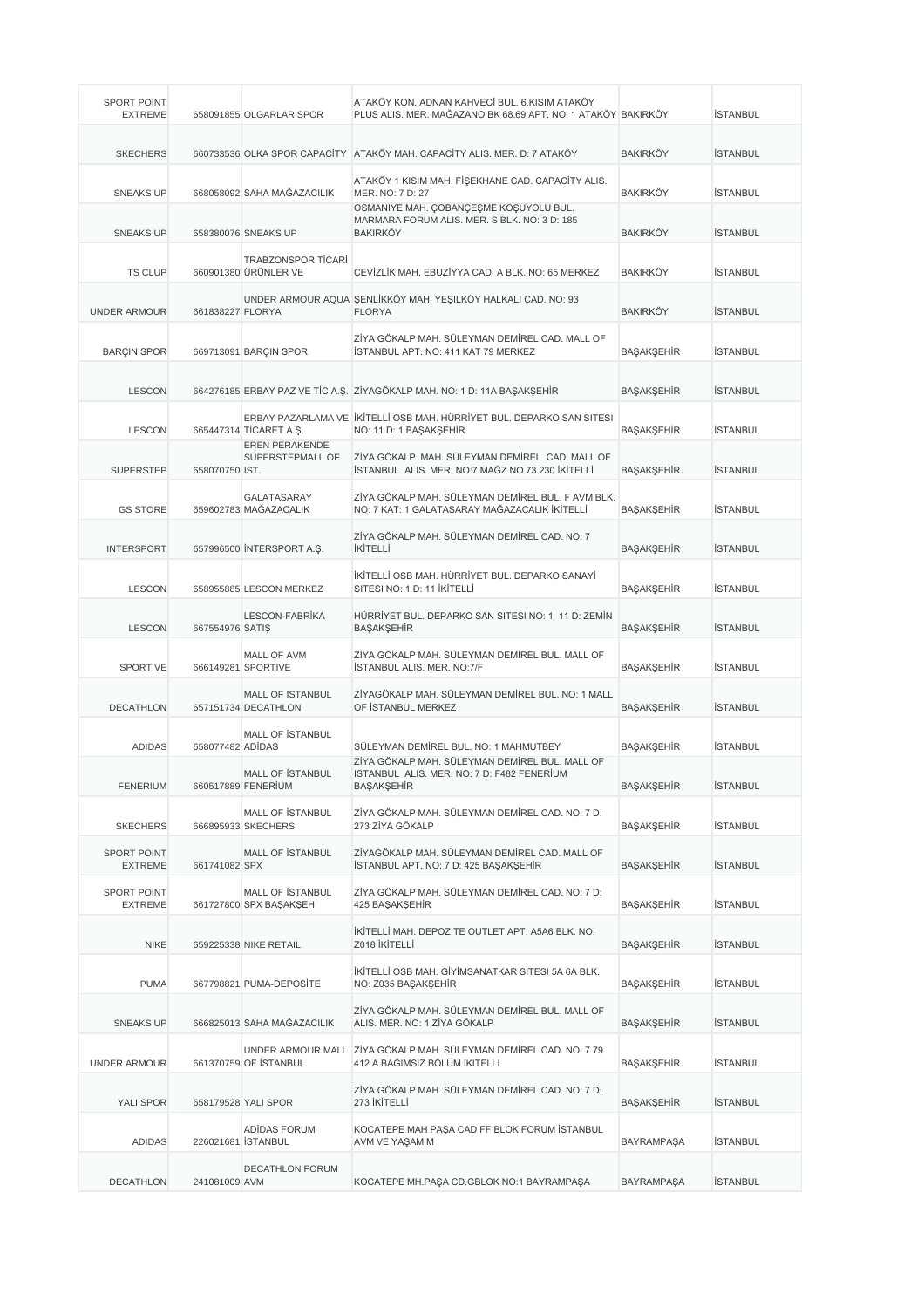| <b>SPORT POINT</b><br><b>EXTREME</b> |                  | 658091855 OLGARLAR SPOR                           | ATAKÖY KON. ADNAN KAHVECİ BUL. 6.KISIM ATAKÖY<br>PLUS ALIS. MER. MAĞAZANO BK 68.69 APT. NO: 1 ATAKÖY BAKIRKÖY |                   | <b>İSTANBUL</b> |
|--------------------------------------|------------------|---------------------------------------------------|---------------------------------------------------------------------------------------------------------------|-------------------|-----------------|
| <b>SKECHERS</b>                      |                  |                                                   | 660733536 OLKA SPOR CAPACITY ATAKÖY MAH. CAPACITY ALIS. MER. D: 7 ATAKÖY                                      | <b>BAKIRKÖY</b>   | <b>İSTANBUL</b> |
| <b>SNEAKS UP</b>                     |                  | 668058092 SAHA MAĞAZACILIK                        | ATAKÖY 1 KISIM MAH. FİŞEKHANE CAD. CAPACİTY ALIS.<br>MER. NO: 7 D: 27                                         | BAKIRKÖY          | <b>İSTANBUL</b> |
| <b>SNEAKS UP</b>                     |                  | 658380076 SNEAKS UP                               | OSMANIYE MAH. ÇOBANÇEŞME KOŞUYOLU BUL.<br>MARMARA FORUM ALIS. MER. S BLK. NO: 3 D: 185<br><b>BAKIRKÖY</b>     | <b>BAKIRKÖY</b>   | <b>İSTANBUL</b> |
| <b>TS CLUP</b>                       |                  | <b>TRABZONSPOR TİCARİ</b><br>660901380 ÜRÜNLER VE | CEVİZLİK MAH. EBUZİYYA CAD. A BLK. NO: 65 MERKEZ                                                              | <b>BAKIRKÖY</b>   | <b>İSTANBUL</b> |
| <b>UNDER ARMOUR</b>                  | 661838227 FLORYA |                                                   | UNDER ARMOUR AQUA SENLİKKÖY MAH. YEŞILKÖY HALKALI CAD. NO: 93<br><b>FLORYA</b>                                | <b>BAKIRKÖY</b>   | <b>İSTANBUL</b> |
| <b>BARÇIN SPOR</b>                   |                  | 669713091 BARÇIN SPOR                             | ZİYA GÖKALP MAH. SÜLEYMAN DEMİREL CAD. MALL OF<br>İSTANBUL APT. NO: 411 KAT 79 MERKEZ                         | BAŞAKŞEHİR        | <b>İSTANBUL</b> |
| <b>LESCON</b>                        |                  |                                                   | 664276185 ERBAY PAZ VE TİC A.Ş. ZİYAGÖKALP MAH. NO: 1 D: 11A BAŞAKŞEHİR                                       | BAŞAKŞEHİR        | <b>İSTANBUL</b> |
| <b>LESCON</b>                        |                  | 665447314 TİCARET A.Ş.                            | ERBAY PAZARLAMA VE İKİTELLİ OSB MAH. HÜRRİYET BUL. DEPARKO SAN SITESI<br>NO: 11 D: 1 BAŞAKŞEHİR               | BAŞAKŞEHİR        | <b>İSTANBUL</b> |
| <b>SUPERSTEP</b>                     | 658070750 IST.   | <b>EREN PERAKENDE</b><br>SUPERSTEPMALL OF         | ZİYA GÖKALP MAH. SÜLEYMAN DEMİREL CAD. MALL OF<br>İSTANBUL ALIS, MER, NO:7 MAĞZ NO 73,230 İKİTELLİ            | BAŞAKŞEHİR        | <b>İSTANBUL</b> |
| <b>GS STORE</b>                      |                  | GALATASARAY<br>659602783 MAĞAZACALIK              | ZİYA GÖKALP MAH. SÜLEYMAN DEMİREL BUL. F AVM BLK.<br>NO: 7 KAT: 1 GALATASARAY MAĞAZACALIK İKİTELLİ            | BAŞAKŞEHİR        | <b>İSTANBUL</b> |
| <b>INTERSPORT</b>                    |                  | 657996500 INTERSPORT A.Ş.                         | ZİYA GÖKALP MAH. SÜLEYMAN DEMİREL CAD. NO: 7<br><b>İKİTELLİ</b>                                               | BAŞAKŞEHİR        | <b>İSTANBUL</b> |
| <b>LESCON</b>                        |                  | 658955885 LESCON MERKEZ                           | İKİTELLİ OSB MAH. HÜRRİYET BUL. DEPARKO SANAYİ<br>SITESI NO: 1 D: 11 İKİTELLİ                                 | BAŞAKŞEHİR        | <b>İSTANBUL</b> |
| <b>LESCON</b>                        | 667554976 SATIŞ  | LESCON-FABRIKA                                    | HÜRRİYET BUL. DEPARKO SAN SITESI NO: 1 11 D: ZEMİN<br><b>BAŞAKŞEHİR</b>                                       | BAŞAKŞEHİR        | <b>İSTANBUL</b> |
| SPORTIVE                             |                  | MALL OF AVM<br>666149281 SPORTIVE                 | ZİYA GÖKALP MAH. SÜLEYMAN DEMİREL BUL. MALL OF<br><b>İSTANBUL ALIS, MER, NO:7/F</b>                           | BAŞAKŞEHİR        | <b>İSTANBUL</b> |
| <b>DECATHLON</b>                     |                  | <b>MALL OF ISTANBUL</b><br>657151734 DECATHLON    | ZİYAGÖKALP MAH. SÜLEYMAN DEMİREL BUL. NO: 1 MALL<br>OF ISTANBUL MERKEZ                                        | BAŞAKŞEHİR        | <b>İSTANBUL</b> |
| <b>ADIDAS</b>                        | 658077482 ADİDAS | MALL OF ISTANBUL                                  | SÜLEYMAN DEMİREL BUL. NO: 1 MAHMUTBEY                                                                         | BAŞAKŞEHİR        | <b>İSTANBUL</b> |
| <b>FENERIUM</b>                      |                  | <b>MALL OF ISTANBUL</b><br>660517889 FENERIUM     | ZIYA GOKALP MAH. SULEYMAN DEMIREL BUL. MALL OF<br>ISTANBUL ALIS, MER, NO: 7 D: F482 FENERIUM<br>BAŞAKŞEHİR    | BAŞAKŞEHİR        | <b>İSTANBUL</b> |
| <b>SKECHERS</b>                      |                  | MALL OF İSTANBUL<br>666895933 SKECHERS            | ZİYA GÖKALP MAH, SÜLEYMAN DEMİREL CAD, NO: 7 D:<br>273 ZİYA GÖKALP                                            | BAŞAKŞEHİR        | <b>İSTANBUL</b> |
| <b>SPORT POINT</b><br><b>EXTREME</b> | 661741082 SPX    | <b>MALL OF ISTANBUL</b>                           | ZİYAGÖKALP MAH. SÜLEYMAN DEMİREL CAD. MALL OF<br>İSTANBUL APT. NO: 7 D: 425 BAŞAKŞEHİR                        | BAŞAKŞEHİR        | <b>İSTANBUL</b> |
| SPORT POINT<br><b>EXTREME</b>        |                  | MALL OF ISTANBUL<br>661727800 SPX BAŞAKŞEH        | ZİYA GÖKALP MAH. SÜLEYMAN DEMİREL CAD. NO: 7 D:<br>425 BAŞAKŞEHİR                                             | BAŞAKŞEHİR        | <b>İSTANBUL</b> |
| <b>NIKE</b>                          |                  | 659225338 NIKE RETAIL                             | İKİTELLİ MAH. DEPOZITE OUTLET APT. A5A6 BLK. NO:<br>Z018 İKİTELLİ                                             | BAŞAKŞEHİR        | <b>İSTANBUL</b> |
| <b>PUMA</b>                          |                  | 667798821 PUMA-DEPOSITE                           | İKİTELLİ OSB MAH. GİYİMSANATKAR SITESI 5A 6A BLK.<br>NO: Z035 BAŞAKŞEHİR                                      | BAŞAKŞEHİR        | <b>İSTANBUL</b> |
| <b>SNEAKS UP</b>                     |                  | 666825013 SAHA MAĞAZACILIK                        | ZİYA GÖKALP MAH. SÜLEYMAN DEMİREL BUL. MALL OF<br>ALIS. MER. NO: 1 ZİYA GÖKALP                                | BAŞAKŞEHİR        | <b>İSTANBUL</b> |
| <b>UNDER ARMOUR</b>                  |                  | UNDER ARMOUR MALL<br>661370759 OF ISTANBUL        | ZİYA GÖKALP MAH. SÜLEYMAN DEMİREL CAD. NO: 7 79<br>412 A BAĞIMSIZ BÖLÜM IKITELLI                              | BAŞAKŞEHİR        | <b>İSTANBUL</b> |
| YALI SPOR                            |                  | 658179528 YALI SPOR                               | ZİYA GÖKALP MAH. SÜLEYMAN DEMİREL CAD. NO: 7 D:<br>273 İKİTELLİ                                               | BAŞAKŞEHİR        | <b>İSTANBUL</b> |
| <b>ADIDAS</b>                        |                  | ADIDAS FORUM<br>226021681 STANBUL                 | KOCATEPE MAH PAŞA CAD FF BLOK FORUM İSTANBUL<br>AVM VE YAŞAM M                                                | <b>BAYRAMPAŞA</b> | <b>İSTANBUL</b> |
| <b>DECATHLON</b>                     | 241081009 AVM    | <b>DECATHLON FORUM</b>                            | KOCATEPE MH.PAŞA CD.GBLOK NO:1 BAYRAMPAŞA                                                                     | <b>BAYRAMPAŞA</b> | <b>İSTANBUL</b> |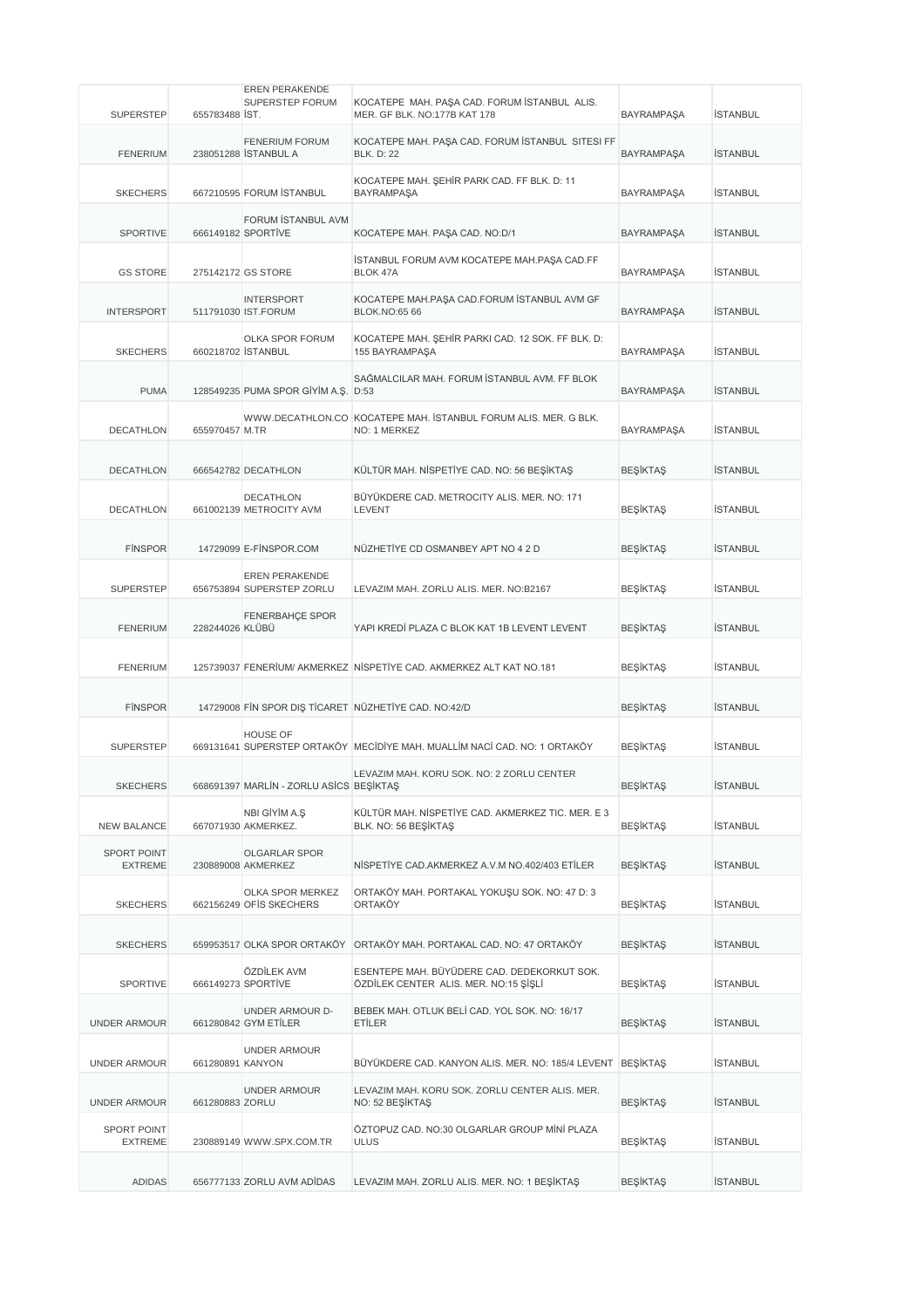|                                      |                    | <b>EREN PERAKENDE</b>                      |                                                                                      |                   |                 |
|--------------------------------------|--------------------|--------------------------------------------|--------------------------------------------------------------------------------------|-------------------|-----------------|
| <b>SUPERSTEP</b>                     | 655783488 IST.     | SUPERSTEP FORUM                            | KOCATEPE MAH. PAŞA CAD. FORUM İSTANBUL ALIS.<br>MER. GF BLK. NO:177B KAT 178         | <b>BAYRAMPAŞA</b> | <b>İSTANBUL</b> |
|                                      |                    |                                            |                                                                                      |                   |                 |
|                                      |                    | <b>FENERIUM FORUM</b>                      | KOCATEPE MAH. PAŞA CAD. FORUM İSTANBUL SITESI FF                                     |                   |                 |
| <b>FENERIUM</b>                      |                    | 238051288 STANBUL A                        | <b>BLK. D: 22</b>                                                                    | <b>BAYRAMPAŞA</b> | <b>İSTANBUL</b> |
|                                      |                    |                                            | KOCATEPE MAH. ŞEHİR PARK CAD. FF BLK. D: 11                                          |                   |                 |
| <b>SKECHERS</b>                      |                    | 667210595 FORUM STANBUL                    | <b>BAYRAMPAŞA</b>                                                                    | <b>BAYRAMPAŞA</b> | <b>İSTANBUL</b> |
|                                      |                    | FORUM ISTANBUL AVM                         |                                                                                      |                   |                 |
| SPORTIVE                             |                    | 666149182 SPORTIVE                         | KOCATEPE MAH. PAŞA CAD. NO:D/1                                                       | <b>BAYRAMPAŞA</b> | <b>İSTANBUL</b> |
|                                      |                    |                                            |                                                                                      |                   |                 |
| <b>GS STORE</b>                      |                    | 275142172 GS STORE                         | İSTANBUL FORUM AVM KOCATEPE MAH.PAŞA CAD.FF<br>BLOK 47A                              | <b>BAYRAMPAŞA</b> | <b>İSTANBUL</b> |
|                                      |                    |                                            |                                                                                      |                   |                 |
|                                      |                    | <b>INTERSPORT</b>                          | KOCATEPE MAH.PAŞA CAD.FORUM İSTANBUL AVM GF                                          |                   |                 |
| <b>INTERSPORT</b>                    |                    | 511791030 IST.FORUM                        | <b>BLOK.NO:65 66</b>                                                                 | <b>BAYRAMPAŞA</b> | <b>İSTANBUL</b> |
|                                      |                    | OLKA SPOR FORUM                            | KOCATEPE MAH. ŞEHİR PARKI CAD. 12 SOK. FF BLK. D:                                    |                   |                 |
| <b>SKECHERS</b>                      | 660218702 İSTANBUL |                                            | 155 BAYRAMPAŞA                                                                       | <b>BAYRAMPAŞA</b> | <b>İSTANBUL</b> |
|                                      |                    |                                            |                                                                                      |                   |                 |
| <b>PUMA</b>                          |                    | 128549235 PUMA SPOR GIYIM A.S. D:53        | SAĞMALCILAR MAH. FORUM İSTANBUL AVM. FF BLOK                                         | <b>BAYRAMPAŞA</b> | <b>İSTANBUL</b> |
|                                      |                    |                                            |                                                                                      |                   |                 |
|                                      |                    |                                            | WWW.DECATHLON.CO KOCATEPE MAH. İSTANBUL FORUM ALIS. MER. G BLK.                      |                   |                 |
| <b>DECATHLON</b>                     | 655970457 M.TR     |                                            | NO: 1 MERKEZ                                                                         | <b>BAYRAMPAŞA</b> | <b>İSTANBUL</b> |
|                                      |                    |                                            |                                                                                      |                   |                 |
| <b>DECATHLON</b>                     |                    | 666542782 DECATHLON                        | KÜLTÜR MAH. NİSPETİYE CAD. NO: 56 BEŞİKTAŞ                                           | <b>BEŞİKTAŞ</b>   | <b>İSTANBUL</b> |
|                                      |                    | <b>DECATHLON</b>                           | BÜYÜKDERE CAD. METROCITY ALIS. MER. NO: 171                                          |                   |                 |
| <b>DECATHLON</b>                     |                    | 661002139 METROCITY AVM                    | LEVENT                                                                               | <b>BEŞİKTAŞ</b>   | <b>İSTANBUL</b> |
|                                      |                    |                                            |                                                                                      |                   |                 |
| <b>FINSPOR</b>                       |                    | 14729099 E-FINSPOR.COM                     | NÜZHETİYE CD OSMANBEY APT NO 4 2 D                                                   | <b>BEŞİKTAŞ</b>   | <b>İSTANBUL</b> |
|                                      |                    |                                            |                                                                                      |                   |                 |
|                                      |                    | EREN PERAKENDE                             |                                                                                      |                   |                 |
| <b>SUPERSTEP</b>                     |                    | 656753894 SUPERSTEP ZORLU                  | LEVAZIM MAH. ZORLU ALIS. MER. NO:B2167                                               | <b>BEŞİKTAŞ</b>   | <b>İSTANBUL</b> |
|                                      |                    | <b>FENERBAHÇE SPOR</b>                     |                                                                                      |                   |                 |
| <b>FENERIUM</b>                      | 228244026 KLÜBÜ    |                                            | YAPI KREDİ PLAZA C BLOK KAT 1B LEVENT LEVENT                                         | <b>BEŞİKTAŞ</b>   | <b>İSTANBUL</b> |
|                                      |                    |                                            |                                                                                      |                   |                 |
| <b>FENERIUM</b>                      |                    |                                            | 125739037 FENERİUM/ AKMERKEZ NİSPETİYE CAD. AKMERKEZ ALT KAT NO.181                  | <b>BEŞİKTAŞ</b>   | <b>İSTANBUL</b> |
|                                      |                    |                                            |                                                                                      |                   |                 |
| <b>FINSPOR</b>                       |                    |                                            | 14729008 FIN SPOR DIS TICARET NÜZHETIYE CAD. NO:42/D                                 | <b>BEŞİKTAŞ</b>   | <b>İSTANBUL</b> |
|                                      |                    |                                            |                                                                                      |                   |                 |
|                                      |                    | <b>HOUSE OF</b>                            |                                                                                      |                   |                 |
| <b>SUPERSTEP</b>                     |                    |                                            | 669131641 SUPERSTEP ORTAKÖY MECİDİYE MAH. MUALLİM NACİ CAD. NO: 1 ORTAKÖY            | <b>BEŞİKTAŞ</b>   | <b>İSTANBUL</b> |
|                                      |                    |                                            | LEVAZIM MAH, KORU SOK, NO: 2 ZORLU CENTER                                            |                   |                 |
| <b>SKECHERS</b>                      |                    | 668691397 MARLIN - ZORLU ASICS BEŞİKTAŞ    |                                                                                      | <b>BEŞİKTAŞ</b>   | <b>İSTANBUL</b> |
|                                      |                    | NBI GİYİM A.Ş                              | KÜLTÜR MAH. NİSPETİYE CAD. AKMERKEZ TIC. MER. E 3                                    |                   |                 |
| <b>NEW BALANCE</b>                   |                    | 667071930 AKMERKEZ.                        | BLK. NO: 56 BEŞİKTAŞ                                                                 | <b>BEŞİKTAŞ</b>   | <b>İSTANBUL</b> |
|                                      |                    |                                            |                                                                                      |                   |                 |
| <b>SPORT POINT</b><br><b>EXTREME</b> |                    | <b>OLGARLAR SPOR</b><br>230889008 AKMERKEZ | NISPETIYE CAD.AKMERKEZ A.V.M NO.402/403 ETILER                                       | <b>BEŞİKTAŞ</b>   | <b>İSTANBUL</b> |
|                                      |                    |                                            |                                                                                      |                   |                 |
|                                      |                    | OLKA SPOR MERKEZ                           | ORTAKÖY MAH. PORTAKAL YOKUŞU SOK. NO: 47 D: 3                                        |                   |                 |
| <b>SKECHERS</b>                      |                    | 662156249 OFIS SKECHERS                    | ORTAKÖY                                                                              | <b>BEŞİKTAŞ</b>   | <b>İSTANBUL</b> |
|                                      |                    |                                            |                                                                                      |                   |                 |
| <b>SKECHERS</b>                      |                    |                                            | 659953517 OLKA SPOR ORTAKÖY ORTAKÖY MAH. PORTAKAL CAD. NO: 47 ORTAKÖY                | <b>BEŞİKTAŞ</b>   | <b>İSTANBUL</b> |
|                                      |                    |                                            |                                                                                      |                   |                 |
| <b>SPORTIVE</b>                      |                    | ÖZDİLEK AVM<br>666149273 SPORTIVE          | ESENTEPE MAH. BÜYÜDERE CAD. DEDEKORKUT SOK.<br>ÖZDİLEK CENTER ALIS. MER. NO:15 ŞİŞLİ | <b>BEŞİKTAŞ</b>   | <b>İSTANBUL</b> |
|                                      |                    |                                            |                                                                                      |                   |                 |
|                                      |                    | UNDER ARMOUR D-                            | BEBEK MAH. OTLUK BELİ CAD. YOL SOK. NO: 16/17                                        |                   |                 |
| <b>UNDER ARMOUR</b>                  |                    | 661280842 GYM ETILER                       | ETİLER                                                                               | <b>BEŞİKTAŞ</b>   | <b>İSTANBUL</b> |
|                                      |                    | <b>UNDER ARMOUR</b>                        |                                                                                      |                   |                 |
| <b>UNDER ARMOUR</b>                  | 661280891 KANYON   |                                            | BÜYÜKDERE CAD. KANYON ALIS. MER. NO: 185/4 LEVENT                                    | <b>BEŞİKTAŞ</b>   | <b>İSTANBUL</b> |
|                                      |                    | UNDER ARMOUR                               | LEVAZIM MAH. KORU SOK. ZORLU CENTER ALIS. MER.                                       |                   |                 |
| <b>UNDER ARMOUR</b>                  | 661280883 ZORLU    |                                            | NO: 52 BEŞİKTAŞ                                                                      | <b>BEŞİKTAŞ</b>   | <b>İSTANBUL</b> |
|                                      |                    |                                            |                                                                                      |                   |                 |
| SPORT POINT<br><b>EXTREME</b>        |                    | 230889149 WWW.SPX.COM.TR                   | ÖZTOPUZ CAD. NO:30 OLGARLAR GROUP MİNİ PLAZA<br><b>ULUS</b>                          | <b>BEŞİKTAŞ</b>   | <b>İSTANBUL</b> |
|                                      |                    |                                            |                                                                                      |                   |                 |
|                                      |                    |                                            |                                                                                      |                   |                 |
| ADIDAS                               |                    | 656777133 ZORLU AVM ADIDAS                 | LEVAZIM MAH. ZORLU ALIS. MER. NO: 1 BEŞİKTAŞ                                         | <b>BEŞİKTAŞ</b>   | <b>İSTANBUL</b> |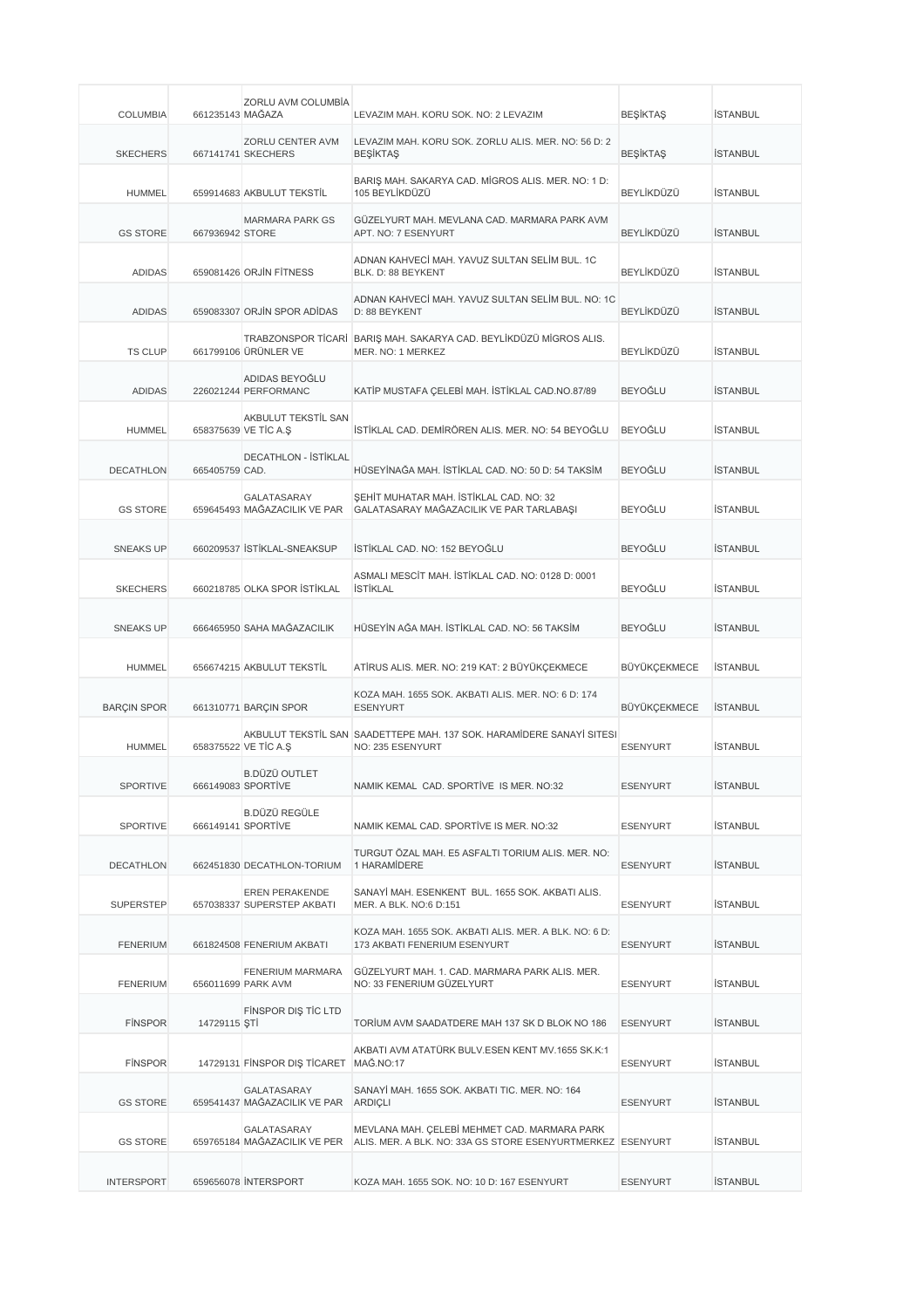| <b>COLUMBIA</b>    | 661235143 MAĞAZA | ZORLU AVM COLUMBÍA                                  | LEVAZIM MAH. KORU SOK. NO: 2 LEVAZIM                                                                       | <b>BEŞİKTAŞ</b> | <b>İSTANBUL</b> |
|--------------------|------------------|-----------------------------------------------------|------------------------------------------------------------------------------------------------------------|-----------------|-----------------|
| <b>SKECHERS</b>    |                  | <b>ZORLU CENTER AVM</b><br>667141741 SKECHERS       | LEVAZIM MAH. KORU SOK. ZORLU ALIS. MER. NO: 56 D: 2<br><b>BEŞİKTAŞ</b>                                     | <b>BEŞİKTAŞ</b> | <b>İSTANBUL</b> |
| <b>HUMMEL</b>      |                  | 659914683 AKBULUT TEKSTİL                           | BARIŞ MAH. SAKARYA CAD. MİGROS ALIS. MER. NO: 1 D:<br>105 BEYLİKDÜZÜ                                       | BEYLİKDÜZÜ      | <b>İSTANBUL</b> |
| <b>GS STORE</b>    | 667936942 STORE  | <b>MARMARA PARK GS</b>                              | GÜZELYURT MAH. MEVLANA CAD. MARMARA PARK AVM<br>APT. NO: 7 ESENYURT                                        | BEYLİKDÜZÜ      | <b>İSTANBUL</b> |
| <b>ADIDAS</b>      |                  | 659081426 ORJIN FITNESS                             | ADNAN KAHVECİ MAH. YAVUZ SULTAN SELİM BUL. 1C<br>BLK. D: 88 BEYKENT                                        | BEYLİKDÜZÜ      | <b>İSTANBUL</b> |
| <b>ADIDAS</b>      |                  | 659083307 ORJİN SPOR ADİDAS                         | ADNAN KAHVECİ MAH. YAVUZ SULTAN SELİM BUL. NO: 1C<br>D: 88 BEYKENT                                         | BEYLİKDÜZÜ      | <b>İSTANBUL</b> |
| <b>TS CLUP</b>     |                  | 661799106 ÜRÜNLER VE                                | TRABZONSPOR TİCARİ BARIŞ MAH. SAKARYA CAD. BEYLİKDÜZÜ MİGROS ALIS.<br>MER. NO: 1 MERKEZ                    | BEYLİKDÜZÜ      | <b>İSTANBUL</b> |
| <b>ADIDAS</b>      |                  | ADIDAS BEYOĞLU<br>226021244 PERFORMANC              | KATİP MUSTAFA ÇELEBİ MAH. İSTİKLAL CAD.NO.87/89                                                            | <b>BEYOĞLU</b>  | <b>İSTANBUL</b> |
| <b>HUMMEL</b>      |                  | AKBULUT TEKSTİL SAN<br>658375639 VE TİC A.S         | ÍSTÍKLAL CAD. DEMÍRÖREN ALIS. MER. NO: 54 BEYOĞLU                                                          | <b>BEYOĞLU</b>  | <b>İSTANBUL</b> |
| DECATHLON          | 665405759 CAD.   | DECATHLON - İSTİKLAL                                | HÜSEYİNAĞA MAH. İSTİKLAL CAD. NO: 50 D: 54 TAKSİM                                                          | BEYOĞLU         | <b>İSTANBUL</b> |
| <b>GS STORE</b>    |                  | GALATASARAY<br>659645493 MAĞAZACILIK VE PAR         | SEHİT MUHATAR MAH. İSTİKLAL CAD. NO: 32<br>GALATASARAY MAĞAZACILIK VE PAR TARLABAŞI                        | BEYOĞLU         | <b>İSTANBUL</b> |
| <b>SNEAKS UP</b>   |                  | 660209537 İSTİKLAL-SNEAKSUP                         | İSTİKLAL CAD. NO: 152 BEYOĞLU                                                                              | <b>BEYOĞLU</b>  | <b>İSTANBUL</b> |
| <b>SKECHERS</b>    |                  | 660218785 OLKA SPOR İSTİKLAL                        | ASMALI MESCİT MAH. İSTİKLAL CAD. NO: 0128 D: 0001<br><b>İSTİKLAL</b>                                       | BEYOĞLU         | <b>İSTANBUL</b> |
| <b>SNEAKS UP</b>   |                  | 666465950 SAHA MAĞAZACILIK                          | HÜSEYİN AĞA MAH. İSTİKLAL CAD. NO: 56 TAKSİM                                                               | <b>BEYOĞLU</b>  | <b>İSTANBUL</b> |
| <b>HUMMEL</b>      |                  | 656674215 AKBULUT TEKSTİL                           | ATİRUS ALIS. MER. NO: 219 KAT: 2 BÜYÜKÇEKMECE                                                              | BÜYÜKÇEKMECE    | <b>İSTANBUL</b> |
| <b>BARÇIN SPOR</b> |                  | 661310771 BARCIN SPOR                               | KOZA MAH. 1655 SOK. AKBATI ALIS. MER. NO: 6 D: 174<br><b>ESENYURT</b>                                      | BÜYÜKÇEKMECE    | <b>ISTANBUL</b> |
| <b>HUMMEL</b>      |                  | 658375522 VE TIC A.S                                | AKBULUT TEKSTİL SAN SAADETTEPE MAH. 137 SOK. HARAMİDERE SANAYİ SITESI<br>NO: 235 ESENYURT                  | <b>ESENYURT</b> | <b>İSTANBUL</b> |
| SPORTIVE           |                  | <b>B.DÜZÜ OUTLET</b><br>666149083 SPORTIVE          | NAMIK KEMAL CAD. SPORTIVE IS MER. NO:32                                                                    | <b>ESENYURT</b> | <b>İSTANBUL</b> |
| <b>SPORTIVE</b>    |                  | B.DÜZÜ REGÜLE<br>666149141 SPORTIVE                 | NAMIK KEMAL CAD, SPORTIVE IS MER, NO:32                                                                    | <b>ESENYURT</b> | <b>İSTANBUL</b> |
| <b>DECATHLON</b>   |                  | 662451830 DECATHLON-TORIUM                          | TURGUT ÖZAL MAH. E5 ASFALTI TORIUM ALIS, MER. NO:<br>1 HARAMİDERE                                          | <b>ESENYURT</b> | İSTANBUL        |
| <b>SUPERSTEP</b>   |                  | <b>EREN PERAKENDE</b><br>657038337 SUPERSTEP AKBATI | SANAYİ MAH. ESENKENT BUL. 1655 SOK. AKBATI ALIS.<br>MER. A BLK. NO:6 D:151                                 | <b>ESENYURT</b> | <b>İSTANBUL</b> |
| <b>FENERIUM</b>    |                  | 661824508 FENERIUM AKBATI                           | KOZA MAH. 1655 SOK. AKBATI ALIS, MER. A BLK, NO: 6 D:<br>173 AKBATI FENERIUM ESENYURT                      | <b>ESENYURT</b> | <b>İSTANBUL</b> |
| <b>FENERIUM</b>    |                  | FENERIUM MARMARA<br>656011699 PARK AVM              | GÜZELYURT MAH. 1. CAD. MARMARA PARK ALIS. MER.<br>NO: 33 FENERIUM GÜZELYURT                                | <b>ESENYURT</b> | <b>İSTANBUL</b> |
| <b>FINSPOR</b>     | 14729115 ŞTİ     | FINSPOR DIS TIC LTD                                 | TORİUM AVM SAADATDERE MAH 137 SK D BLOK NO 186                                                             | <b>ESENYURT</b> | <b>İSTANBUL</b> |
| <b>FINSPOR</b>     |                  | 14729131 FINSPOR DIŞ TİCARET MAĞ.NO:17              | AKBATI AVM ATATÜRK BULV.ESEN KENT MV.1655 SK.K:1                                                           | <b>ESENYURT</b> | <b>İSTANBUL</b> |
| <b>GS STORE</b>    |                  | GALATASARAY<br>659541437 MAĞAZACILIK VE PAR ARDIÇLI | SANAYİ MAH. 1655 SOK. AKBATI TIC. MER. NO: 164                                                             | <b>ESENYURT</b> | <b>İSTANBUL</b> |
| <b>GS STORE</b>    |                  | GALATASARAY<br>659765184 MAĞAZACILIK VE PER         | MEVLANA MAH. ÇELEBİ MEHMET CAD. MARMARA PARK<br>ALIS. MER. A BLK. NO: 33A GS STORE ESENYURTMERKEZ ESENYURT |                 | <b>İSTANBUL</b> |
| <b>INTERSPORT</b>  |                  | 659656078 INTERSPORT                                | KOZA MAH. 1655 SOK. NO: 10 D: 167 ESENYURT                                                                 | <b>ESENYURT</b> | <b>İSTANBUL</b> |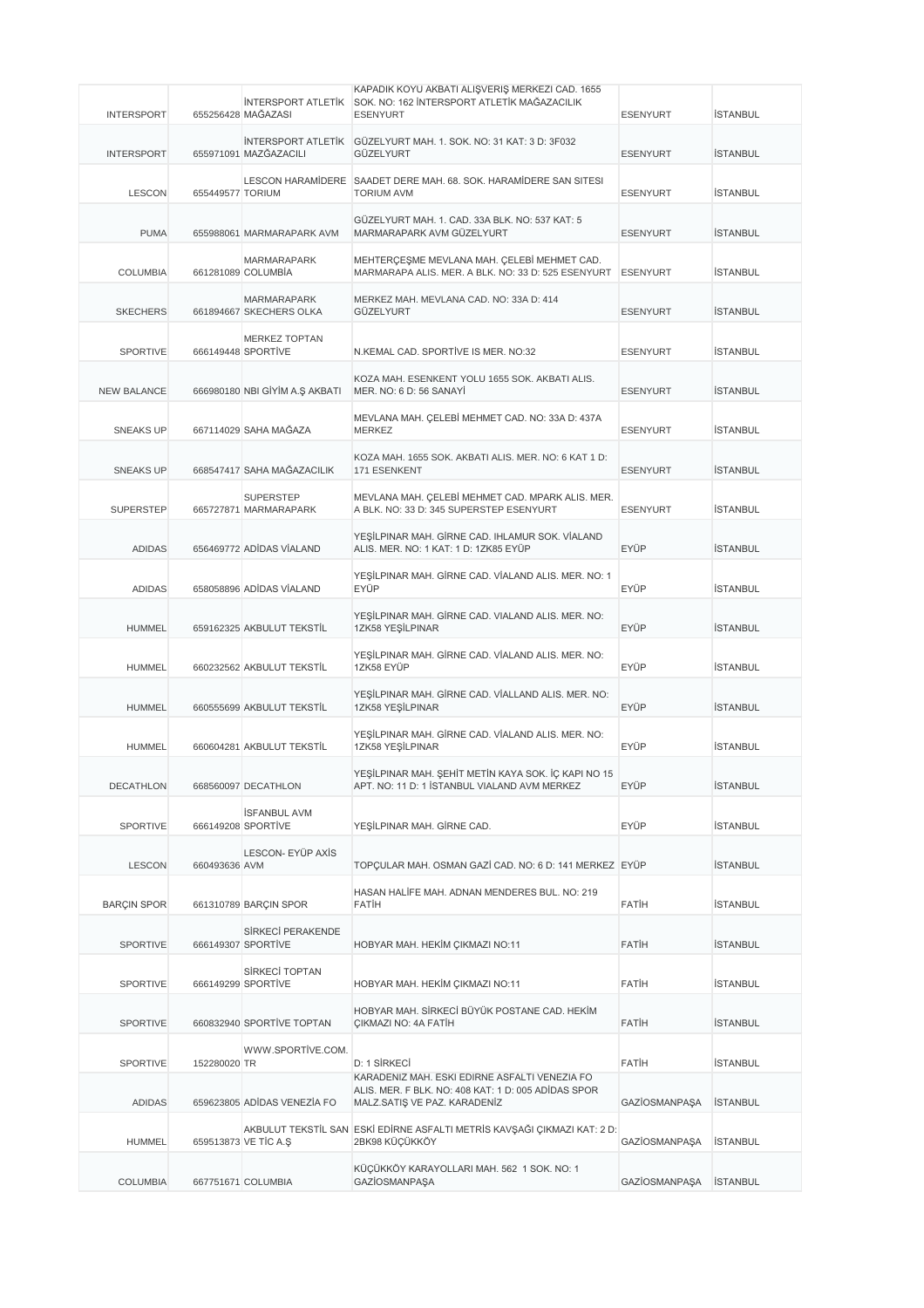|                    |                  |                                                 | KAPADIK KÖYÜ AKBATI ALIŞVERİŞ MERKEZİ CAD. 1655<br>SOK. NO: 162 İNTERSPORT ATLETİK MAĞAZACILIK      |                      |                 |
|--------------------|------------------|-------------------------------------------------|-----------------------------------------------------------------------------------------------------|----------------------|-----------------|
| <b>INTERSPORT</b>  |                  | <b>INTERSPORT ATLETIK</b><br>655256428 MAĞAZASI | <b>ESENYURT</b>                                                                                     | <b>ESENYURT</b>      | <b>İSTANBUL</b> |
| <b>INTERSPORT</b>  |                  | 655971091 MAZĞAZACILI                           | INTERSPORT ATLETIK GÜZELYURT MAH. 1. SOK. NO: 31 KAT: 3 D: 3F032<br>GÜZELYURT                       | <b>ESENYURT</b>      | <b>İSTANBUL</b> |
| <b>LESCON</b>      | 655449577 TORIUM |                                                 | LESCON HARAMIDERE SAADET DERE MAH. 68. SOK. HARAMIDERE SAN SITESI<br><b>TORIUM AVM</b>              | <b>ESENYURT</b>      | <b>İSTANBUL</b> |
| <b>PUMA</b>        |                  | 655988061 MARMARAPARK AVM                       | GÜZELYURT MAH. 1. CAD. 33A BLK. NO: 537 KAT: 5<br>MARMARAPARK AVM GÜZELYURT                         | <b>ESENYURT</b>      | <b>İSTANBUL</b> |
| <b>COLUMBIA</b>    |                  | <b>MARMARAPARK</b><br>661281089 COLUMBIA        | MEHTERÇEŞME MEVLANA MAH. ÇELEBİ MEHMET CAD.<br>MARMARAPA ALIS. MER. A BLK. NO: 33 D: 525 ESENYURT   | <b>ESENYURT</b>      | <b>İSTANBUL</b> |
| <b>SKECHERS</b>    |                  | <b>MARMARAPARK</b><br>661894667 SKECHERS OLKA   | MERKEZ MAH. MEVLANA CAD. NO: 33A D: 414<br>GÜZELYURT                                                | <b>ESENYURT</b>      | <b>İSTANBUL</b> |
| <b>SPORTIVE</b>    |                  | <b>MERKEZ TOPTAN</b><br>666149448 SPORTIVE      | N.KEMAL CAD. SPORTIVE IS MER. NO:32                                                                 | <b>ESENYURT</b>      | <b>İSTANBUL</b> |
| <b>NEW BALANCE</b> |                  | 666980180 NBI GİYİM A.Ş AKBATI                  | KOZA MAH. ESENKENT YOLU 1655 SOK. AKBATI ALIS.<br>MER. NO: 6 D: 56 SANAYI                           | <b>ESENYURT</b>      | <b>İSTANBUL</b> |
| <b>SNEAKS UP</b>   |                  | 667114029 SAHA MAĞAZA                           | MEVLANA MAH. CELEBİ MEHMET CAD. NO: 33A D: 437A<br><b>MERKEZ</b>                                    | <b>ESENYURT</b>      | <b>İSTANBUL</b> |
| <b>SNEAKS UP</b>   |                  | 668547417 SAHA MAĞAZACILIK                      | KOZA MAH. 1655 SOK. AKBATI ALIS. MER. NO: 6 KAT 1 D:<br>171 ESENKENT                                | <b>ESENYURT</b>      | <b>İSTANBUL</b> |
| <b>SUPERSTEP</b>   |                  | <b>SUPERSTEP</b><br>665727871 MARMARAPARK       | MEVLANA MAH. CELEBİ MEHMET CAD. MPARK ALIS. MER.<br>A BLK. NO: 33 D: 345 SUPERSTEP ESENYURT         | <b>ESENYURT</b>      | <b>İSTANBUL</b> |
| <b>ADIDAS</b>      |                  | 656469772 ADİDAS VİALAND                        | YEŞİLPINAR MAH. GİRNE CAD. IHLAMUR SOK. VİALAND<br>ALIS. MER. NO: 1 KAT: 1 D: 1ZK85 EYÜP            | <b>EYÜP</b>          | <b>İSTANBUL</b> |
| <b>ADIDAS</b>      |                  | 658058896 ADİDAS VİALAND                        | YEŞİLPINAR MAH. GİRNE CAD. VİALAND ALIS. MER. NO: 1<br>EYÜP                                         | EYÜP                 | <b>İSTANBUL</b> |
| <b>HUMMEL</b>      |                  | 659162325 AKBULUT TEKSTİL                       | YEŞİLPINAR MAH. GİRNE CAD. VIALAND ALIS. MER. NO:<br>1ZK58 YESİLPINAR                               | EYÜP                 | <b>İSTANBUL</b> |
| <b>HUMMEL</b>      |                  | 660232562 AKBULUT TEKSTİL                       | YEŞİLPINAR MAH. GİRNE CAD. VİALAND ALIS. MER. NO:<br>1ZK58 EYÜP                                     | EYÜP                 | <b>İSTANBUL</b> |
| <b>HUMMEL</b>      |                  | 660555699 AKBULUT TEKSTİL                       | YEŞİLPINAR MAH. GİRNE CAD. VİALLAND ALIS. MER. NO:<br>1ZK58 YEŞİLPINAR                              | EYÜP                 | <b>İSTANBUL</b> |
| <b>HUMMEL</b>      |                  | 660604281 AKBULUT TEKSTİL                       | YEŞİLPINAR MAH. GİRNE CAD. VİALAND ALIS. MER. NO:<br>1ZK58 YEŞİLPINAR                               | EYÜP                 | <b>İSTANBUL</b> |
| <b>DECATHLON</b>   |                  | 668560097 DECATHLON                             | YEŞİLPINAR MAH. ŞEHİT METİN KAYA SOK. İÇ KAPI NO 15<br>APT. NO: 11 D: 1 İSTANBUL VIALAND AVM MERKEZ | EYÜP                 | <b>İSTANBUL</b> |
| <b>SPORTIVE</b>    |                  | <b>İSFANBUL AVM</b><br>666149208 SPORTIVE       | YEŞİLPINAR MAH. GİRNE CAD.                                                                          | EYÜP                 | <b>İSTANBUL</b> |
| <b>LESCON</b>      | 660493636 AVM    | LESCON- EYÜP AXİS                               | TOPÇULAR MAH. OSMAN GAZİ CAD. NO: 6 D: 141 MERKEZ EYÜP                                              |                      | <b>İSTANBUL</b> |
| <b>BARCIN SPOR</b> |                  | 661310789 BARÇIN SPOR                           | HASAN HALIFE MAH. ADNAN MENDERES BUL. NO: 219<br>FATİH                                              | FATİH                | <b>İSTANBUL</b> |
| <b>SPORTIVE</b>    |                  | SİRKECİ PERAKENDE<br>666149307 SPORTIVE         | HOBYAR MAH. HEKİM ÇIKMAZI NO:11                                                                     | FATIH                | <b>İSTANBUL</b> |
| <b>SPORTIVE</b>    |                  | SİRKECİ TOPTAN<br>666149299 SPORTIVE            | HOBYAR MAH. HEKİM ÇIKMAZI NO:11                                                                     | FATİH                | <b>İSTANBUL</b> |
| SPORTIVE           |                  | 660832940 SPORTIVE TOPTAN                       | HOBYAR MAH. SİRKECİ BÜYÜK POSTANE CAD. HEKİM<br>ÇIKMAZI NO: 4A FATİH                                | <b>FATIH</b>         | <b>İSTANBUL</b> |
| <b>SPORTIVE</b>    | 152280020 TR     | WWW.SPORTIVE.COM.                               | D: 1 SİRKECİ<br>KARADENIZ MAH. ESKI EDIRNE ASFALTI VENEZIA FO                                       | FATİH                | <b>İSTANBUL</b> |
| <b>ADIDAS</b>      |                  | 659623805 ADİDAS VENEZİA FO                     | ALIS. MER. F BLK. NO: 408 KAT: 1 D: 005 ADIDAS SPOR<br>MALZ.SATIŞ VE PAZ. KARADENİZ                 | GAZİOSMANPAŞA        | <b>İSTANBUL</b> |
| <b>HUMMEL</b>      |                  | 659513873 VE TİC A.Ş                            | AKBULUT TEKSTİL SAN ESKİ EDİRNE ASFALTI METRİS KAVŞAĞI ÇIKMAZI KAT: 2 D:<br>2BK98 KÜÇÜKKÖY          | <b>GAZİOSMANPAŞA</b> | <b>İSTANBUL</b> |
| <b>COLUMBIA</b>    |                  | 667751671 COLUMBIA                              | KÜÇÜKKÖY KARAYOLLARI MAH. 562 1 SOK. NO: 1<br><b>GAZİOSMANPAŞA</b>                                  | <b>GAZİOSMANPAŞA</b> | <b>İSTANBUL</b> |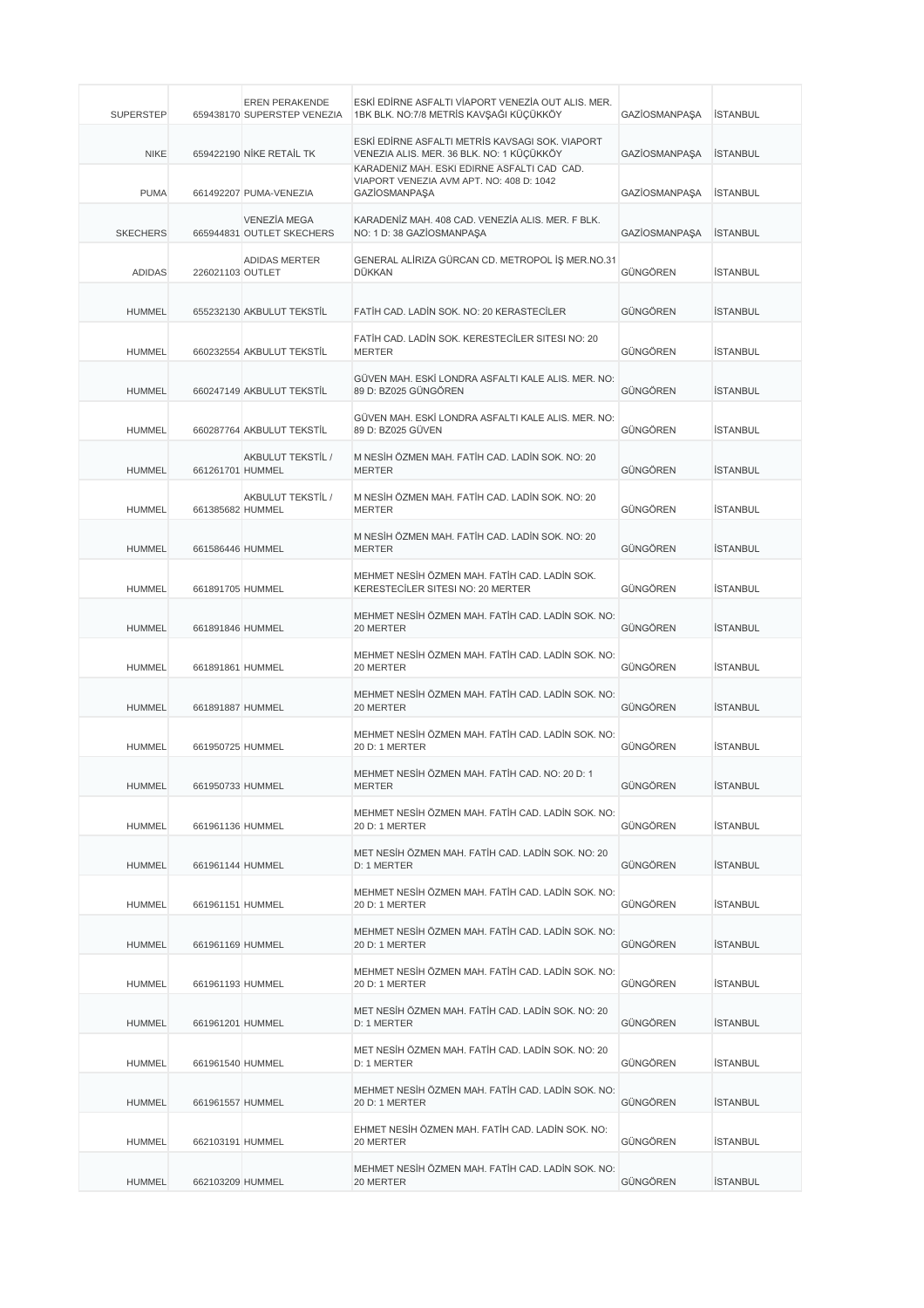| <b>SUPERSTEP</b> |                  | EREN PERAKENDE<br>659438170 SUPERSTEP VENEZIA    | ESKİ EDİRNE ASFALTI VİAPORT VENEZİA OUT ALIS. MER.<br>1BK BLK. NO:7/8 METRİS KAVŞAĞI KÜÇÜKKÖY                                               | GAZİOSMANPAŞA        | <b>İSTANBUL</b> |
|------------------|------------------|--------------------------------------------------|---------------------------------------------------------------------------------------------------------------------------------------------|----------------------|-----------------|
| <b>NIKE</b>      |                  | 659422190 NIKE RETAIL TK                         | ESKİ EDİRNE ASFALTI METRİS KAVSAGI SOK. VIAPORT<br>VENEZIA ALIS. MER. 36 BLK. NO: 1 KÜÇÜKKÖY<br>KARADENIZ MAH. ESKI EDIRNE ASFALTI CAD CAD. | <b>GAZİOSMANPAŞA</b> | <b>İSTANBUL</b> |
| <b>PUMA</b>      |                  | 661492207 PUMA-VENEZIA                           | VIAPORT VENEZIA AVM APT. NO: 408 D: 1042<br>GAZİOSMANPAŞA                                                                                   | GAZİOSMANPAŞA        | <b>İSTANBUL</b> |
| <b>SKECHERS</b>  |                  | <b>VENEZÍA MEGA</b><br>665944831 OUTLET SKECHERS | KARADENİZ MAH. 408 CAD. VENEZİA ALIS. MER. F BLK.<br>NO: 1 D: 38 GAZIOSMANPAŞA                                                              | <b>GAZİOSMANPAŞA</b> | <b>ISTANBUL</b> |
| <b>ADIDAS</b>    | 226021103 OUTLET | <b>ADIDAS MERTER</b>                             | GENERAL ALİRIZA GÜRCAN CD. METROPOL İŞ MER.NO.31<br>DÜKKAN                                                                                  | GÜNGÖREN             | <b>İSTANBUL</b> |
| <b>HUMMEL</b>    |                  | 655232130 AKBULUT TEKSTİL                        | FATIH CAD. LADIN SOK. NO: 20 KERASTECILER                                                                                                   | GÜNGÖREN             | <b>İSTANBUL</b> |
| <b>HUMMEL</b>    |                  | 660232554 AKBULUT TEKSTİL                        | FATIH CAD. LADIN SOK. KERESTECILER SITESI NO: 20<br><b>MERTER</b>                                                                           | GÜNGÖREN             | <b>İSTANBUL</b> |
| <b>HUMMEL</b>    |                  | 660247149 AKBULUT TEKSTİL                        | GÜVEN MAH. ESKİ LONDRA ASFALTI KALE ALIS. MER. NO:<br>89 D: BZ025 GÜNGÖREN                                                                  | GÜNGÖREN             | <b>İSTANBUL</b> |
| <b>HUMMEL</b>    |                  | 660287764 AKBULUT TEKSTİL                        | GÜVEN MAH. ESKİ LONDRA ASFALTI KALE ALIS. MER. NO:<br>89 D: BZ025 GÜVEN                                                                     | GÜNGÖREN             | <b>İSTANBUL</b> |
| <b>HUMMEL</b>    | 661261701 HUMMEL | AKBULUT TEKSTIL /                                | M NESİH ÖZMEN MAH. FATİH CAD. LADİN SOK. NO: 20<br><b>MERTER</b>                                                                            | GÜNGÖREN             | <b>İSTANBUL</b> |
| <b>HUMMEL</b>    | 661385682 HUMMEL | AKBULUT TEKSTIL /                                | M NESİH ÖZMEN MAH. FATİH CAD. LADİN SOK. NO: 20<br><b>MERTER</b>                                                                            | GÜNGÖREN             | <b>İSTANBUL</b> |
| <b>HUMMEL</b>    | 661586446 HUMMEL |                                                  | M NESİH ÖZMEN MAH. FATİH CAD. LADİN SOK. NO: 20<br><b>MERTER</b>                                                                            | GÜNGÖREN             | <b>İSTANBUL</b> |
| <b>HUMMEL</b>    | 661891705 HUMMEL |                                                  | MEHMET NESİH ÖZMEN MAH. FATİH CAD. LADİN SOK.<br>KERESTECILER SITESI NO: 20 MERTER                                                          | GÜNGÖREN             | <b>İSTANBUL</b> |
| <b>HUMMEL</b>    | 661891846 HUMMEL |                                                  | MEHMET NESİH ÖZMEN MAH. FATİH CAD. LADİN SOK. NO:<br>20 MERTER                                                                              | GÜNGÖREN             | <b>İSTANBUL</b> |
| <b>HUMMEL</b>    | 661891861 HUMMEL |                                                  | MEHMET NESİH ÖZMEN MAH. FATİH CAD. LADİN SOK. NO:<br>20 MERTER                                                                              | GÜNGÖREN             | <b>İSTANBUL</b> |
| <b>HUMMEL</b>    | 661891887 HUMMEL |                                                  | MEHMET NESİH ÖZMEN MAH. FATİH CAD. LADİN SOK. NO:<br>20 MERTER                                                                              | GÜNGÖREN             | <b>İSTANBUL</b> |
| <b>HUMMEL</b>    | 661950725 HUMMEL |                                                  | MEHMET NESİH ÖZMEN MAH, FATİH CAD, LADİN SOK, NO:<br>20 D: 1 MERTER                                                                         | GÜNGÖREN             | <b>İSTANBUL</b> |
| <b>HUMMEL</b>    | 661950733 HUMMEL |                                                  | MEHMET NESİH ÖZMEN MAH. FATİH CAD. NO: 20 D: 1<br>MERTER                                                                                    | <b>GUNGOREN</b>      | ISTANBUL        |
| <b>HUMMEL</b>    | 661961136 HUMMEL |                                                  | MEHMET NESİH ÖZMEN MAH. FATİH CAD. LADİN SOK. NO:<br>20 D: 1 MERTER                                                                         | GÜNGÖREN             | <b>İSTANBUL</b> |
| <b>HUMMEL</b>    | 661961144 HUMMEL |                                                  | MET NESİH ÖZMEN MAH. FATİH CAD. LADİN SOK. NO: 20<br>D: 1 MERTER                                                                            | GÜNGÖREN             | <b>İSTANBUL</b> |
| <b>HUMMEL</b>    | 661961151 HUMMEL |                                                  | MEHMET NESİH ÖZMEN MAH. FATİH CAD. LADİN SOK. NO:<br>20 D: 1 MERTER                                                                         | GÜNGÖREN             | <b>ISTANBUL</b> |
| <b>HUMMEL</b>    | 661961169 HUMMEL |                                                  | MEHMET NESİH ÖZMEN MAH. FATİH CAD. LADİN SOK. NO:<br>20 D: 1 MERTER                                                                         | GÜNGÖREN             | <b>İSTANBUL</b> |
| <b>HUMMEL</b>    | 661961193 HUMMEL |                                                  | MEHMET NESİH ÖZMEN MAH. FATİH CAD. LADİN SOK. NO:<br>20 D: 1 MERTER                                                                         | GÜNGÖREN             | <b>ISTANBUL</b> |
| <b>HUMMEL</b>    | 661961201 HUMMEL |                                                  | MET NESİH ÖZMEN MAH. FATİH CAD. LADİN SOK. NO: 20<br>D: 1 MERTER                                                                            | GÜNGÖREN             | <b>İSTANBUL</b> |
| <b>HUMMEL</b>    | 661961540 HUMMEL |                                                  | MET NESİH ÖZMEN MAH. FATİH CAD. LADİN SOK. NO: 20<br>D: 1 MERTER                                                                            | GÜNGÖREN             | <b>İSTANBUL</b> |
| <b>HUMMEL</b>    | 661961557 HUMMEL |                                                  | MEHMET NESİH ÖZMEN MAH. FATİH CAD. LADİN SOK. NO:<br>20 D: 1 MERTER                                                                         | GÜNGÖREN             | <b>İSTANBUL</b> |
| <b>HUMMEL</b>    | 662103191 HUMMEL |                                                  | EHMET NESİH ÖZMEN MAH. FATİH CAD. LADİN SOK. NO:<br>20 MERTER                                                                               | GÜNGÖREN             | <b>İSTANBUL</b> |
| <b>HUMMEL</b>    | 662103209 HUMMEL |                                                  | MEHMET NESİH ÖZMEN MAH. FATİH CAD. LADİN SOK. NO:<br>20 MERTER                                                                              | GÜNGÖREN             | <b>İSTANBUL</b> |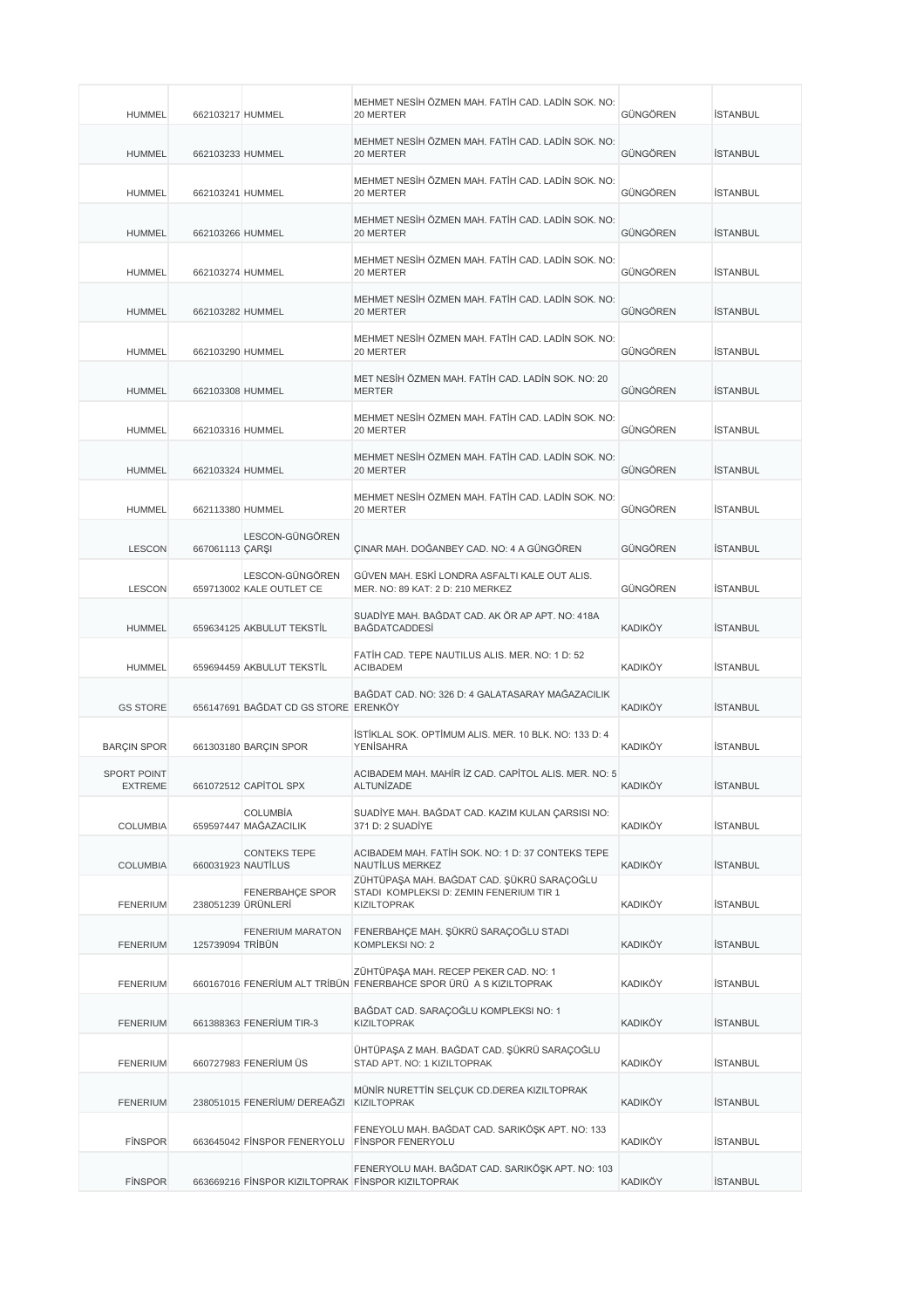| <b>HUMMEL</b>                        | 662103217 HUMMEL |                                                   | MEHMET NESİH ÖZMEN MAH. FATİH CAD. LADİN SOK. NO:<br>20 MERTER                                              | GÜNGÖREN       | <b>İSTANBUL</b> |
|--------------------------------------|------------------|---------------------------------------------------|-------------------------------------------------------------------------------------------------------------|----------------|-----------------|
| <b>HUMMEL</b>                        | 662103233 HUMMEL |                                                   | MEHMET NESİH ÖZMEN MAH. FATİH CAD. LADİN SOK. NO:<br>20 MERTER                                              | GÜNGÖREN       | <b>İSTANBUL</b> |
| <b>HUMMEL</b>                        | 662103241 HUMMEL |                                                   | MEHMET NESİH ÖZMEN MAH. FATİH CAD. LADİN SOK. NO:<br>20 MERTER                                              | GÜNGÖREN       | <b>İSTANBUL</b> |
| <b>HUMMEL</b>                        | 662103266 HUMMEL |                                                   | MEHMET NESİH ÖZMEN MAH. FATİH CAD. LADİN SOK. NO:<br>20 MERTER                                              | GÜNGÖREN       | <b>İSTANBUL</b> |
| <b>HUMMEL</b>                        | 662103274 HUMMEL |                                                   | MEHMET NESİH ÖZMEN MAH. FATİH CAD. LADİN SOK. NO:<br>20 MERTER                                              | GÜNGÖREN       | <b>İSTANBUL</b> |
| <b>HUMMEL</b>                        | 662103282 HUMMEL |                                                   | MEHMET NESİH ÖZMEN MAH, FATİH CAD, LADİN SOK, NO:<br>20 MERTER                                              | GÜNGÖREN       | <b>İSTANBUL</b> |
| <b>HUMMEL</b>                        | 662103290 HUMMEL |                                                   | MEHMET NESİH ÖZMEN MAH. FATİH CAD. LADİN SOK. NO:<br>20 MERTER                                              | GÜNGÖREN       | <b>İSTANBUL</b> |
| <b>HUMMEL</b>                        | 662103308 HUMMEL |                                                   | MET NESİH ÖZMEN MAH. FATİH CAD. LADİN SOK. NO: 20<br><b>MERTER</b>                                          | GÜNGÖREN       | <b>İSTANBUL</b> |
| <b>HUMMEL</b>                        | 662103316 HUMMEL |                                                   | MEHMET NESİH ÖZMEN MAH. FATİH CAD. LADİN SOK. NO:<br>20 MERTER                                              | GÜNGÖREN       | <b>ISTANBUL</b> |
| <b>HUMMEL</b>                        | 662103324 HUMMEL |                                                   | MEHMET NESİH ÖZMEN MAH. FATİH CAD. LADİN SOK. NO:<br>20 MERTER                                              | GÜNGÖREN       | <b>İSTANBUL</b> |
| <b>HUMMEL</b>                        | 662113380 HUMMEL |                                                   | MEHMET NESİH ÖZMEN MAH. FATİH CAD. LADİN SOK. NO:<br>20 MERTER                                              | GÜNGÖREN       | <b>İSTANBUL</b> |
| <b>LESCON</b>                        | 667061113 ÇARŞI  | LESCON-GÜNGÖREN                                   | ÇINAR MAH. DOĞANBEY CAD. NO: 4 A GÜNGÖREN                                                                   | GÜNGÖREN       | <b>İSTANBUL</b> |
| <b>LESCON</b>                        |                  | LESCON-GÜNGÖREN<br>659713002 KALE OUTLET CE       | GÜVEN MAH. ESKİ LONDRA ASFALTI KALE OUT ALIS.<br>MER. NO: 89 KAT: 2 D: 210 MERKEZ                           | GÜNGÖREN       | <b>İSTANBUL</b> |
| <b>HUMMEL</b>                        |                  | 659634125 AKBULUT TEKSTİL                         | SUADİYE MAH. BAĞDAT CAD. AK ÖR AP APT. NO: 418A<br><b>BAĞDATCADDESİ</b>                                     | <b>KADIKÖY</b> | <b>İSTANBUL</b> |
| <b>HUMMEL</b>                        |                  | 659694459 AKBULUT TEKSTİL                         | FATIH CAD. TEPE NAUTILUS ALIS. MER. NO: 1 D: 52<br><b>ACIBADEM</b>                                          | <b>KADIKÖY</b> | <b>İSTANBUL</b> |
| <b>GS STORE</b>                      |                  | 656147691 BAĞDAT CD GS STORE ERENKÖY              | BAĞDAT CAD. NO: 326 D: 4 GALATASARAY MAĞAZACILIK                                                            | <b>KADIKÖY</b> | <b>İSTANBUL</b> |
| <b>BARÇIN SPOR</b>                   |                  | 661303180 BARÇIN SPOR                             | ISTIKLAL SOK. OPTIMUM ALIS. MER. 10 BLK. NO: 133 D: 4<br><b>YENISAHRA</b>                                   | <b>KADIKÖY</b> | <b>İSTANBUL</b> |
| <b>SPORT POINT</b><br><b>EXTREME</b> |                  | 661072512 CAPITOL SPX                             | ACIBADEM MAH. MAHIR IZ CAD. CAPITOL ALIS. MER. NO: 5<br>ALTUNIZADE                                          | <b>KADIKÖY</b> | ISTANBUL        |
| <b>COLUMBIA</b>                      |                  | <b>COLUMBIA</b><br>659597447 MAĞAZACILIK          | SUADİYE MAH. BAĞDAT CAD. KAZIM KULAN ÇARSISI NO:<br>371 D: 2 SUADİYE                                        | KADIKÖY        | <b>İSTANBUL</b> |
| <b>COLUMBIA</b>                      |                  | <b>CONTEKS TEPE</b><br>660031923 NAUTILUS         | ACIBADEM MAH. FATIH SOK. NO: 1 D: 37 CONTEKS TEPE<br>NAUTILUS MERKEZ                                        | <b>KADIKÖY</b> | <b>İSTANBUL</b> |
| <b>FENERIUM</b>                      |                  | <b>FENERBAHÇE SPOR</b><br>238051239 ÜRÜNLERİ      | ZÜHTÜPAŞA MAH. BAĞDAT CAD. ŞÜKRÜ SARAÇOĞLU<br>STADI KOMPLEKSI D: ZEMIN FENERIUM TIR 1<br><b>KIZILTOPRAK</b> | KADIKÖY        | <b>İSTANBUL</b> |
| <b>FENERIUM</b>                      | 125739094 TRİBÜN | FENERIUM MARATON                                  | FENERBAHÇE MAH. ŞÜKRÜ SARAÇOĞLU STADI<br>KOMPLEKSI NO: 2                                                    | KADIKÖY        | <b>İSTANBUL</b> |
| <b>FENERIUM</b>                      |                  |                                                   | ZÜHTÜPAŞA MAH. RECEP PEKER CAD. NO: 1<br>660167016 FENERİUM ALT TRİBÜN FENERBAHCE SPOR ÜRÜ A S KIZILTOPRAK  | KADIKÖY        | İSTANBUL        |
| <b>FENERIUM</b>                      |                  | 661388363 FENERIUM TIR-3                          | BAĞDAT CAD. SARAÇOĞLU KOMPLEKSI NO: 1<br><b>KIZILTOPRAK</b>                                                 | <b>KADIKÖY</b> | <b>İSTANBUL</b> |
| <b>FENERIUM</b>                      |                  | 660727983 FENERIUM ÜS                             | ÜHTÜPAŞA Z MAH. BAĞDAT CAD. ŞÜKRÜ SARAÇOĞLU<br>STAD APT. NO: 1 KIZILTOPRAK                                  | <b>KADIKÖY</b> | <b>İSTANBUL</b> |
| <b>FENERIUM</b>                      |                  | 238051015 FENERİUM/ DEREAĞZI                      | MÜNİR NURETTİN SELÇUK CD.DEREA KIZILTOPRAK<br><b>KIZILTOPRAK</b>                                            | KADIKÖY        | <b>İSTANBUL</b> |
| <b>FINSPOR</b>                       |                  | 663645042 FINSPOR FENERYOLU                       | FENEYOLU MAH. BAĞDAT CAD. SARIKÖŞK APT. NO: 133<br><b>FINSPOR FENERYOLU</b>                                 | KADIKÖY        | <b>İSTANBUL</b> |
| <b>FINSPOR</b>                       |                  | 663669216 FİNSPOR KIZILTOPRAK FİNSPOR KIZILTOPRAK | FENERYOLU MAH. BAĞDAT CAD. SARIKÖŞK APT. NO: 103                                                            | KADIKÖY        | <b>İSTANBUL</b> |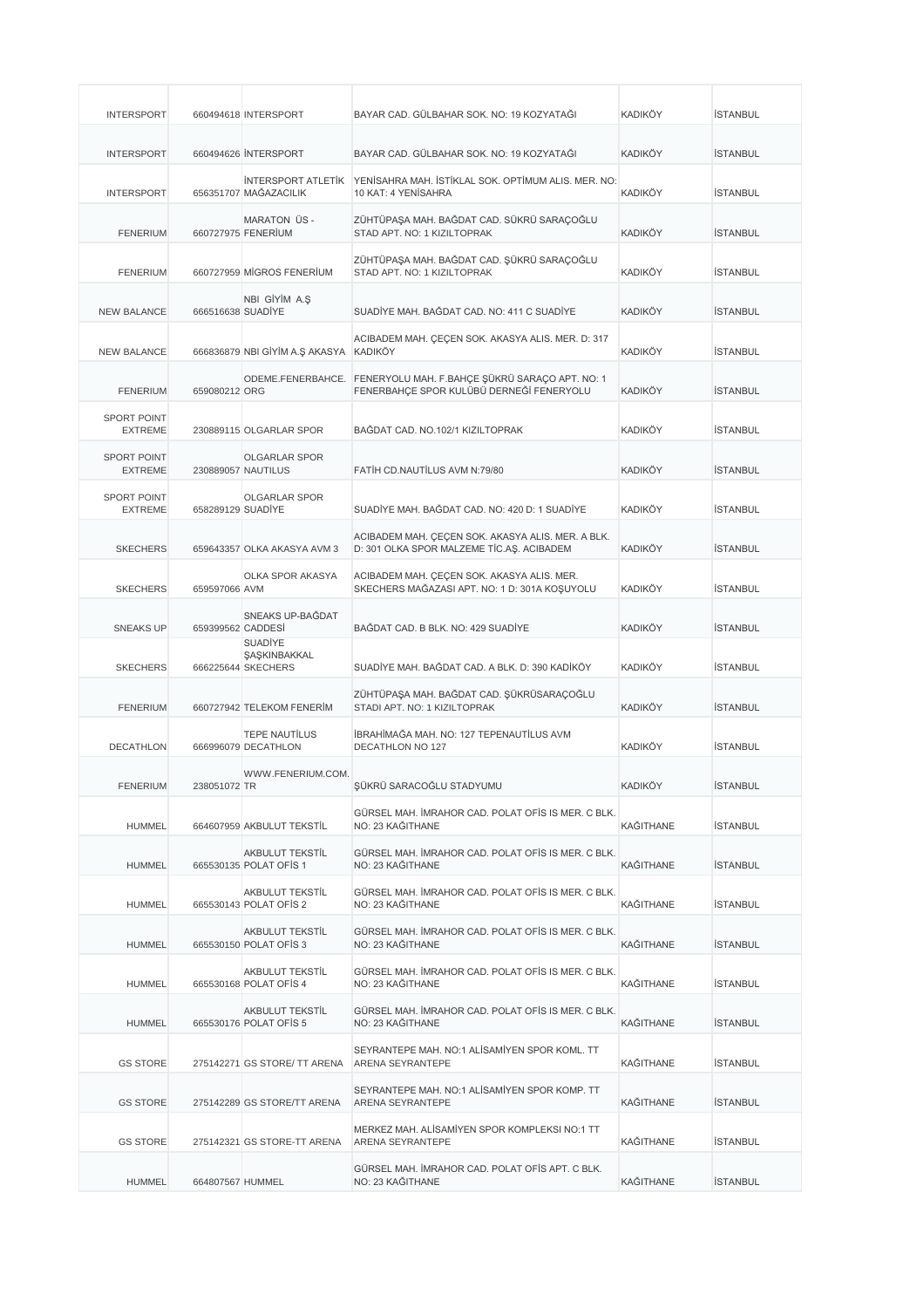| <b>INTERSPORT</b>                    |                   | 660494618 INTERSPORT                                 | BAYAR CAD. GÜLBAHAR SOK. NO: 19 KOZYATAĞI                                                                    | <b>KADIKÖY</b>   | <b>İSTANBUL</b> |
|--------------------------------------|-------------------|------------------------------------------------------|--------------------------------------------------------------------------------------------------------------|------------------|-----------------|
| <b>INTERSPORT</b>                    |                   | 660494626 INTERSPORT                                 | BAYAR CAD. GÜLBAHAR SOK. NO: 19 KOZYATAĞI                                                                    | <b>KADIKÖY</b>   | <b>İSTANBUL</b> |
| <b>INTERSPORT</b>                    |                   | <b>INTERSPORT ATLETIK</b><br>656351707 MAĞAZACILIK   | YENİSAHRA MAH. İSTİKLAL SOK. OPTİMUM ALIS. MER. NO:<br>10 KAT: 4 YENİSAHRA                                   | <b>KADIKÖY</b>   | <b>İSTANBUL</b> |
| <b>FENERIUM</b>                      |                   | <b>MARATON ÜS-</b><br>660727975 FENERIUM             | ZÜHTÜPAŞA MAH. BAĞDAT CAD. SÜKRÜ SARAÇOĞLU<br>STAD APT. NO: 1 KIZILTOPRAK                                    | <b>KADIKÖY</b>   | <b>İSTANBUL</b> |
| <b>FENERIUM</b>                      |                   | 660727959 MIGROS FENERIUM                            | ZÜHTÜPAŞA MAH. BAĞDAT CAD. ŞÜKRÜ SARAÇOĞLU<br>STAD APT. NO: 1 KIZILTOPRAK                                    | <b>KADIKÖY</b>   | <b>İSTANBUL</b> |
| <b>NEW BALANCE</b>                   | 666516638 SUADIYE | NBI GİYİM A.Ş                                        | SUADIYE MAH. BAĞDAT CAD. NO: 411 C SUADIYE                                                                   | KADIKÖY          | <b>İSTANBUL</b> |
| <b>NEW BALANCE</b>                   |                   | 666836879 NBI GİYİM A.Ş AKASYA                       | ACIBADEM MAH. ÇEÇEN SOK. AKASYA ALIS. MER. D: 317<br><b>KADIKÖY</b>                                          | <b>KADIKÖY</b>   | <b>İSTANBUL</b> |
| <b>FENERIUM</b>                      | 659080212 ORG     |                                                      | ODEME.FENERBAHCE. FENERYOLU MAH. F.BAHÇE ŞÜKRÜ SARAÇO APT. NO: 1<br>FENERBAHÇE SPOR KULÜBÜ DERNEĞİ FENERYOLU | <b>KADIKÖY</b>   | <b>İSTANBUL</b> |
| <b>SPORT POINT</b><br><b>EXTREME</b> |                   | 230889115 OLGARLAR SPOR                              | BAGDAT CAD. NO.102/1 KIZILTOPRAK                                                                             | <b>KADIKÖY</b>   | <b>İSTANBUL</b> |
| <b>SPORT POINT</b><br><b>EXTREME</b> |                   | <b>OLGARLAR SPOR</b><br>230889057 NAUTILUS           | FATIH CD.NAUTILUS AVM N:79/80                                                                                | <b>KADIKÖY</b>   | <b>İSTANBUL</b> |
| <b>SPORT POINT</b><br><b>EXTREME</b> | 658289129 SUADIYE | <b>OLGARLAR SPOR</b>                                 | SUADÍYE MAH, BAĞDAT CAD, NO: 420 D: 1 SUADÍYE                                                                | <b>KADIKÖY</b>   | <b>İSTANBUL</b> |
| <b>SKECHERS</b>                      |                   | 659643357 OLKA AKASYA AVM 3                          | ACIBADEM MAH. ÇEÇEN SOK. AKASYA ALIS. MER. A BLK.<br>D: 301 OLKA SPOR MALZEME TİC.AŞ. ACIBADEM               | <b>KADIKÖY</b>   | <b>İSTANBUL</b> |
| <b>SKECHERS</b>                      | 659597066 AVM     | OLKA SPOR AKASYA                                     | ACIBADEM MAH. ÇEÇEN SOK. AKASYA ALIS. MER.<br>SKECHERS MAĞAZASI APT. NO: 1 D: 301A KOŞUYOLU                  | <b>KADIKÖY</b>   | <b>İSTANBUL</b> |
| <b>SNEAKS UP</b>                     | 659399562 CADDESI | SNEAKS UP-BAĞDAT                                     | BAĞDAT CAD. B BLK. NO: 429 SUADİYE                                                                           | <b>KADIKÖY</b>   | <b>İSTANBUL</b> |
| <b>SKECHERS</b>                      |                   | <b>SUADIYE</b><br>ŞAŞKINBAKKAL<br>666225644 SKECHERS | SUADİYE MAH. BAĞDAT CAD. A BLK. D: 390 KADİKÖY                                                               | <b>KADIKÖY</b>   | <b>İSTANBUL</b> |
| <b>FENERIUM</b>                      |                   | 660727942 TELEKOM FENERIM                            | ZÜHTÜPAŞA MAH. BAĞDAT CAD. ŞÜKRÜSARAÇOĞLU<br>STADI APT. NO: 1 KIZILTOPRAK                                    | <b>KADIKÖY</b>   | <b>İSTANBUL</b> |
| <b>DECATHLON</b>                     |                   | <b>TEPE NAUTILUS</b><br>666996079 DECATHLON          | İBRAHİMAĞA MAH. NO: 127 TEPENAUTİLUS AVM<br><b>DECATHLON NO 127</b>                                          | <b>KADIKÖY</b>   | <b>İSTANBUL</b> |
| <b>FENERIUM</b>                      | 238051072 TR      | WWW.FENERIUM.COM.                                    | ŞÜKRÜ SARACOĞLU STADYUMU                                                                                     | <b>KADIKÖY</b>   | <b>İSTANBUL</b> |
| <b>HUMMEL</b>                        |                   | 664607959 AKBULUT TEKSTİL                            | GÜRSEL MAH. İMRAHOR CAD. POLAT OFİS IS MER. C BLK.<br>NO: 23 KAĞITHANE                                       | KAĞITHANE        | <b>İSTANBUL</b> |
| <b>HUMMEL</b>                        |                   | AKBULUT TEKSTİL<br>665530135 POLAT OF S 1            | GÜRSEL MAH. İMRAHOR CAD. POLAT OFİS IS MER. C BLK.<br>NO: 23 KAĞITHANE                                       | KAĞITHANE        | <b>İSTANBUL</b> |
| <b>HUMMEL</b>                        |                   | AKBULUT TEKSTİL<br>665530143 POLAT OF S 2            | GÜRSEL MAH. İMRAHOR CAD. POLAT OFİS IS MER. C BLK.<br>NO: 23 KAĞITHANE                                       | <b>KAĞITHANE</b> | <b>İSTANBUL</b> |
| <b>HUMMEL</b>                        |                   | AKBULUT TEKSTİL<br>665530150 POLAT OFIS 3            | GÜRSEL MAH. İMRAHOR CAD. POLAT OFİS IS MER. C BLK.<br>NO: 23 KAĞITHANE                                       | KAĞITHANE        | <b>İSTANBUL</b> |
| <b>HUMMEL</b>                        |                   | AKBULUT TEKSTİL<br>665530168 POLAT OFIS 4            | GÜRSEL MAH. İMRAHOR CAD. POLAT OFİS IS MER. C BLK.<br>NO: 23 KAĞITHANE                                       | KAĞITHANE        | <b>İSTANBUL</b> |
| <b>HUMMEL</b>                        |                   | AKBULUT TEKSTİL<br>665530176 POLAT OFIS 5            | GÜRSEL MAH. İMRAHOR CAD. POLAT OFİS IS MER. C BLK.<br>NO: 23 KAĞITHANE                                       | KAĞITHANE        | <b>İSTANBUL</b> |
| <b>GS STORE</b>                      |                   | 275142271 GS STORE/ TT ARENA                         | SEYRANTEPE MAH. NO:1 ALISAMIYEN SPOR KOML. TT<br>ARENA SEYRANTEPE                                            | KAĞITHANE        | <b>İSTANBUL</b> |
| <b>GS STORE</b>                      |                   | 275142289 GS STORE/TT ARENA                          | SEYRANTEPE MAH. NO:1 ALISAMIYEN SPOR KOMP. TT<br>ARENA SEYRANTEPE                                            | KAĞITHANE        | <b>İSTANBUL</b> |
| <b>GS STORE</b>                      |                   | 275142321 GS STORE-TT ARENA                          | MERKEZ MAH. ALİSAMİYEN SPOR KOMPLEKSI NO:1 TT<br>ARENA SEYRANTEPE                                            | KAĞITHANE        | <b>İSTANBUL</b> |
| <b>HUMMEL</b>                        | 664807567 HUMMEL  |                                                      | GÜRSEL MAH. İMRAHOR CAD. POLAT OFİS APT. C BLK.<br>NO: 23 KAĞITHANE                                          | KAĞITHANE        | <b>İSTANBUL</b> |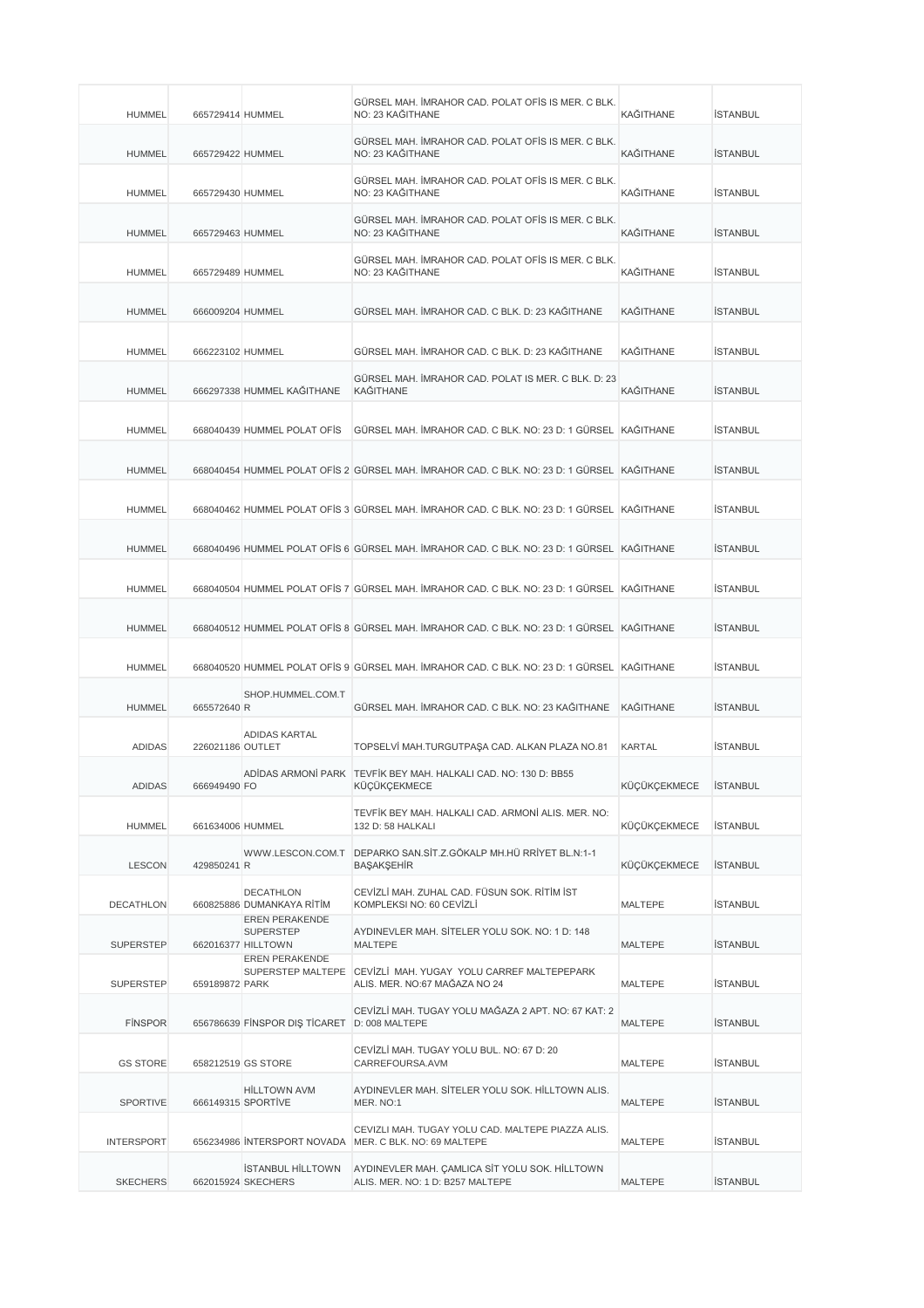| <b>HUMMEL</b>     | 665729414 HUMMEL |                                                                        | GÜRSEL MAH. İMRAHOR CAD. POLAT OFİS IS MER. C BLK.<br>NO: 23 KAĞITHANE                        | KAĞITHANE        | <b>İSTANBUL</b> |
|-------------------|------------------|------------------------------------------------------------------------|-----------------------------------------------------------------------------------------------|------------------|-----------------|
| <b>HUMMEL</b>     | 665729422 HUMMEL |                                                                        | GÜRSEL MAH. İMRAHOR CAD. POLAT OFİS IS MER. C BLK.<br>NO: 23 KAĞITHANE                        | KAĞITHANE        | <b>İSTANBUL</b> |
| <b>HUMMEL</b>     | 665729430 HUMMEL |                                                                        | GÜRSEL MAH. İMRAHOR CAD. POLAT OFİS IS MER. C BLK.<br>NO: 23 KAĞITHANE                        | KAĞITHANE        | <b>İSTANBUL</b> |
| <b>HUMMEL</b>     | 665729463 HUMMEL |                                                                        | GÜRSEL MAH. İMRAHOR CAD. POLAT OFİS IS MER. C BLK.<br>NO: 23 KAĞITHANE                        | <b>KAĞITHANE</b> | <b>İSTANBUL</b> |
| <b>HUMMEL</b>     | 665729489 HUMMEL |                                                                        | GÜRSEL MAH. İMRAHOR CAD. POLAT OFİS IS MER. C BLK.<br>NO: 23 KAĞITHANE                        | KAĞITHANE        | <b>İSTANBUL</b> |
| <b>HUMMEL</b>     | 666009204 HUMMEL |                                                                        | GÜRSEL MAH. İMRAHOR CAD. C BLK. D: 23 KAĞITHANE                                               | <b>KAĞITHANE</b> | <b>İSTANBUL</b> |
| <b>HUMMEL</b>     | 666223102 HUMMEL |                                                                        | GÜRSEL MAH. İMRAHOR CAD. C BLK. D: 23 KAĞITHANE                                               | KAĞITHANE        | <b>İSTANBUL</b> |
| <b>HUMMEL</b>     |                  | 666297338 HUMMEL KAĞITHANE                                             | GÜRSEL MAH. İMRAHOR CAD. POLAT IS MER. C BLK. D: 23<br><b>KAĞITHANE</b>                       | <b>KAĞITHANE</b> | <b>İSTANBUL</b> |
| HUMMEL            |                  | 668040439 HUMMEL POLAT OFIS                                            | GÜRSEL MAH. İMRAHOR CAD. C BLK. NO: 23 D: 1 GÜRSEL KAĞITHANE                                  |                  | <b>ISTANBUL</b> |
| <b>HUMMEL</b>     |                  |                                                                        | 668040454 HUMMEL POLAT OFIS 2 GÜRSEL MAH. İMRAHOR CAD. C BLK. NO: 23 D: 1 GÜRSEL KAĞITHANE    |                  | <b>İSTANBUL</b> |
| <b>HUMMEL</b>     |                  |                                                                        | 668040462 HUMMEL POLAT OFIS 3 GÜRSEL MAH. İMRAHOR CAD. C BLK. NO: 23 D: 1 GÜRSEL KAĞITHANE    |                  | <b>İSTANBUL</b> |
| <b>HUMMEL</b>     |                  |                                                                        | 668040496 HUMMEL POLAT OFIS 6 GÜRSEL MAH. İMRAHOR CAD. C BLK. NO: 23 D: 1 GÜRSEL KAĞITHANE    |                  | <b>İSTANBUL</b> |
| <b>HUMMEL</b>     |                  |                                                                        | 668040504 HUMMEL POLAT OFIS 7 GÜRSEL MAH. İMRAHOR CAD. C BLK. NO: 23 D: 1 GÜRSEL KAĞITHANE    |                  | <b>İSTANBUL</b> |
| <b>HUMMEL</b>     |                  |                                                                        | 668040512 HUMMEL POLAT OFIS 8 GÜRSEL MAH. İMRAHOR CAD. C BLK. NO: 23 D: 1 GÜRSEL KAĞITHANE    |                  | <b>İSTANBUL</b> |
| <b>HUMMEL</b>     |                  |                                                                        | 668040520 HUMMEL POLAT OFİS 9 GÜRSEL MAH. İMRAHOR CAD. C BLK. NO: 23 D: 1 GÜRSEL KAĞITHANE    |                  | <b>İSTANBUL</b> |
| <b>HUMMEL</b>     | 665572640 R      | SHOP.HUMMEL.COM.T                                                      | GÜRSEL MAH. İMRAHOR CAD. C BLK. NO: 23 KAĞITHANE                                              | <b>KAĞITHANE</b> | <b>İSTANBUL</b> |
| <b>ADIDAS</b>     | 226021186 OUTLET | ADIDAS KARTAL                                                          | TOPSELVI MAH.TURGUTPAŞA CAD. ALKAN PLAZA NO.81                                                | <b>KARTAL</b>    | <b>İSTANBUL</b> |
| ADIDAS            | 666949490 FO     |                                                                        | ADIDAS ARMONI PARK TEVFIK BEY MAH, HALKALI CAD, NO: 130 D; BB55<br>KÜÇÜKÇEKMECE               | KÜÇÜKÇEKMECE     | <b>ISTANBUL</b> |
| <b>HUMMEL</b>     | 661634006 HUMMEL |                                                                        | TEVFİK BEY MAH, HALKALI CAD, ARMONİ ALIS, MER, NO:<br>132 D: 58 HALKALI                       | KÜÇÜKÇEKMECE     | <b>İSTANBUL</b> |
| <b>LESCON</b>     | 429850241 R      |                                                                        | WWW.LESCON.COM.T DEPARKO SAN.SİT.Z.GÖKALP MH.HÜ RRİYET BL.N:1-1<br>BAŞAKŞEHİR                 | KÜÇÜKÇEKMECE     | <b>İSTANBUL</b> |
| <b>DECATHLON</b>  |                  | <b>DECATHLON</b><br>660825886 DUMANKAYA RİTİM<br><b>EREN PERAKENDE</b> | CEVİZLİ MAH. ZUHAL CAD. FÜSUN SOK. RİTİM İST<br>KOMPLEKSI NO: 60 CEVİZLİ                      | MALTEPE          | <b>İSTANBUL</b> |
| <b>SUPERSTEP</b>  |                  | <b>SUPERSTEP</b><br>662016377 HILLTOWN<br><b>EREN PERAKENDE</b>        | AYDINEVLER MAH. SİTELER YOLU SOK. NO: 1 D: 148<br><b>MALTEPE</b>                              | <b>MALTEPE</b>   | <b>İSTANBUL</b> |
| <b>SUPERSTEP</b>  | 659189872 PARK   |                                                                        | SUPERSTEP MALTEPE CEVIZLI MAH, YUGAY YOLU CARREF MALTEPEPARK<br>ALIS. MER. NO:67 MAĞAZA NO 24 | MALTEPE          | İSTANBUL        |
| <b>FINSPOR</b>    |                  | 656786639 FINSPOR DIS TICARET                                          | CEVİZLİ MAH. TUGAY YOLU MAĞAZA 2 APT. NO: 67 KAT: 2<br>D: 008 MALTEPE                         | MALTEPE          | <b>İSTANBUL</b> |
| <b>GS STORE</b>   |                  | 658212519 GS STORE                                                     | CEVIZLI MAH. TUGAY YOLU BUL. NO: 67 D: 20<br>CARREFOURSA.AVM                                  | MALTEPE          | <b>İSTANBUL</b> |
| <b>SPORTIVE</b>   |                  | <b>HİLLTOWN AVM</b><br>666149315 SPORTIVE                              | AYDINEVLER MAH. SİTELER YOLU SOK. HİLLTOWN ALIS.<br>MER. NO:1                                 | MALTEPE          | <b>İSTANBUL</b> |
| <b>INTERSPORT</b> |                  | 656234986 INTERSPORT NOVADA                                            | CEVIZLI MAH. TUGAY YOLU CAD. MALTEPE PIAZZA ALIS.<br>MER. C BLK. NO: 69 MALTEPE               | MALTEPE          | <b>İSTANBUL</b> |
| <b>SKECHERS</b>   |                  | <b>İSTANBUL HİLLTOWN</b><br>662015924 SKECHERS                         | AYDINEVLER MAH. ÇAMLICA SİT YOLU SOK. HİLLTOWN<br>ALIS. MER. NO: 1 D: B257 MALTEPE            | MALTEPE          | <b>İSTANBUL</b> |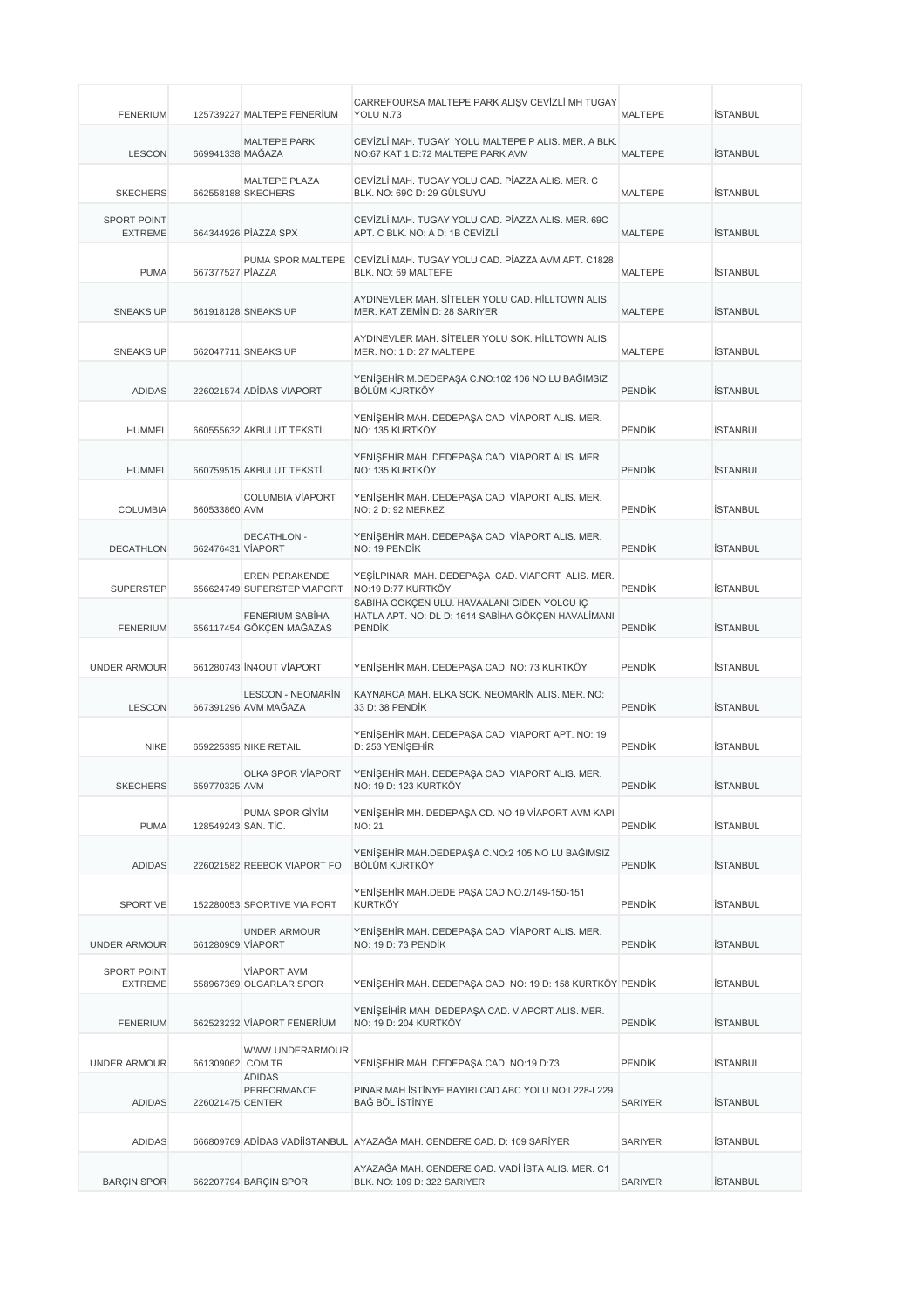| <b>FENERIUM</b>               |                     | 125739227 MALTEPE FENERIUM                           | CARREFOURSA MALTEPE PARK ALIŞV CEVİZLİ MH TUGAY<br>YOLU N.73                                                       | <b>MALTEPE</b> | <b>İSTANBUL</b> |
|-------------------------------|---------------------|------------------------------------------------------|--------------------------------------------------------------------------------------------------------------------|----------------|-----------------|
| <b>LESCON</b>                 | 669941338 MAĞAZA    | <b>MALTEPE PARK</b>                                  | CEVIZLI MAH. TUGAY YOLU MALTEPE P ALIS, MER. A BLK.<br>NO:67 KAT 1 D:72 MALTEPE PARK AVM                           | <b>MALTEPE</b> | <b>İSTANBUL</b> |
| <b>SKECHERS</b>               |                     | MALTEPE PLAZA<br>662558188 SKECHERS                  | CEVİZLİ MAH. TUGAY YOLU CAD. PİAZZA ALIS. MER. C<br>BLK. NO: 69C D: 29 GÜLSUYU                                     | <b>MALTEPE</b> | <b>İSTANBUL</b> |
| SPORT POINT<br><b>EXTREME</b> |                     | 664344926 PIAZZA SPX                                 | CEVIZLI MAH. TUGAY YOLU CAD. PIAZZA ALIS. MER. 69C<br>APT. C BLK. NO: A D: 1B CEVİZLİ                              | <b>MALTEPE</b> | <b>İSTANBUL</b> |
| <b>PUMA</b>                   | 667377527 PİAZZA    | PUMA SPOR MALTEPE                                    | CEVİZLİ MAH. TUGAY YOLU CAD. PİAZZA AVM APT. C1828<br>BLK. NO: 69 MALTEPE                                          | MALTEPE        | <b>İSTANBUL</b> |
| <b>SNEAKS UP</b>              |                     | 661918128 SNEAKS UP                                  | AYDINEVLER MAH. SİTELER YOLU CAD. HİLLTOWN ALIS.<br>MER. KAT ZEMİN D: 28 SARIYER                                   | <b>MALTEPE</b> | <b>İSTANBUL</b> |
| <b>SNEAKS UP</b>              |                     | 662047711 SNEAKS UP                                  | AYDINEVLER MAH, SİTELER YOLU SOK, HİLLTOWN ALIS.<br>MER. NO: 1 D: 27 MALTEPE                                       | <b>MALTEPE</b> | <b>İSTANBUL</b> |
| <b>ADIDAS</b>                 |                     | 226021574 ADIDAS VIAPORT                             | YENİŞEHİR M.DEDEPAŞA C.NO:102 106 NO LU BAĞIMSIZ<br><b>BÖLÜM KURTKÖY</b>                                           | <b>PENDIK</b>  | <b>İSTANBUL</b> |
| <b>HUMMEL</b>                 |                     | 660555632 AKBULUT TEKSTİL                            | YENİŞEHİR MAH. DEDEPAŞA CAD. VİAPORT ALIS. MER.<br>NO: 135 KURTKÖY                                                 | <b>PENDIK</b>  | <b>İSTANBUL</b> |
| <b>HUMMEL</b>                 |                     | 660759515 AKBULUT TEKSTİL                            | YENİŞEHİR MAH. DEDEPAŞA CAD. VİAPORT ALIS. MER.<br>NO: 135 KURTKÖY                                                 | <b>PENDIK</b>  | <b>İSTANBUL</b> |
| <b>COLUMBIA</b>               | 660533860 AVM       | <b>COLUMBIA VÍAPORT</b>                              | YENİŞEHİR MAH. DEDEPAŞA CAD. VİAPORT ALIS. MER.<br>NO: 2 D: 92 MERKEZ                                              | <b>PENDIK</b>  | <b>İSTANBUL</b> |
| <b>DECATHLON</b>              | 662476431 VIAPORT   | <b>DECATHLON -</b>                                   | YENİŞEHİR MAH. DEDEPAŞA CAD. VİAPORT ALIS. MER.<br>NO: 19 PENDİK                                                   | <b>PENDIK</b>  | <b>İSTANBUL</b> |
| <b>SUPERSTEP</b>              |                     | <b>EREN PERAKENDE</b><br>656624749 SUPERSTEP VIAPORT | YEŞİLPINAR MAH. DEDEPAŞA CAD. VIAPORT ALIS. MER.<br>NO:19 D:77 KURTKÖY                                             | <b>PENDIK</b>  | <b>İSTANBUL</b> |
| <b>FENERIUM</b>               |                     | FENERIUM SABIHA<br>656117454 GÖKÇEN MAĞAZAS          | SABİHA GÖKÇEN ULU. HAVAALANI GİDEN YOLCU İÇ<br>HATLA APT. NO: DL D: 1614 SABİHA GÖKÇEN HAVALİMANI<br><b>PENDİK</b> | <b>PENDIK</b>  | <b>İSTANBUL</b> |
| <b>UNDER ARMOUR</b>           |                     | 661280743 IN4OUT VIAPORT                             | YENİŞEHİR MAH. DEDEPAŞA CAD. NO: 73 KURTKÖY                                                                        | <b>PENDIK</b>  | <b>İSTANBUL</b> |
| <b>LESCON</b>                 |                     | <b>LESCON - NEOMARÍN</b><br>667391296 AVM MAĞAZA     | KAYNARCA MAH. ELKA SOK. NEOMARİN ALIS. MER. NO:<br>33 D: 38 PENDIK                                                 | <b>PENDIK</b>  | <b>İSTANBUL</b> |
| <b>NIKE</b>                   |                     | 659225395 NIKE RETAIL                                | YENİŞEHİR MAH. DEDEPAŞA CAD. VIAPORT APT. NO: 19<br>D: 253 YENİSEHİR                                               | <b>PENDIK</b>  | <b>İSTANBUL</b> |
| <b>SKECHERS</b>               | 659770325 AVM       | OLKA SPOR VİAPORT                                    | YENİŞEHİR MAH. DEDEPAŞA CAD. VIAPORT ALIS. MER.<br>NO: 19 D: 123 KURTKOY                                           | <b>PENDİK</b>  | ISTANBUL        |
| <b>PUMA</b>                   | 128549243 SAN, TIC. | PUMA SPOR GİYİM                                      | YENİŞEHİR MH. DEDEPAŞA CD. NO:19 VİAPORT AVM KAPI<br><b>NO: 21</b>                                                 | <b>PENDIK</b>  | <b>İSTANBUL</b> |
| <b>ADIDAS</b>                 |                     | 226021582 REEBOK VIAPORT FO                          | YENİŞEHİR MAH.DEDEPAŞA C.NO:2 105 NO LU BAĞIMSIZ<br>BÖLÜM KURTKÖY                                                  | <b>PENDIK</b>  | <b>İSTANBUL</b> |
| <b>SPORTIVE</b>               |                     | 152280053 SPORTIVE VIA PORT                          | YENİŞEHİR MAH.DEDE PAŞA CAD.NO.2/149-150-151<br><b>KURTKÖY</b>                                                     | <b>PENDIK</b>  | <b>İSTANBUL</b> |
| <b>UNDER ARMOUR</b>           | 661280909 VIAPORT   | <b>UNDER ARMOUR</b>                                  | YENİŞEHİR MAH. DEDEPAŞA CAD. VİAPORT ALIS. MER.<br>NO: 19 D: 73 PENDİK                                             | <b>PENDIK</b>  | <b>İSTANBUL</b> |
| SPORT POINT<br>EXTREME        |                     | <b>VIAPORT AVM</b><br>658967369 OLGARLAR SPOR        | YENİŞEHİR MAH. DEDEPAŞA CAD. NO: 19 D: 158 KURTKÖY PENDİK                                                          |                | <b>İSTANBUL</b> |
| <b>FENERIUM</b>               |                     | 662523232 VIAPORT FENERIUM                           | YENİŞEİHİR MAH. DEDEPAŞA CAD. VİAPORT ALIS. MER.<br>NO: 19 D: 204 KURTKÖY                                          | <b>PENDIK</b>  | <b>İSTANBUL</b> |
| <b>UNDER ARMOUR</b>           | 661309062 .COM.TR   | WWW.UNDERARMOUR                                      | YENİŞEHİR MAH. DEDEPAŞA CAD. NO:19 D:73                                                                            | <b>PENDIK</b>  | <b>İSTANBUL</b> |
| <b>ADIDAS</b>                 | 226021475 CENTER    | <b>ADIDAS</b><br>PERFORMANCE                         | PINAR MAH.İSTİNYE BAYIRI CAD ABC YOLU NO:L228-L229<br>BAĞ BÖL İSTİNYE                                              | <b>SARIYER</b> | <b>İSTANBUL</b> |
| <b>ADIDAS</b>                 |                     |                                                      | 666809769 ADİDAS VADİİSTANBUL AYAZAĞA MAH. CENDERE CAD. D: 109 SARİYER                                             | <b>SARIYER</b> | <b>İSTANBUL</b> |
| <b>BARÇIN SPOR</b>            |                     | 662207794 BARÇIN SPOR                                | AYAZAĞA MAH. CENDERE CAD. VADİ İSTA ALIS. MER. C1<br>BLK. NO: 109 D: 322 SARIYER                                   | <b>SARIYER</b> | <b>İSTANBUL</b> |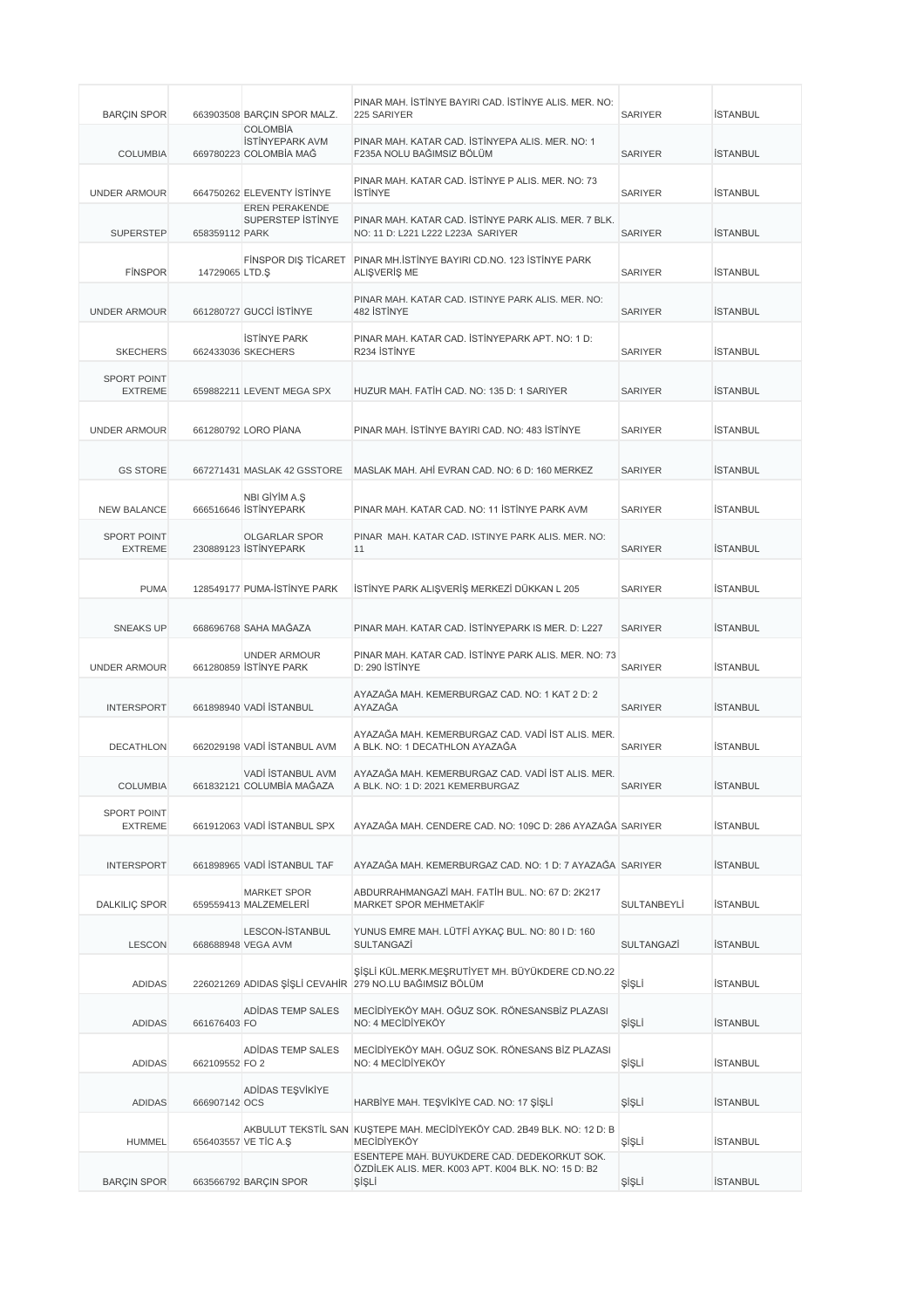| <b>BARÇIN SPOR</b>                   |                 | 663903508 BARÇIN SPOR MALZ.                                         | PINAR MAH. İSTİNYE BAYIRI CAD. İSTİNYE ALIS. MER. NO:<br>225 SARIYER                                         | <b>SARIYER</b> | <b>İSTANBUL</b> |
|--------------------------------------|-----------------|---------------------------------------------------------------------|--------------------------------------------------------------------------------------------------------------|----------------|-----------------|
| <b>COLUMBIA</b>                      |                 | <b>COLOMBIA</b><br><b>İSTİNYEPARK AVM</b><br>669780223 COLOMBIA MAĞ | PINAR MAH. KATAR CAD. İSTİNYEPA ALIS. MER. NO: 1<br>F235A NOLU BAĞIMSIZ BÖLÜM                                | <b>SARIYER</b> | <b>İSTANBUL</b> |
| <b>UNDER ARMOUR</b>                  |                 | 664750262 ELEVENTY STINYE                                           | PINAR MAH. KATAR CAD. İSTİNYE P ALIS. MER. NO: 73<br><b>İSTİNYE</b>                                          | <b>SARIYER</b> | <b>İSTANBUL</b> |
| <b>SUPERSTEP</b>                     | 658359112 PARK  | <b>EREN PERAKENDE</b><br>SUPERSTEP ISTINYE                          | PINAR MAH, KATAR CAD, İSTİNYE PARK ALIS, MER, 7 BLK.<br>NO: 11 D: L221 L222 L223A SARIYER                    | <b>SARIYER</b> | <b>İSTANBUL</b> |
| <b>FINSPOR</b>                       | 14729065 LTD.\$ | <b>FINSPOR DIS TICARET</b>                                          | PINAR MH. STINYE BAYIRI CD.NO. 123 ISTINYE PARK<br>ALIŞVERİŞ ME                                              | <b>SARIYER</b> | <b>İSTANBUL</b> |
| <b>UNDER ARMOUR</b>                  |                 | 661280727 GUCCI ISTINYE                                             | PINAR MAH. KATAR CAD. ISTINYE PARK ALIS. MER. NO:<br>482 İSTİNYE                                             | <b>SARIYER</b> | <b>İSTANBUL</b> |
| <b>SKECHERS</b>                      |                 | <b>ISTINYE PARK</b><br>662433036 SKECHERS                           | PINAR MAH. KATAR CAD. İSTİNYEPARK APT. NO: 1 D:<br>R234 İSTİNYE                                              | <b>SARIYER</b> | <b>İSTANBUL</b> |
| <b>SPORT POINT</b><br><b>EXTREME</b> |                 | 659882211 LEVENT MEGA SPX                                           | HUZUR MAH. FATİH CAD. NO: 135 D: 1 SARIYER                                                                   | <b>SARIYER</b> | <b>İSTANBUL</b> |
| <b>UNDER ARMOUR</b>                  |                 | 661280792 LORO PİANA                                                | PINAR MAH. İSTİNYE BAYIRI CAD. NO: 483 İSTİNYE                                                               | <b>SARIYER</b> | <b>İSTANBUL</b> |
| <b>GS STORE</b>                      |                 | 667271431 MASLAK 42 GSSTORE                                         | MASLAK MAH, AHI EVRAN CAD, NO: 6 D: 160 MERKEZ                                                               | <b>SARIYER</b> | <b>İSTANBUL</b> |
| <b>NEW BALANCE</b>                   |                 | NBI GİYİM A.Ş<br>666516646 İSTİNYEPARK                              | PINAR MAH. KATAR CAD. NO: 11 İSTİNYE PARK AVM                                                                | <b>SARIYER</b> | <b>İSTANBUL</b> |
| <b>SPORT POINT</b><br><b>EXTREME</b> |                 | <b>OLGARLAR SPOR</b><br>230889123 STINYEPARK                        | PINAR MAH. KATAR CAD. ISTINYE PARK ALIS. MER. NO:<br>11                                                      | <b>SARIYER</b> | <b>İSTANBUL</b> |
| <b>PUMA</b>                          |                 | 128549177 PUMA-ISTINYE PARK                                         | İSTİNYE PARK ALIŞVERİŞ MERKEZİ DÜKKAN L 205                                                                  | <b>SARIYER</b> | <b>İSTANBUL</b> |
| <b>SNEAKS UP</b>                     |                 | 668696768 SAHA MAĞAZA                                               | PINAR MAH, KATAR CAD, İSTİNYEPARK IS MER, D: L227                                                            | <b>SARIYER</b> | <b>İSTANBUL</b> |
| <b>UNDER ARMOUR</b>                  |                 | <b>UNDER ARMOUR</b><br>661280859 STİNYE PARK                        | PINAR MAH. KATAR CAD. İSTİNYE PARK ALIS. MER. NO: 73<br>D: 290 İSTİNYE                                       | <b>SARIYER</b> | <b>İSTANBUL</b> |
| <b>INTERSPORT</b>                    |                 | 661898940 VADİ İSTANBUL                                             | AYAZAĞA MAH. KEMERBURGAZ CAD. NO: 1 KAT 2 D: 2<br>AYAZAĞA                                                    | <b>SARIYER</b> | <b>İSTANBUL</b> |
| <b>DECATHLON</b>                     |                 | 662029198 VADİ İSTANBUL AVM                                         | AYAZAĞA MAH. KEMERBURGAZ CAD. VADİ İST ALIS. MER.<br>A BLK. NO: 1 DECATHLON AYAZAĞA                          | <b>SARIYER</b> | <b>İSTANBUL</b> |
| <b>COLUMBIA</b>                      |                 | VADİ İSTANBUL AVM<br>661832121 COLUMBIA MAGAZA                      | AYAZAĞA MAH. KEMERBURGAZ CAD. VADİ İST ALIS. MER.<br>A BLK. NO: 1 D: 2021 KEMERBURGAZ                        | SARIYER        | <b>İSTANBUL</b> |
| <b>SPORT POINT</b><br><b>EXTREME</b> |                 | 661912063 VADİ İSTANBUL SPX                                         | AYAZAĞA MAH, CENDERE CAD, NO: 109C D: 286 AYAZAĞA SARIYER                                                    |                | <b>İSTANBUL</b> |
| <b>INTERSPORT</b>                    |                 | 661898965 VADİ İSTANBUL TAF                                         | AYAZAĞA MAH. KEMERBURGAZ CAD. NO: 1 D: 7 AYAZAĞA SARIYER                                                     |                | <b>İSTANBUL</b> |
| <b>DALKILIÇ SPOR</b>                 |                 | <b>MARKET SPOR</b><br>659559413 MALZEMELERİ                         | ABDURRAHMANGAZİ MAH. FATİH BUL. NO: 67 D: 2K217<br>MARKET SPOR MEHMETAKİF                                    | SULTANBEYLI    | <b>İSTANBUL</b> |
| <b>LESCON</b>                        |                 | LESCON-İSTANBUL<br>668688948 VEGA AVM                               | YUNUS EMRE MAH. LÜTFİ AYKAÇ BUL. NO: 80 I D: 160<br>SULTANGAZİ                                               | SULTANGAZİ     | <b>İSTANBUL</b> |
| <b>ADIDAS</b>                        |                 |                                                                     | ŞİŞLİ KÜL.MERK.MEŞRUTİYET MH. BÜYÜKDERE CD.NO.22<br>226021269 ADIDAS ŞİŞLİ CEVAHİR 279 NO.LU BAĞIMSIZ BÖLÜM  | ŞİŞLİ          | İSTANBUL        |
| <b>ADIDAS</b>                        | 661676403 FO    | ADIDAS TEMP SALES                                                   | MECİDİYEKÖY MAH. OĞUZ SOK. RÖNESANSBİZ PLAZASI<br>NO: 4 MECIDIYEKÖY                                          | ŞİŞLİ          | <b>İSTANBUL</b> |
| <b>ADIDAS</b>                        | 662109552 FO 2  | ADIDAS TEMP SALES                                                   | MECİDİYEKÖY MAH. OĞUZ SOK. RÖNESANS BİZ PLAZASI<br>NO: 4 MECIDIYEKÖY                                         | ŞİŞLİ          | <b>İSTANBUL</b> |
| <b>ADIDAS</b>                        | 666907142 OCS   | ADIDAS TEŞVİKİYE                                                    | HARBİYE MAH. TEŞVİKİYE CAD. NO: 17 ŞİŞLİ                                                                     | ŞİŞLİ          | <b>İSTANBUL</b> |
| <b>HUMMEL</b>                        |                 | 656403557 VE TİC A.Ş                                                | AKBULUT TEKSTİL SAN KUŞTEPE MAH. MECİDİYEKÖY CAD. 2B49 BLK. NO: 12 D: B<br><b>MECIDİYEKÖY</b>                | ŞİŞLİ          | <b>İSTANBUL</b> |
| <b>BARÇIN SPOR</b>                   |                 | 663566792 BARÇIN SPOR                                               | ESENTEPE MAH. BÜYÜKDERE CAD. DEDEKORKUT SOK.<br>ÖZDİLEK ALIS. MER. K003 APT. K004 BLK. NO: 15 D: B2<br>ŞİŞLİ | ŞİŞLİ          | <b>İSTANBUL</b> |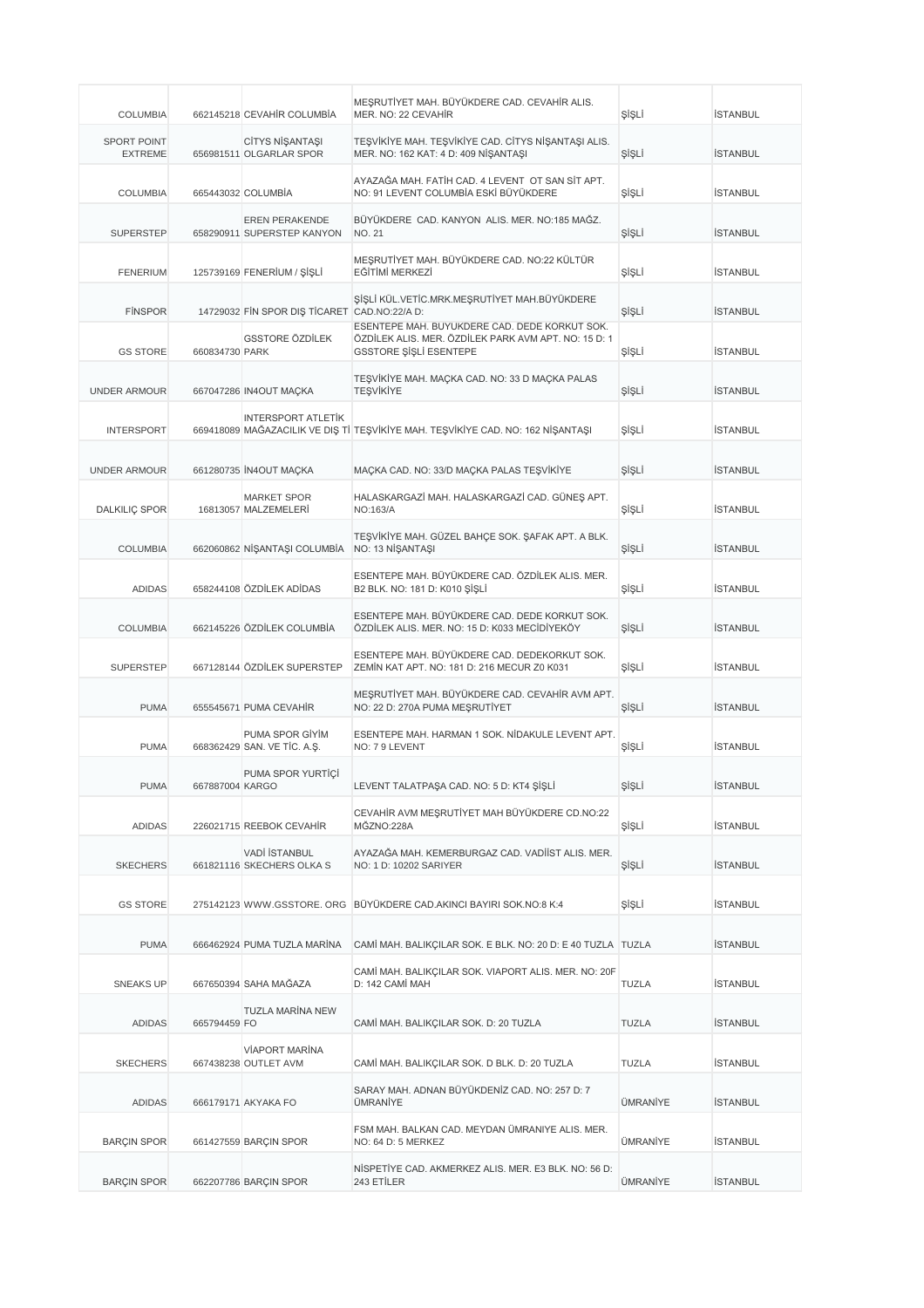| <b>COLUMBIA</b>                      |                 | 662145218 CEVAHIR COLUMBIA                          | MEŞRUTİYET MAH. BÜYÜKDERE CAD. CEVAHİR ALIS.<br>MER. NO: 22 CEVAHIR                                                             | ŞİŞLİ        | <b>İSTANBUL</b> |
|--------------------------------------|-----------------|-----------------------------------------------------|---------------------------------------------------------------------------------------------------------------------------------|--------------|-----------------|
| <b>SPORT POINT</b><br><b>EXTREME</b> |                 | CİTYS NİŞANTAŞI<br>656981511 OLGARLAR SPOR          | TEŞVİKİYE MAH. TEŞVİKİYE CAD. CİTYS NİŞANTAŞI ALIS.<br>MER. NO: 162 KAT: 4 D: 409 NİŞANTAŞI                                     | ŞİŞLİ        | <b>İSTANBUL</b> |
| <b>COLUMBIA</b>                      |                 | 665443032 COLUMBIA                                  | AYAZAĞA MAH. FATİH CAD. 4 LEVENT OT SAN SİT APT.<br>NO: 91 LEVENT COLUMBİA ESKİ BÜYÜKDERE                                       | ŞİŞLİ        | <b>İSTANBUL</b> |
| <b>SUPERSTEP</b>                     |                 | <b>EREN PERAKENDE</b><br>658290911 SUPERSTEP KANYON | BÜYÜKDERE CAD. KANYON ALIS. MER. NO:185 MAĞZ.<br><b>NO. 21</b>                                                                  | ŞİŞLİ        | <b>İSTANBUL</b> |
| <b>FENERIUM</b>                      |                 | 125739169 FENERIUM / ŞİŞLİ                          | MEŞRUTİYET MAH. BÜYÜKDERE CAD. NO:22 KÜLTÜR<br>EĞİTİMİ MERKEZİ                                                                  | ŞİŞLİ        | <b>İSTANBUL</b> |
| <b>FINSPOR</b>                       |                 | 14729032 FIN SPOR DIS TICARET CAD.NO:22/A D:        | ŞİŞLİ KÜL.VETİC.MRK.MEŞRUTİYET MAH.BÜYÜKDERE                                                                                    | ŞİŞLİ        | <b>İSTANBUL</b> |
| <b>GS STORE</b>                      | 660834730 PARK  | GSSTORE ÖZDİLEK                                     | ESENTEPE MAH. BÜYÜKDERE CAD. DEDE KORKUT SOK.<br>ÖZDİLEK ALIS. MER. ÖZDİLEK PARK AVM APT. NO: 15 D: 1<br>GSSTORE ŞİŞLİ ESENTEPE | ŞİŞLİ        | <b>İSTANBUL</b> |
| <b>UNDER ARMOUR</b>                  |                 | 667047286 IN4OUT MACKA                              | TEŞVİKİYE MAH. MAÇKA CAD. NO: 33 D MAÇKA PALAS<br><b>TEŞVİKİYE</b>                                                              | ŞİŞLİ        | <b>İSTANBUL</b> |
| <b>INTERSPORT</b>                    |                 | <b>INTERSPORT ATLETIK</b>                           | 669418089 MAĞAZACILIK VE DIŞ Tİ TEŞVİKİYE MAH. TEŞVİKİYE CAD. NO: 162 NİŞANTAŞI                                                 | ŞİŞLİ        | <b>İSTANBUL</b> |
| <b>UNDER ARMOUR</b>                  |                 | 661280735 İN4OUT MAÇKA                              | MAÇKA CAD. NO: 33/D MAÇKA PALAS TEŞVİKİYE                                                                                       | ŞİŞLİ        | <b>İSTANBUL</b> |
| <b>DALKILIÇ SPOR</b>                 |                 | <b>MARKET SPOR</b><br>16813057 MALZEMELERİ          | HALASKARGAZİ MAH. HALASKARGAZİ CAD. GÜNEŞ APT.<br>NO:163/A                                                                      | ŞİŞLİ        | <b>İSTANBUL</b> |
| <b>COLUMBIA</b>                      |                 | 662060862 NİŞANTAŞI COLUMBİA                        | TEŞVİKİYE MAH. GÜZEL BAHÇE SOK. ŞAFAK APT. A BLK.<br>NO: 13 NİŞANTAŞI                                                           | ŞİŞLİ        | <b>İSTANBUL</b> |
| <b>ADIDAS</b>                        |                 | 658244108 ÖZDİLEK ADİDAS                            | ESENTEPE MAH. BÜYÜKDERE CAD. ÖZDİLEK ALIS. MER.<br>B2 BLK. NO: 181 D: K010 ŞİŞLİ                                                | ŞİŞLİ        | <b>İSTANBUL</b> |
| <b>COLUMBIA</b>                      |                 | 662145226 ÖZDİLEK COLUMBİA                          | ESENTEPE MAH. BÜYÜKDERE CAD. DEDE KORKUT SOK.<br>ÖZDİLEK ALIS. MER. NO: 15 D: K033 MECİDİYEKÖY                                  | ŞİŞLİ        | <b>İSTANBUL</b> |
| <b>SUPERSTEP</b>                     |                 | 667128144 ÖZDİLEK SUPERSTEP                         | ESENTEPE MAH. BÜYÜKDERE CAD. DEDEKORKUT SOK.<br>ZEMIN KAT APT. NO: 181 D: 216 MECUR Z0 K031                                     | ŞİŞLİ        | <b>İSTANBUL</b> |
| <b>PUMA</b>                          |                 | 655545671 PUMA CEVAHIR                              | MEŞRUTİYET MAH. BÜYÜKDERE CAD. CEVAHİR AVM APT.<br>NO: 22 D: 270A PUMA MEŞRUTİYET                                               | ŞİŞLİ        | <b>İSTANBUL</b> |
| <b>PUMA</b>                          |                 | PUMA SPOR GİYİM<br>668362429 SAN. VE TİC. A.Ş.      | ESENTEPE MAH, HARMAN 1 SOK, NİDAKULE LEVENT APT.<br>NO: 7 9 LEVENT                                                              | ŞİŞLİ        | <b>İSTANBUL</b> |
| <b>PUMA</b>                          | 667887004 KARGO | PUMA SPOR YURTIÇİ                                   | LEVENT TALATPAŞA CAD. NO: 5 D: KT4 ŞİŞLİ                                                                                        | ŞIŞLI        | ISTANBUL        |
| <b>ADIDAS</b>                        |                 | 226021715 REEBOK CEVAHIR                            | CEVAHİR AVM MEŞRUTİYET MAH BÜYÜKDERE CD.NO:22<br>MĞZNO:228A                                                                     | ŞİŞLİ        | <b>İSTANBUL</b> |
| <b>SKECHERS</b>                      |                 | <b>VADİ İSTANBUL</b><br>661821116 SKECHERS OLKA S   | AYAZAĞA MAH. KEMERBURGAZ CAD. VADİİST ALIS. MER.<br>NO: 1 D: 10202 SARIYER                                                      | ŞİŞLİ        | <b>İSTANBUL</b> |
| <b>GS STORE</b>                      |                 |                                                     | 275142123 WWW.GSSTORE. ORG BÜYÜKDERE CAD.AKINCI BAYIRI SOK.NO:8 K:4                                                             | ŞİŞLİ        | <b>İSTANBUL</b> |
| <b>PUMA</b>                          |                 | 666462924 PUMA TUZLA MARINA                         | CAMİ MAH. BALIKÇILAR SOK. E BLK. NO: 20 D: E 40 TUZLA TUZLA                                                                     |              | İSTANBUL        |
| <b>SNEAKS UP</b>                     |                 | 667650394 SAHA MAĞAZA                               | CAMİ MAH. BALIKÇILAR SOK. VIAPORT ALIS. MER. NO: 20F<br>D: 142 CAMİ MAH                                                         | <b>TUZLA</b> | İSTANBUL        |
| <b>ADIDAS</b>                        | 665794459 FO    | <b>TUZLA MARÍNA NEW</b>                             | CAMİ MAH. BALIKÇILAR SOK. D: 20 TUZLA                                                                                           | TUZLA        | <b>İSTANBUL</b> |
| <b>SKECHERS</b>                      |                 | VİAPORT MARİNA<br>667438238 OUTLET AVM              | CAMİ MAH. BALIKÇILAR SOK. D BLK. D: 20 TUZLA                                                                                    | <b>TUZLA</b> | <b>İSTANBUL</b> |
| <b>ADIDAS</b>                        |                 | 666179171 AKYAKA FO                                 | SARAY MAH. ADNAN BÜYÜKDENİZ CAD. NO: 257 D: 7<br>ÜMRANİYE                                                                       | ÜMRANİYE     | <b>İSTANBUL</b> |
| <b>BARÇIN SPOR</b>                   |                 | 661427559 BARÇIN SPOR                               | FSM MAH. BALKAN CAD. MEYDAN ÜMRANIYE ALIS. MER.<br>NO: 64 D: 5 MERKEZ                                                           | ÜMRANİYE     | <b>İSTANBUL</b> |
| <b>BARÇIN SPOR</b>                   |                 | 662207786 BARÇIN SPOR                               | NISPETIYE CAD. AKMERKEZ ALIS. MER. E3 BLK. NO: 56 D:<br>243 ETİLER                                                              | ÜMRANİYE     | <b>İSTANBUL</b> |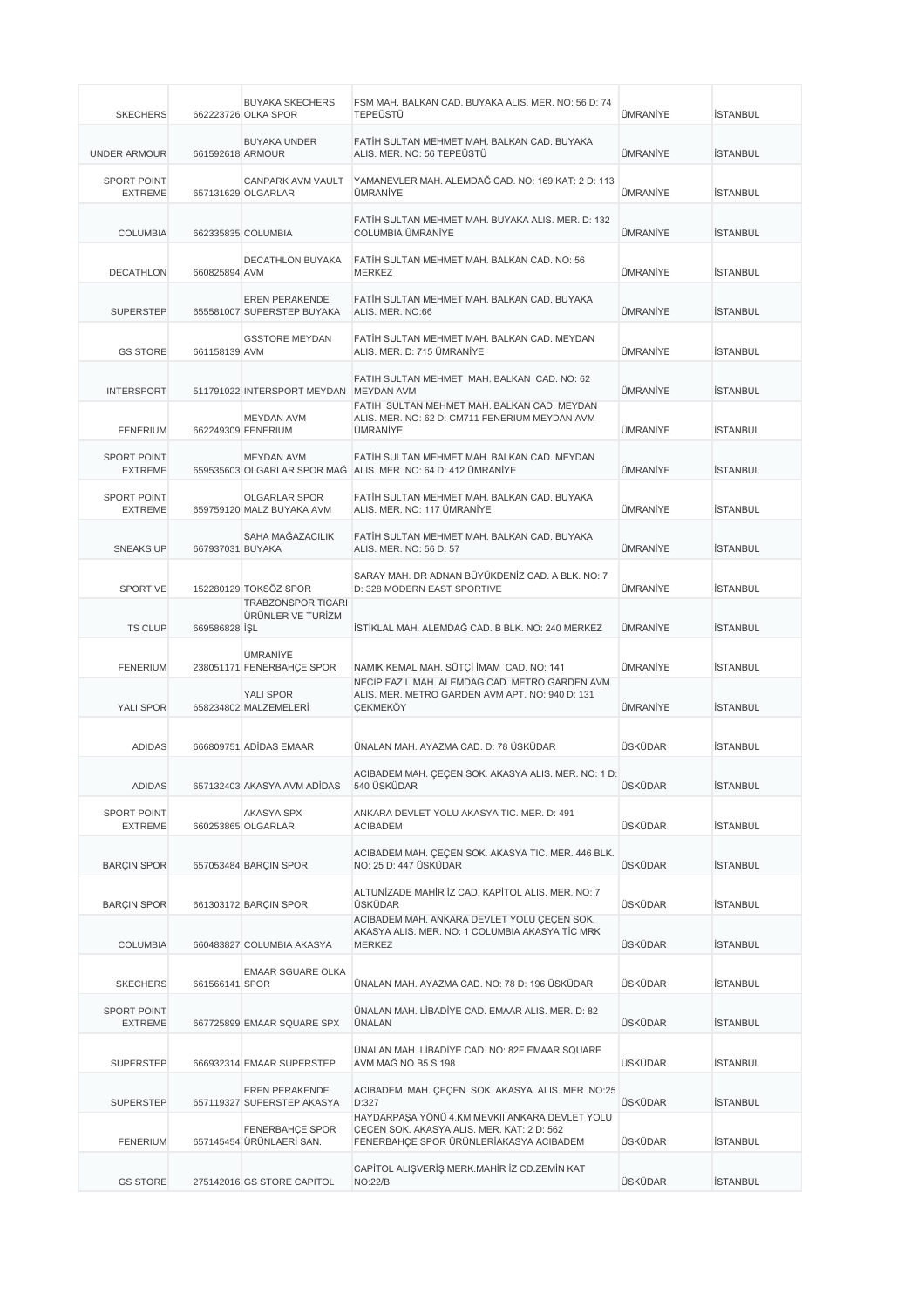| <b>SKECHERS</b>                      |                  | <b>BUYAKA SKECHERS</b><br>662223726 OLKA SPOR       | FSM MAH. BALKAN CAD. BUYAKA ALIS. MER. NO: 56 D: 74<br><b>TEPEÜSTÜ</b>                                                                  | ÜMRANİYE       | <b>İSTANBUL</b> |
|--------------------------------------|------------------|-----------------------------------------------------|-----------------------------------------------------------------------------------------------------------------------------------------|----------------|-----------------|
| <b>UNDER ARMOUR</b>                  | 661592618 ARMOUR | <b>BUYAKA UNDER</b>                                 | FATİH SULTAN MEHMET MAH. BALKAN CAD. BUYAKA<br>ALIS. MER. NO: 56 TEPEÜSTÜ                                                               | ÜMRANİYE       | <b>İSTANBUL</b> |
| <b>SPORT POINT</b><br><b>EXTREME</b> |                  | CANPARK AVM VAULT<br>657131629 OLGARLAR             | YAMANEVLER MAH. ALEMDAĞ CAD. NO: 169 KAT: 2 D: 113<br>ÜMRANİYE                                                                          | ÜMRANİYE       | <b>İSTANBUL</b> |
| <b>COLUMBIA</b>                      |                  | 662335835 COLUMBIA                                  | FATIH SULTAN MEHMET MAH, BUYAKA ALIS, MER, D: 132<br>COLUMBIA ÜMRANİYE                                                                  | ÜMRANİYE       | <b>İSTANBUL</b> |
| <b>DECATHLON</b>                     | 660825894 AVM    | <b>DECATHLON BUYAKA</b>                             | FATIH SULTAN MEHMET MAH, BALKAN CAD, NO: 56<br>MERKEZ                                                                                   | ÜMRANİYE       | <b>İSTANBUL</b> |
| <b>SUPERSTEP</b>                     |                  | <b>EREN PERAKENDE</b><br>655581007 SUPERSTEP BUYAKA | FATİH SULTAN MEHMET MAH, BALKAN CAD, BUYAKA<br>ALIS. MER. NO:66                                                                         | ÜMRANİYE       | <b>İSTANBUL</b> |
| <b>GS STORE</b>                      | 661158139 AVM    | <b>GSSTORE MEYDAN</b>                               | FATIH SULTAN MEHMET MAH. BALKAN CAD. MEYDAN<br>ALIS. MER. D: 715 ÜMRANİYE                                                               | ÜMRANİYE       | <b>İSTANBUL</b> |
| <b>INTERSPORT</b>                    |                  | 511791022 INTERSPORT MEYDAN MEYDAN AVM              | FATIH SULTAN MEHMET MAH, BALKAN CAD, NO: 62                                                                                             | ÜMRANİYE       | <b>İSTANBUL</b> |
| <b>FENERIUM</b>                      |                  | <b>MEYDAN AVM</b><br>662249309 FENERIUM             | FATIH SULTAN MEHMET MAH. BALKAN CAD. MEYDAN<br>ALIS. MER. NO: 62 D: CM711 FENERIUM MEYDAN AVM<br>ÜMRANİYE                               | ÜMRANİYE       | <b>İSTANBUL</b> |
| <b>SPORT POINT</b><br><b>EXTREME</b> |                  | <b>MEYDAN AVM</b>                                   | FATIH SULTAN MEHMET MAH, BALKAN CAD, MEYDAN<br>659535603 OLGARLAR SPOR MAĞ. ALIS. MER. NO: 64 D: 412 ÜMRANİYE                           | ÜMRANİYE       | <b>İSTANBUL</b> |
| <b>SPORT POINT</b><br><b>EXTREME</b> |                  | <b>OLGARLAR SPOR</b><br>659759120 MALZ BUYAKA AVM   | FATIH SULTAN MEHMET MAH. BALKAN CAD. BUYAKA<br>ALIS. MER. NO: 117 ÜMRANİYE                                                              | ÜMRANİYE       | <b>İSTANBUL</b> |
| <b>SNEAKS UP</b>                     | 667937031 BUYAKA | SAHA MAĞAZACILIK                                    | FATIH SULTAN MEHMET MAH. BALKAN CAD. BUYAKA<br>ALIS. MER. NO: 56 D: 57                                                                  | ÜMRANİYE       | <b>İSTANBUL</b> |
| <b>SPORTIVE</b>                      |                  | 152280129 TOKSÖZ SPOR                               | SARAY MAH, DR ADNAN BÜYÜKDENİZ CAD, A BLK, NO: 7<br>D: 328 MODERN EAST SPORTIVE                                                         | ÜMRANİYE       | <b>İSTANBUL</b> |
| <b>TS CLUP</b>                       | 669586828 SL     | <b>TRABZONSPOR TICARI</b><br>ÜRÜNLER VE TURİZM      | İSTİKLAL MAH. ALEMDAĞ CAD. B BLK. NO: 240 MERKEZ                                                                                        | ÜMRANİYE       | <b>İSTANBUL</b> |
| <b>FENERIUM</b>                      |                  | ÜMRANİYE<br>238051171 FENERBAHÇE SPOR               | NAMIK KEMAL MAH. SÜTÇİ İMAM CAD. NO: 141                                                                                                | ÜMRANİYE       | <b>İSTANBUL</b> |
| <b>YALI SPOR</b>                     |                  | <b>YALI SPOR</b><br>658234802 MALZEMELERİ           | NECIP FAZIL MAH. ALEMDAG CAD. METRO GARDEN AVM<br>ALIS. MER. METRO GARDEN AVM APT. NO: 940 D: 131<br><b>CEKMEKÖY</b>                    | ÜMRANİYE       | <b>İSTANBUL</b> |
| <b>ADIDAS</b>                        |                  | 666809751 ADİDAS EMAAR                              | ÜNALAN MAH. AYAZMA CAD. D: 78 ÜSKÜDAR                                                                                                   | ÜSKÜDAR        | <b>İSTANBUL</b> |
| ADIDAS                               |                  | 657132403 AKASYA AVM ADIDAS                         | ACIBADEM MAH. ÇEÇEN SOK. AKASYA ALIS. MER. NO: 1 D:<br>540 USKUDAR                                                                      | ÜSKÜDAR        | ISTANBUL        |
| <b>SPORT POINT</b><br><b>EXTREME</b> |                  | AKASYA SPX<br>660253865 OLGARLAR                    | ANKARA DEVLET YOLU AKASYA TIC. MER. D: 491<br><b>ACIBADEM</b>                                                                           | ÜSKÜDAR        | <b>İSTANBUL</b> |
| <b>BARÇIN SPOR</b>                   |                  | 657053484 BARÇIN SPOR                               | ACIBADEM MAH. ÇEÇEN SOK. AKASYA TIC. MER. 446 BLK.<br>NO: 25 D: 447 ÜSKÜDAR                                                             | <b>ÜSKÜDAR</b> | <b>İSTANBUL</b> |
| <b>BARÇIN SPOR</b>                   |                  | 661303172 BARÇIN SPOR                               | ALTUNIZADE MAHIR IZ CAD. KAPITOL ALIS, MER. NO: 7<br>ÜSKÜDAR                                                                            | ÜSKÜDAR        | <b>İSTANBUL</b> |
| <b>COLUMBIA</b>                      |                  | 660483827 COLUMBIA AKASYA                           | ACIBADEM MAH. ANKARA DEVLET YOLU ÇEÇEN SOK.<br>AKASYA ALIS. MER. NO: 1 COLUMBIA AKASYA TİC MRK<br><b>MERKEZ</b>                         | ÜSKÜDAR        | <b>İSTANBUL</b> |
| <b>SKECHERS</b>                      | 661566141 SPOR   | <b>EMAAR SGUARE OLKA</b>                            | ÜNALAN MAH. AYAZMA CAD. NO: 78 D: 196 ÜSKÜDAR                                                                                           | ÜSKÜDAR        | İSTANBUL        |
| SPORT POINT<br><b>EXTREME</b>        |                  | 667725899 EMAAR SQUARE SPX                          | ÜNALAN MAH. LİBADİYE CAD. EMAAR ALIS. MER. D: 82<br>ÜNALAN                                                                              | ÜSKÜDAR        | <b>İSTANBUL</b> |
| <b>SUPERSTEP</b>                     |                  | 666932314 EMAAR SUPERSTEP                           | ÜNALAN MAH. LİBADİYE CAD. NO: 82F EMAAR SQUARE<br>AVM MAĞ NO B5 S 198                                                                   | ÜSKÜDAR        | <b>İSTANBUL</b> |
| <b>SUPERSTEP</b>                     |                  | EREN PERAKENDE<br>657119327 SUPERSTEP AKASYA        | ACIBADEM MAH. ÇEÇEN SOK. AKASYA ALIS. MER. NO:25<br>D:327                                                                               | ÜSKÜDAR        | <b>İSTANBUL</b> |
| <b>FENERIUM</b>                      |                  | FENERBAHÇE SPOR<br>657145454 ÜRÜNLAERİ SAN.         | HAYDARPAŞA YÖNÜ 4.KM MEVKII ANKARA DEVLET YOLU<br>ÇEÇEN SOK. AKASYA ALIS. MER. KAT: 2 D: 562<br>FENERBAHÇE SPOR ÜRÜNLERİAKASYA ACIBADEM | ÜSKÜDAR        | <b>İSTANBUL</b> |
| <b>GS STORE</b>                      |                  | 275142016 GS STORE CAPITOL                          | CAPITOL ALIŞVERİŞ MERK.MAHİR İZ CD.ZEMİN KAT<br><b>NO:22/B</b>                                                                          | ÜSKÜDAR        | <b>İSTANBUL</b> |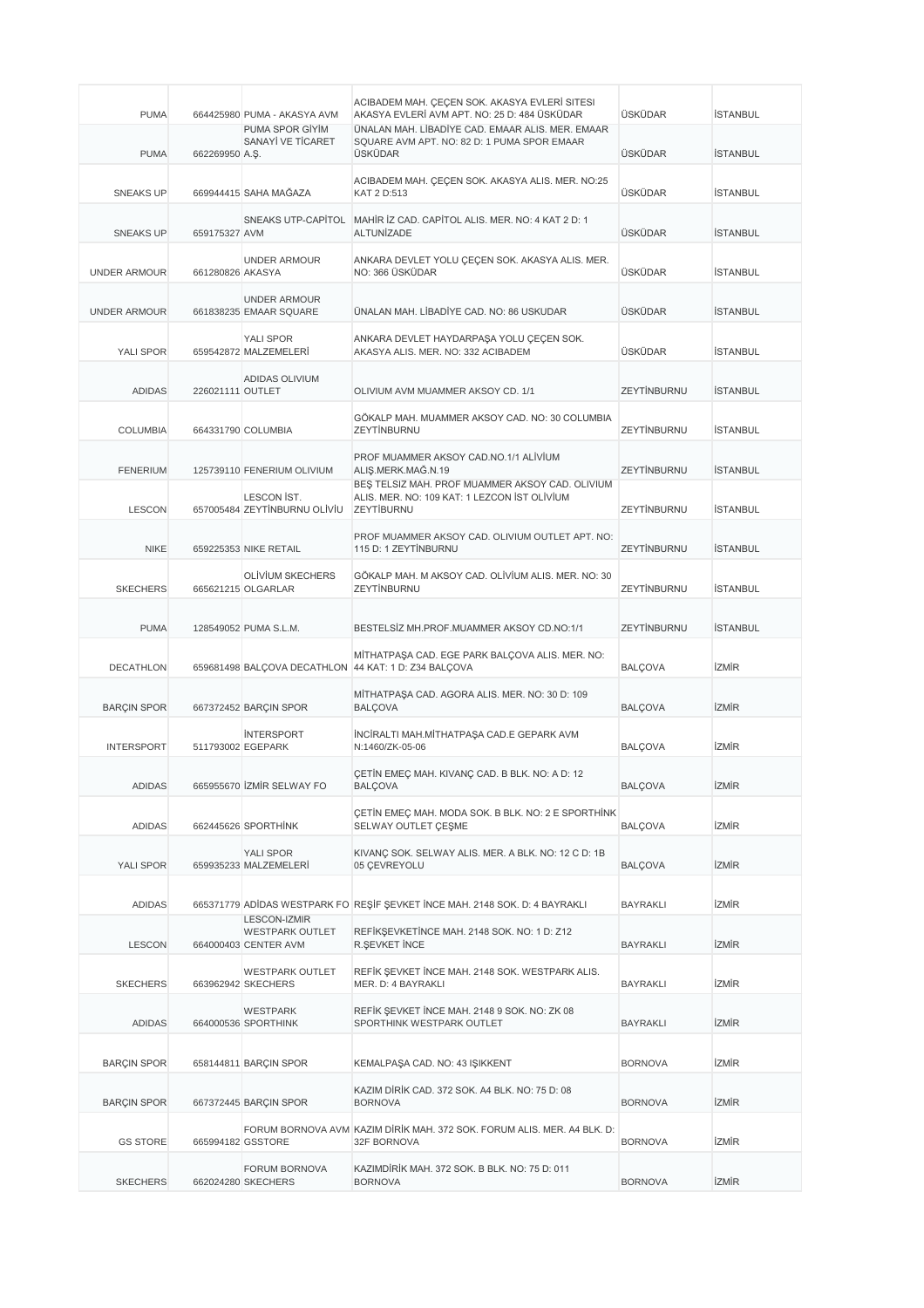| <b>PUMA</b>         |                  | 664425980 PUMA - AKASYA AVM                                           | ACIBADEM MAH. ÇEÇEN SOK. AKASYA EVLERİ SITESI<br>AKASYA EVLERİ AVM APT. NO: 25 D: 484 ÜSKÜDAR                  | ÜSKÜDAR         | <b>İSTANBUL</b> |
|---------------------|------------------|-----------------------------------------------------------------------|----------------------------------------------------------------------------------------------------------------|-----------------|-----------------|
| <b>PUMA</b>         | 662269950 A.S.   | PUMA SPOR GİYİM<br>SANAYİ VE TİCARET                                  | ÜNALAN MAH. LİBADİYE CAD. EMAAR ALIS, MER. EMAAR<br>SQUARE AVM APT. NO: 82 D: 1 PUMA SPOR EMAAR<br>ÜSKÜDAR     | ÜSKÜDAR         | <b>İSTANBUL</b> |
| <b>SNEAKS UP</b>    |                  | 669944415 SAHA MAĞAZA                                                 | ACIBADEM MAH. ÇEÇEN SOK. AKASYA ALIS. MER. NO:25<br>KAT 2 D:513                                                | ÜSKÜDAR         | <b>İSTANBUL</b> |
| <b>SNEAKS UP</b>    | 659175327 AVM    |                                                                       | SNEAKS UTP-CAPITOL MAHIR IZ CAD. CAPITOL ALIS. MER. NO: 4 KAT 2 D: 1<br>ALTUNIZADE                             | ÜSKÜDAR         | <b>İSTANBUL</b> |
| <b>UNDER ARMOUR</b> | 661280826 AKASYA | <b>UNDER ARMOUR</b>                                                   | ANKARA DEVLET YOLU ÇEÇEN SOK. AKASYA ALIS. MER.<br>NO: 366 ÜSKÜDAR                                             | <b>ÜSKÜDAR</b>  | <b>İSTANBUL</b> |
| <b>UNDER ARMOUR</b> |                  | <b>UNDER ARMOUR</b><br>661838235 EMAAR SQUARE                         | ÜNALAN MAH. LİBADİYE CAD. NO: 86 USKUDAR                                                                       | ÜSKÜDAR         | <b>İSTANBUL</b> |
| YALI SPOR           |                  | <b>YALI SPOR</b><br>659542872 MALZEMELERİ                             | ANKARA DEVLET HAYDARPAŞA YOLU ÇEÇEN SOK.<br>AKASYA ALIS. MER. NO: 332 ACIBADEM                                 | ÜSKÜDAR         | <b>İSTANBUL</b> |
| <b>ADIDAS</b>       | 226021111 OUTLET | ADIDAS OLIVIUM                                                        | OLIVIUM AVM MUAMMER AKSOY CD. 1/1                                                                              | ZEYTİNBURNU     | <b>İSTANBUL</b> |
| <b>COLUMBIA</b>     |                  | 664331790 COLUMBIA                                                    | GÖKALP MAH. MUAMMER AKSOY CAD. NO: 30 COLUMBIA<br>ZEYTİNBURNU                                                  | ZEYTİNBURNU     | <b>İSTANBUL</b> |
| <b>FENERIUM</b>     |                  | 125739110 FENERIUM OLIVIUM                                            | PROF MUAMMER AKSOY CAD.NO.1/1 ALIVIUM<br>ALIŞ.MERK.MAĞ.N.19<br>BES TELSIZ MAH. PROF MUAMMER AKSOY CAD. OLIVIUM | ZEYTİNBURNU     | <b>İSTANBUL</b> |
| <b>LESCON</b>       |                  | LESCON IST.<br>657005484 ZEYTİNBURNU OLİVİU                           | ALIS. MER. NO: 109 KAT: 1 LEZCON IST OLIVIUM<br>ZEYTİBURNU                                                     | ZEYTİNBURNU     | <b>İSTANBUL</b> |
| <b>NIKE</b>         |                  | 659225353 NIKE RETAIL                                                 | PROF MUAMMER AKSOY CAD. OLIVIUM OUTLET APT. NO:<br>115 D: 1 ZEYTİNBURNU                                        | ZEYTİNBURNU     | <b>İSTANBUL</b> |
| <b>SKECHERS</b>     |                  | OLIVIUM SKECHERS<br>665621215 OLGARLAR                                | GÖKALP MAH. M AKSOY CAD. OLİVİUM ALIS. MER. NO: 30<br>ZEYTİNBURNU                                              | ZEYTİNBURNU     | <b>İSTANBUL</b> |
| <b>PUMA</b>         |                  | 128549052 PUMA S.L.M.                                                 | BESTELSİZ MH.PROF.MUAMMER AKSOY CD.NO:1/1                                                                      | ZEYTİNBURNU     | <b>İSTANBUL</b> |
| <b>DECATHLON</b>    |                  |                                                                       | MİTHATPAŞA CAD. EGE PARK BALÇOVA ALIS. MER. NO:<br>659681498 BALÇOVA DECATHLON 44 KAT: 1 D: Z34 BALÇOVA        | <b>BALCOVA</b>  | <b>İZMİR</b>    |
| <b>BARÇIN SPOR</b>  |                  | 667372452 BARÇIN SPOR                                                 | MİTHATPAŞA CAD. AGORA ALIS. MER. NO: 30 D: 109<br><b>BALCOVA</b>                                               | <b>BALCOVA</b>  | <b>İZMİR</b>    |
| <b>INTERSPORT</b>   |                  | <b>INTERSPORT</b><br>511793002 EGEPARK                                | İNCİRALTI MAH.MİTHATPAŞA CAD.E GEPARK AVM<br>N:1460/ZK-05-06                                                   | <b>BALCOVA</b>  | izmir           |
| <b>ADIDAS</b>       |                  | 665955670 ZMIR SELWAY FO                                              | CETIN EMEC MAH. KIVANC CAD. B BLK. NO: A D: 12<br>BALÇOVA                                                      | <b>BALÇOVA</b>  | izmir           |
| <b>ADIDAS</b>       |                  | 662445626 SPORTHINK                                                   | CETIN EMEC MAH. MODA SOK. B BLK. NO: 2 E SPORTHINK<br>SELWAY OUTLET CESME                                      | BALÇOVA         | <b>İZMİR</b>    |
| YALI SPOR           |                  | YALI SPOR<br>659935233 MALZEMELERİ                                    | KIVANÇ SOK. SELWAY ALIS. MER. A BLK. NO: 12 C D: 1B<br>05 ÇEVREYOLU                                            | <b>BALÇOVA</b>  | <b>izmir</b>    |
| ADIDAS              |                  |                                                                       | 665371779 ADIDAS WESTPARK FO REŞIF ŞEVKET İNCE MAH. 2148 SOK. D: 4 BAYRAKLI                                    | BAYRAKLI        | izmir           |
| <b>LESCON</b>       |                  | <b>LESCON-IZMIR</b><br><b>WESTPARK OUTLET</b><br>664000403 CENTER AVM | REFİKŞEVKETİNCE MAH. 2148 SOK. NO: 1 D: Z12<br>R.ŞEVKET İNCE                                                   | <b>BAYRAKLI</b> | izmir           |
| <b>SKECHERS</b>     |                  | <b>WESTPARK OUTLET</b><br>663962942 SKECHERS                          | REFİK ŞEVKET İNCE MAH. 2148 SOK. WESTPARK ALIS.<br>MER. D: 4 BAYRAKLI                                          | BAYRAKLI        | izmir           |
| ADIDAS              |                  | WESTPARK<br>664000536 SPORTHINK                                       | REFİK ŞEVKET İNCE MAH. 2148 9 SOK. NO: ZK 08<br>SPORTHINK WESTPARK OUTLET                                      | <b>BAYRAKLI</b> | izmir           |
| <b>BARÇIN SPOR</b>  |                  | 658144811 BARÇIN SPOR                                                 | KEMALPAŞA CAD. NO: 43 IŞIKKENT                                                                                 | <b>BORNOVA</b>  | izmir           |
| <b>BARÇIN SPOR</b>  |                  | 667372445 BARÇIN SPOR                                                 | KAZIM DİRİK CAD. 372 SOK. A4 BLK. NO: 75 D: 08<br><b>BORNOVA</b>                                               | <b>BORNOVA</b>  | izmir           |
| <b>GS STORE</b>     |                  | 665994182 GSSTORE                                                     | FORUM BORNOVA AVM KAZIM DİRİK MAH. 372 SOK. FORUM ALIS. MER. A4 BLK. D:<br>32F BORNOVA                         | <b>BORNOVA</b>  | İZMİR           |
| <b>SKECHERS</b>     |                  | FORUM BORNOVA<br>662024280 SKECHERS                                   | KAZIMDİRİK MAH. 372 SOK. B BLK. NO: 75 D: 011<br><b>BORNOVA</b>                                                | <b>BORNOVA</b>  | <b>izmir</b>    |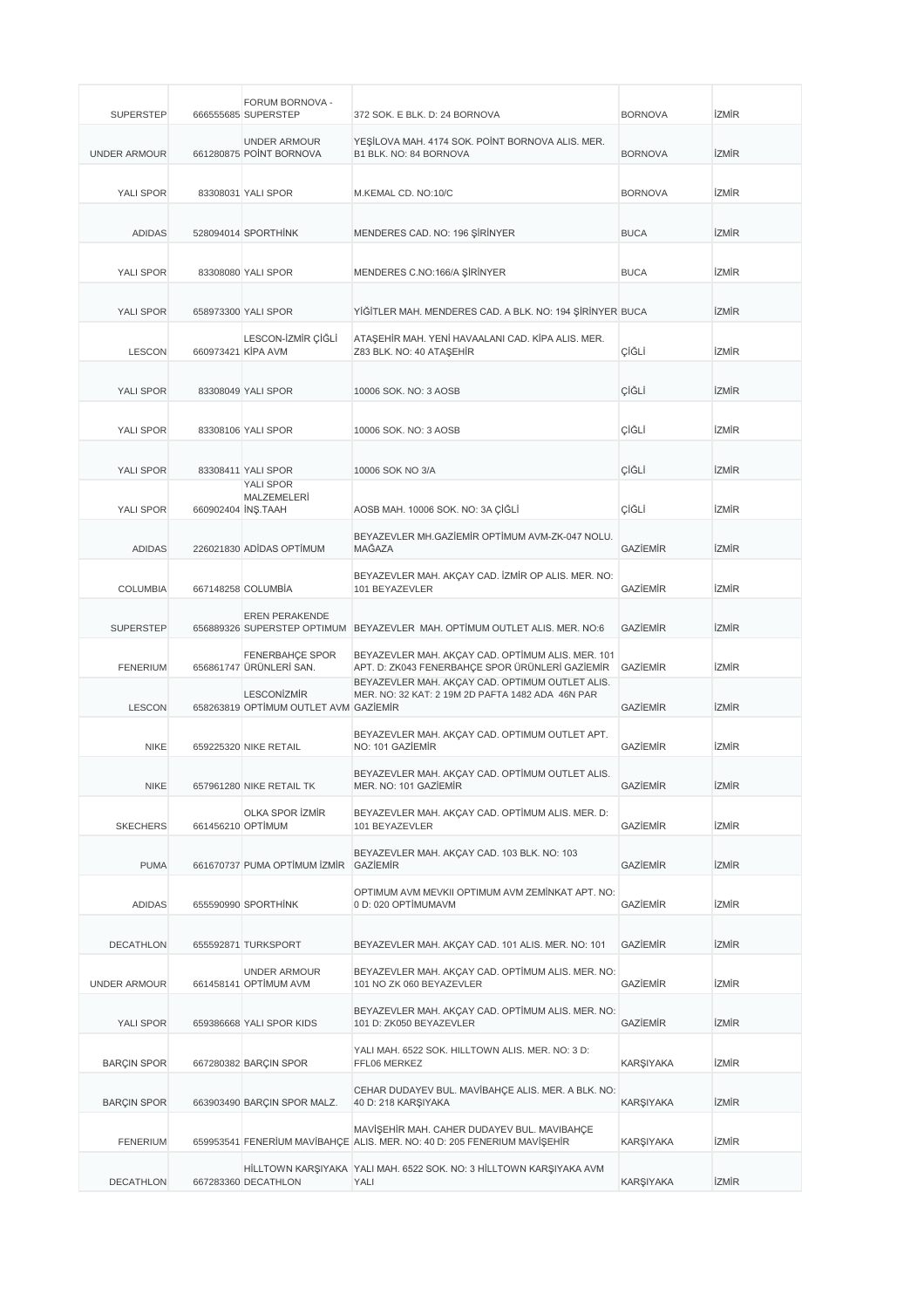| <b>SUPERSTEP</b>    |                    | FORUM BORNOVA -<br>666555685 SUPERSTEP                      | 372 SOK. E BLK. D: 24 BORNOVA                                                                                           | <b>BORNOVA</b>  | <b>İZMİR</b> |
|---------------------|--------------------|-------------------------------------------------------------|-------------------------------------------------------------------------------------------------------------------------|-----------------|--------------|
| <b>UNDER ARMOUR</b> |                    | <b>UNDER ARMOUR</b><br>661280875 POINT BORNOVA              | YESİLOVA MAH. 4174 SOK. POİNT BORNOVA ALIS. MER.<br>B1 BLK. NO: 84 BORNOVA                                              | <b>BORNOVA</b>  | izmir        |
| YALI SPOR           |                    | 83308031 YALI SPOR                                          | M.KEMAL CD. NO:10/C                                                                                                     | <b>BORNOVA</b>  | İZMİR        |
| <b>ADIDAS</b>       |                    | 528094014 SPORTHINK                                         | MENDERES CAD. NO: 196 ŞİRİNYER                                                                                          | <b>BUCA</b>     | <b>İZMİR</b> |
| YALI SPOR           |                    | 83308080 YALI SPOR                                          | MENDERES C.NO:166/A ŞİRİNYER                                                                                            | <b>BUCA</b>     | izmir        |
| YALI SPOR           |                    | 658973300 YALI SPOR                                         | YİĞİTLER MAH. MENDERES CAD. A BLK. NO: 194 ŞİRİNYER BUCA                                                                |                 | <b>İZMİR</b> |
| <b>LESCON</b>       | 660973421 KİPA AVM | LESCON-İZMİR ÇİĞLİ                                          | ATAŞEHİR MAH. YENİ HAVAALANI CAD. KİPA ALIS. MER.<br>Z83 BLK. NO: 40 ATAŞEHİR                                           | ÇİĞLİ           | İZMİR        |
| YALI SPOR           |                    | 83308049 YALI SPOR                                          | 10006 SOK. NO: 3 AOSB                                                                                                   | ÇİĞLİ           | <b>İZMİR</b> |
| YALI SPOR           |                    | 83308106 YALI SPOR                                          | 10006 SOK. NO: 3 AOSB                                                                                                   | ÇİĞLİ           | izmir        |
| YALI SPOR           |                    | 83308411 YALI SPOR                                          | 10006 SOK NO 3/A                                                                                                        | ÇİĞLİ           | <b>İZMİR</b> |
| YALI SPOR           | 660902404 INS.TAAH | YALI SPOR<br>MALZEMELERİ                                    | AOSB MAH. 10006 SOK. NO: 3A ÇİĞLİ                                                                                       | ÇİĞLİ           | izmir        |
| <b>ADIDAS</b>       |                    | 226021830 ADIDAS OPTIMUM                                    | BEYAZEVLER MH.GAZİEMİR OPTİMUM AVM-ZK-047 NOLU.<br>MAĞAZA                                                               | <b>GAZIEMIR</b> | <b>İZMİR</b> |
| <b>COLUMBIA</b>     |                    | 667148258 COLUMBIA                                          | BEYAZEVLER MAH. AKÇAY CAD. İZMİR OP ALIS. MER. NO:<br>101 BEYAZEVLER                                                    | <b>GAZIEMIR</b> | <b>İZMİR</b> |
| <b>SUPERSTEP</b>    |                    | <b>EREN PERAKENDE</b>                                       | 656889326 SUPERSTEP OPTIMUM BEYAZEVLER MAH. OPTIMUM OUTLET ALIS. MER. NO:6                                              | <b>GAZIEMIR</b> | <b>İZMİR</b> |
| <b>FENERIUM</b>     |                    | FENERBAHÇE SPOR<br>656861747 ÜRÜNLERİ SAN.                  | BEYAZEVLER MAH. AKÇAY CAD. OPTİMUM ALIS. MER. 101<br>APT. D: ZK043 FENERBAHÇE SPOR ÜRÜNLERİ GAZİEMİR                    | <b>GAZIEMIR</b> | <b>İZMİR</b> |
| <b>LESCON</b>       |                    | <b>LESCONIZMIR</b><br>658263819 OPTIMUM OUTLET AVM GAZIEMIR | BEYAZEVLER MAH. AKÇAY CAD. OPTİMUM OUTLET ALIS.<br>MER. NO: 32 KAT: 2 19M 2D PAFTA 1482 ADA 46N PAR                     | <b>GAZIEMIR</b> | izmir        |
| <b>NIKE</b>         |                    | 659225320 NIKE RETAIL                                       | BEYAZEVLER MAH. AKÇAY CAD. OPTIMUM OUTLET APT.<br>NO: 101 GAZİEMİR                                                      | <b>GAZIEMIR</b> | <b>İZMİR</b> |
| NIKE                |                    | 657961280 NIKE RETAIL TK                                    | BEYAZEVLER MAH. AKÇAY CAD. OPTİMUM OUTLET ALIS.<br>MER. NO: 101 GAZIEMIR                                                | GAZIEMIR        | IZMIR        |
| <b>SKECHERS</b>     | 661456210 OPTIMUM  | OLKA SPOR İZMİR                                             | BEYAZEVLER MAH. AKÇAY CAD. OPTİMUM ALIS. MER. D:<br>101 BEYAZEVLER                                                      | GAZİEMİR        | <b>İZMİR</b> |
| <b>PUMA</b>         |                    | 661670737 PUMA OPTİMUM İZMİR                                | BEYAZEVLER MAH. AKÇAY CAD. 103 BLK. NO: 103<br><b>GAZIEMIR</b>                                                          | GAZİEMİR        | <b>İZMİR</b> |
| <b>ADIDAS</b>       |                    | 655590990 SPORTHİNK                                         | OPTIMUM AVM MEVKII OPTIMUM AVM ZEMİNKAT APT. NO:<br>0 D: 020 OPTİMUMAVM                                                 | GAZIEMIR        | <b>İZMİR</b> |
| <b>DECATHLON</b>    |                    | 655592871 TURKSPORT                                         | BEYAZEVLER MAH. AKÇAY CAD. 101 ALIS. MER. NO: 101                                                                       | <b>GAZIEMIR</b> | izmir        |
| <b>UNDER ARMOUR</b> |                    | <b>UNDER ARMOUR</b><br>661458141 OPTIMUM AVM                | BEYAZEVLER MAH. AKÇAY CAD. OPTİMUM ALIS. MER. NO:<br>101 NO ZK 060 BEYAZEVLER                                           | <b>GAZIEMIR</b> | izmir        |
| YALI SPOR           |                    | 659386668 YALI SPOR KIDS                                    | BEYAZEVLER MAH. AKÇAY CAD. OPTİMUM ALIS. MER. NO:<br>101 D: ZK050 BEYAZEVLER                                            | <b>GAZIEMIR</b> | izmir        |
| <b>BARÇIN SPOR</b>  |                    | 667280382 BARÇIN SPOR                                       | YALI MAH. 6522 SOK. HILLTOWN ALIS. MER. NO: 3 D:<br>FFL06 MERKEZ                                                        | KARŞIYAKA       | izmir        |
| <b>BARÇIN SPOR</b>  |                    | 663903490 BARÇIN SPOR MALZ.                                 | CEHAR DUDAYEV BUL. MAVİBAHÇE ALIS. MER. A BLK. NO:<br>40 D: 218 KARŞIYAKA                                               | KARŞIYAKA       | izmir        |
| <b>FENERIUM</b>     |                    |                                                             | MAVİŞEHİR MAH. CAHER DUDAYEV BUL. MAVIBAHÇE<br>659953541 FENERİUM MAVİBAHÇE ALIS. MER. NO: 40 D: 205 FENERIUM MAVİŞEHİR | KARŞIYAKA       | izmir        |
| DECATHLON           |                    | 667283360 DECATHLON                                         | HİLLTOWN KARŞIYAKA YALI MAH. 6522 SOK. NO: 3 HİLLTOWN KARŞIYAKA AVM<br>YALI                                             | KARŞIYAKA       | izmir        |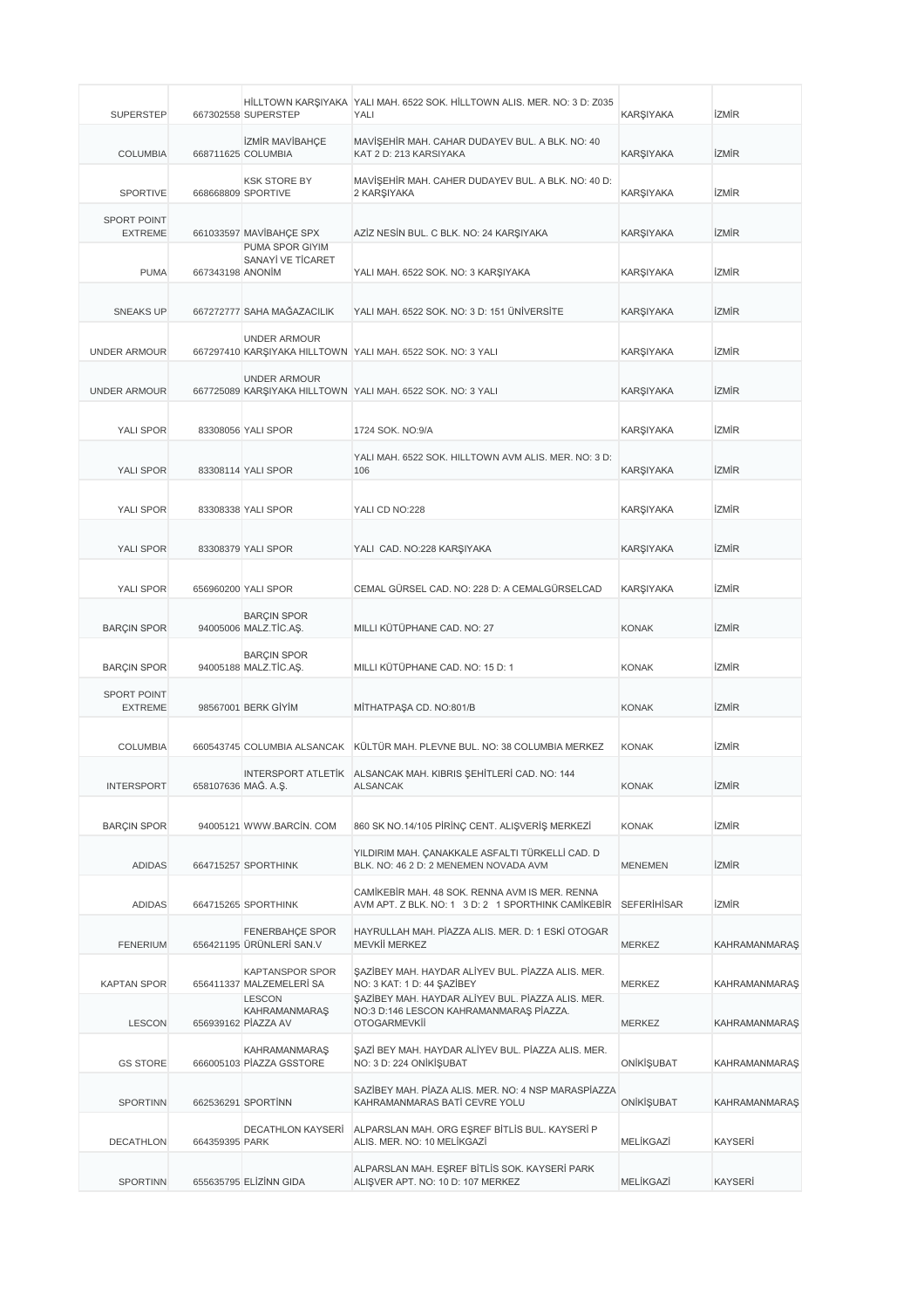| <b>SUPERSTEP</b>                     |                     | 667302558 SUPERSTEP                                   | HİLLTOWN KARŞIYAKA YALI MAH. 6522 SOK. HİLLTOWN ALIS. MER. NO: 3 D: Z035<br>YALI                                    | <b>KARŞIYAKA</b> | izmir                |
|--------------------------------------|---------------------|-------------------------------------------------------|---------------------------------------------------------------------------------------------------------------------|------------------|----------------------|
| <b>COLUMBIA</b>                      |                     | <b>İZMİR MAVİBAHÇE</b><br>668711625 COLUMBIA          | MAVİŞEHİR MAH. CAHAR DUDAYEV BUL. A BLK. NO: 40<br>KAT 2 D: 213 KARSIYAKA                                           | <b>KARŞIYAKA</b> | <b>İZMİR</b>         |
| <b>SPORTIVE</b>                      |                     | <b>KSK STORE BY</b><br>668668809 SPORTIVE             | MAVİŞEHİR MAH. CAHER DUDAYEV BUL. A BLK. NO: 40 D:<br>2 KARŞIYAKA                                                   | <b>KARŞIYAKA</b> | <b>izmir</b>         |
| <b>SPORT POINT</b><br><b>EXTREME</b> |                     | 661033597 MAVİBAHÇE SPX                               | AZİZ NESİN BUL. C BLK. NO: 24 KARŞIYAKA                                                                             | <b>KARŞIYAKA</b> | <b>İZMİR</b>         |
|                                      |                     | PUMA SPOR GIYIM<br>SANAYİ VE TİCARET                  |                                                                                                                     |                  |                      |
| <b>PUMA</b>                          | 667343198 ANONIM    |                                                       | YALI MAH. 6522 SOK. NO: 3 KARŞIYAKA                                                                                 | <b>KARŞIYAKA</b> | <b>izmir</b>         |
| <b>SNEAKS UP</b>                     |                     | 667272777 SAHA MAĞAZACILIK                            | YALI MAH, 6522 SOK, NO: 3 D: 151 ÜNİVERSİTE                                                                         | <b>KARŞIYAKA</b> | <b>İZMİR</b>         |
| <b>UNDER ARMOUR</b>                  |                     | <b>UNDER ARMOUR</b>                                   | 667297410 KARŞIYAKA HILLTOWN YALI MAH. 6522 SOK. NO: 3 YALI                                                         | <b>KARŞIYAKA</b> | <b>İZMİR</b>         |
| <b>UNDER ARMOUR</b>                  |                     | <b>UNDER ARMOUR</b>                                   | 667725089 KARŞIYAKA HILLTOWN YALI MAH. 6522 SOK. NO: 3 YALI                                                         | <b>KARŞIYAKA</b> | <b>İZMİR</b>         |
| YALI SPOR                            |                     | 83308056 YALI SPOR                                    | 1724 SOK. NO:9/A                                                                                                    | <b>KARŞIYAKA</b> | <b>izmir</b>         |
| YALI SPOR                            |                     | 83308114 YALI SPOR                                    | YALI MAH. 6522 SOK. HILLTOWN AVM ALIS. MER. NO: 3 D:<br>106                                                         | <b>KARŞIYAKA</b> | <b>İZMİR</b>         |
| YALI SPOR                            |                     | 83308338 YALI SPOR                                    | YALI CD NO:228                                                                                                      | <b>KARSIYAKA</b> | <b>İZMİR</b>         |
| YALI SPOR                            |                     |                                                       |                                                                                                                     | <b>KARŞIYAKA</b> | <b>İZMİR</b>         |
|                                      |                     | 83308379 YALI SPOR                                    | YALI CAD. NO:228 KARŞIYAKA                                                                                          |                  |                      |
| YALI SPOR                            |                     | 656960200 YALI SPOR                                   | CEMAL GÜRSEL CAD. NO: 228 D: A CEMALGÜRSELCAD                                                                       | KARŞIYAKA        | <b>İZMİR</b>         |
| <b>BARÇIN SPOR</b>                   |                     | <b>BARÇIN SPOR</b><br>94005006 MALZ.TİC.AŞ.           | MILLI KÜTÜPHANE CAD. NO: 27                                                                                         | <b>KONAK</b>     | <b>İZMİR</b>         |
| <b>BARÇIN SPOR</b>                   |                     | <b>BARÇIN SPOR</b><br>94005188 MALZ.TİC.AŞ.           | MILLI KÜTÜPHANE CAD. NO: 15 D: 1                                                                                    | <b>KONAK</b>     | <b>İZMİR</b>         |
| <b>SPORT POINT</b><br><b>EXTREME</b> |                     | 98567001 BERK GİYİM                                   | MİTHATPAŞA CD. NO:801/B                                                                                             | <b>KONAK</b>     | <b>İZMİR</b>         |
| <b>COLUMBIA</b>                      |                     |                                                       | 660543745 COLUMBIA ALSANCAK KÜLTÜR MAH. PLEVNE BUL. NO: 38 COLUMBIA MERKEZ                                          | <b>KONAK</b>     | <b>İZMİR</b>         |
| <b>INTERSPORT</b>                    | 658107636 MAG. A.Ş. |                                                       | INTERSPORT ATLETIK ALSANCAK MAH. KIBRIS SEHITLERI CAD. NO: 144<br><b>ALSANCAK</b>                                   | <b>KONAK</b>     | <b>izmir</b>         |
| <b>BARÇIN SPOR</b>                   |                     | 94005121 WWW.BARCIN. COM                              | 860 SK NO.14/105 PIRINÇ CENT. ALIŞVERIŞ MERKEZI                                                                     | <b>KONAK</b>     | <b>İZMİR</b>         |
| <b>ADIDAS</b>                        |                     | 664715257 SPORTHINK                                   | YILDIRIM MAH. ÇANAKKALE ASFALTI TÜRKELLİ CAD. D<br>BLK, NO: 46 2 D: 2 MENEMEN NOVADA AVM                            | <b>MENEMEN</b>   | <b>izmir</b>         |
| <b>ADIDAS</b>                        |                     | 664715265 SPORTHINK                                   | CAMIKEBIR MAH. 48 SOK. RENNA AVM IS MER. RENNA<br>AVM APT. Z BLK. NO: 1 3 D: 2 1 SPORTHINK CAMIKEBIR                | SEFERIHISAR      | <b>İZMİR</b>         |
| <b>FENERIUM</b>                      |                     | <b>FENERBAHCE SPOR</b><br>656421195 ÜRÜNLERİ SAN.V    | HAYRULLAH MAH. PİAZZA ALIS. MER. D: 1 ESKİ OTOGAR<br>MEVKİİ MERKEZ                                                  | <b>MERKEZ</b>    | <b>KAHRAMANMARAŞ</b> |
| <b>KAPTAN SPOR</b>                   |                     | <b>KAPTANSPOR SPOR</b><br>656411337 MALZEMELERİ SA    | SAZİBEY MAH. HAYDAR ALİYEV BUL. PİAZZA ALIS. MER.<br>NO: 3 KAT: 1 D: 44 ŞAZİBEY                                     | MERKEZ           | <b>KAHRAMANMARAŞ</b> |
| <b>LESCON</b>                        |                     | <b>LESCON</b><br>KAHRAMANMARAŞ<br>656939162 PIAZZA AV | SAZİBEY MAH. HAYDAR ALİYEV BUL. PİAZZA ALIS. MER.<br>NO:3 D:146 LESCON KAHRAMANMARAŞ PİAZZA.<br><b>OTOGARMEVKİİ</b> | MERKEZ           | <b>KAHRAMANMARAŞ</b> |
| <b>GS STORE</b>                      |                     | <b>KAHRAMANMARAŞ</b><br>666005103 PÍAZZA GSSTORE      | ŞAZİ BEY MAH. HAYDAR ALİYEV BUL. PİAZZA ALIS. MER.<br>NO: 3 D: 224 ONİKİŞUBAT                                       | ONİKİŞUBAT       | <b>KAHRAMANMARAS</b> |
| <b>SPORTINN</b>                      |                     | 662536291 SPORTINN                                    | SAZİBEY MAH. PİAZA ALIS. MER. NO: 4 NSP MARASPİAZZA<br>KAHRAMANMARAS BATİ CEVRE YOLU                                | ONİKİŞUBAT       | <b>KAHRAMANMARAS</b> |
| DECATHLON                            | 664359395 PARK      | DECATHLON KAYSERİ                                     | ALPARSLAN MAH. ORG EŞREF BİTLİS BUL. KAYSERİ P<br>ALIS. MER. NO: 10 MELİKGAZİ                                       | MELİKGAZİ        | <b>KAYSERİ</b>       |
| <b>SPORTINN</b>                      |                     | 655635795 ELİZİNN GIDA                                | ALPARSLAN MAH. EŞREF BİTLİS SOK. KAYSERİ PARK<br>ALIŞVER APT. NO: 10 D: 107 MERKEZ                                  | MELİKGAZİ        | <b>KAYSERİ</b>       |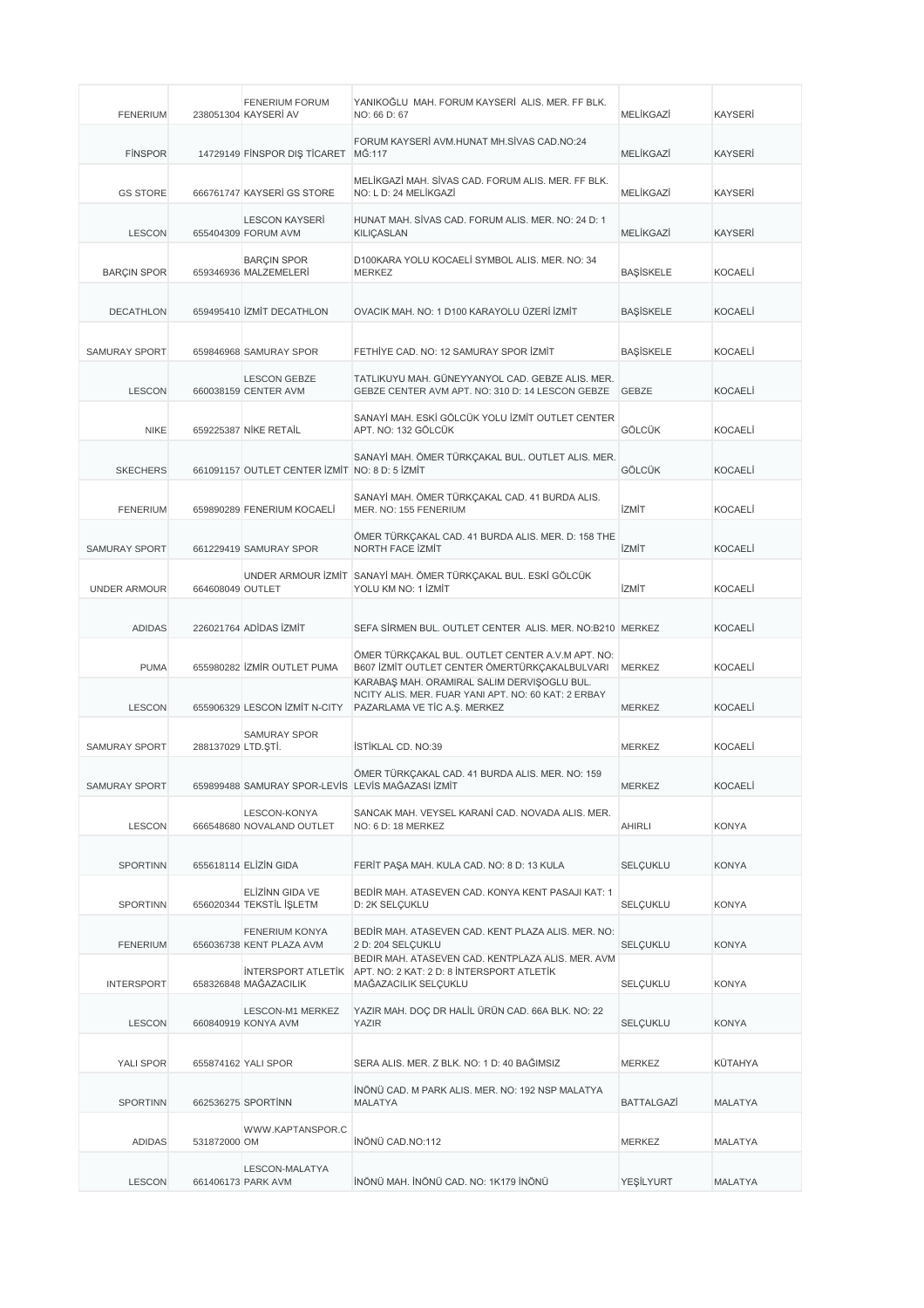| <b>FENERIUM</b>      |                    | <b>FENERIUM FORUM</b><br>238051304 KAYSERİ AV      | YANIKOĞLU MAH. FORUM KAYSERİ ALIS. MER. FF BLK.<br>NO: 66 D: 67                                                                    | MELİKGAZİ         | <b>KAYSERİ</b> |
|----------------------|--------------------|----------------------------------------------------|------------------------------------------------------------------------------------------------------------------------------------|-------------------|----------------|
| <b>FINSPOR</b>       |                    | 14729149 FINSPOR DIŞ TİCARET MĞ:117                | FORUM KAYSERİ AVM.HUNAT MH.SİVAS CAD.NO:24                                                                                         | MELİKGAZİ         | <b>KAYSERI</b> |
| <b>GS STORE</b>      |                    | 666761747 KAYSERİ GS STORE                         | MELIKGAZI MAH. SIVAS CAD. FORUM ALIS. MER. FF BLK.<br>NO: L D: 24 MELİKGAZİ                                                        | MELİKGAZİ         | <b>KAYSERI</b> |
| <b>LESCON</b>        |                    | <b>LESCON KAYSERİ</b><br>655404309 FORUM AVM       | HUNAT MAH. SİVAS CAD. FORUM ALIS. MER. NO: 24 D: 1<br><b>KILIÇASLAN</b>                                                            | MELİKGAZİ         | <b>KAYSERI</b> |
| <b>BARÇIN SPOR</b>   |                    | <b>BARÇIN SPOR</b><br>659346936 MALZEMELERİ        | D100KARA YOLU KOCAELİ SYMBOL ALIS. MER. NO: 34<br><b>MERKEZ</b>                                                                    | <b>BAŞİSKELE</b>  | <b>KOCAELI</b> |
| <b>DECATHLON</b>     |                    | 659495410 ZMIT DECATHLON                           | OVACIK MAH. NO: 1 D100 KARAYOLU ÜZERİ İZMİT                                                                                        | <b>BAŞİSKELE</b>  | <b>KOCAELI</b> |
| SAMURAY SPORT        |                    | 659846968 SAMURAY SPOR                             | FETHİYE CAD. NO: 12 SAMURAY SPOR İZMİT                                                                                             | <b>BAŞİSKELE</b>  | <b>KOCAELI</b> |
| <b>LESCON</b>        |                    | <b>LESCON GEBZE</b><br>660038159 CENTER AVM        | TATLIKUYU MAH. GÜNEYYANYOL CAD. GEBZE ALIS. MER.<br>GEBZE CENTER AVM APT. NO: 310 D: 14 LESCON GEBZE                               | <b>GEBZE</b>      | <b>KOCAELI</b> |
| <b>NIKE</b>          |                    | 659225387 NIKE RETAIL                              | SANAYİ MAH. ESKİ GÖLCÜK YOLU İZMİT OUTLET CENTER<br>APT. NO: 132 GÖLCÜK                                                            | GÖLCÜK            | <b>KOCAELI</b> |
| <b>SKECHERS</b>      |                    | 661091157 OUTLET CENTER IZMIT NO: 8 D: 5 IZMIT     | SANAYİ MAH. ÖMER TÜRKÇAKAL BUL. OUTLET ALIS. MER.                                                                                  | GÖLCÜK            | <b>KOCAELI</b> |
| <b>FENERIUM</b>      |                    | 659890289 FENERIUM KOCAELI                         | SANAYİ MAH. ÖMER TÜRKÇAKAL CAD. 41 BURDA ALIS.<br>MER. NO: 155 FENERIUM                                                            | <b>İZMİT</b>      | <b>KOCAELI</b> |
| <b>SAMURAY SPORT</b> |                    | 661229419 SAMURAY SPOR                             | ÖMER TÜRKÇAKAL CAD. 41 BURDA ALIS. MER. D: 158 THE<br>NORTH FACE IZMIT                                                             | <b>İZMİT</b>      | <b>KOCAELI</b> |
| <b>UNDER ARMOUR</b>  | 664608049 OUTLET   |                                                    | UNDER ARMOUR İZMİT SANAYİ MAH. ÖMER TÜRKÇAKAL BUL. ESKİ GÖLCÜK<br>YOLU KM NO: 1 İZMİT                                              | <b>İZMİT</b>      | <b>KOCAELI</b> |
| <b>ADIDAS</b>        |                    | 226021764 ADİDAS İZMİT                             | SEFA SİRMEN BUL. OUTLET CENTER ALIS. MER. NO:B210 MERKEZ                                                                           |                   | <b>KOCAELI</b> |
| <b>PUMA</b>          |                    | 655980282 ZMIR OUTLET PUMA                         | ÖMER TÜRKÇAKAL BUL. OUTLET CENTER A.V.M APT. NO:<br>B607 İZMİT OUTLET CENTER ÖMERTÜRKÇAKALBULVARI                                  | <b>MERKEZ</b>     | <b>KOCAELI</b> |
| <b>LESCON</b>        |                    | 655906329 LESCON İZMİT N-CITY                      | KARABAŞ MAH. ORAMİRAL SALİM DERVİŞOĞLU BUL.<br>NCITY ALIS. MER. FUAR YANI APT. NO: 60 KAT: 2 ERBAY<br>PAZARLAMA VE TİC A.Ş. MERKEZ | <b>MERKEZ</b>     | <b>KOCAELI</b> |
| <b>SAMURAY SPORT</b> | 288137029 LTD.ŞTİ. | <b>SAMURAY SPOR</b>                                | <b>İSTİKLAL CD. NO:39</b>                                                                                                          | <b>MERKEZ</b>     | <b>KOCAELI</b> |
| <b>SAMURAY SPORT</b> |                    | 659899488 SAMURAY SPOR-LEVIS LEVIS MAGAZASI IZMIT  | ÖMER TÜRKÇAKAL CAD. 41 BURDA ALIS. MER. NO: 159                                                                                    | <b>MERKEZ</b>     | <b>KOCAELI</b> |
| <b>LESCON</b>        |                    | LESCON-KONYA<br>666548680 NOVALAND OUTLET          | SANCAK MAH. VEYSEL KARANİ CAD. NOVADA ALIS. MER.<br>NO: 6 D: 18 MERKEZ                                                             | <b>AHIRLI</b>     | <b>KONYA</b>   |
| <b>SPORTINN</b>      |                    | 655618114 ELİZİN GIDA                              | FERİT PAŞA MAH. KULA CAD. NO: 8 D: 13 KULA                                                                                         | <b>SELÇUKLU</b>   | <b>KONYA</b>   |
| <b>SPORTINN</b>      |                    | ELİZİNN GIDA VE<br>656020344 TEKSTİL İŞLETM        | BEDIR MAH. ATASEVEN CAD. KONYA KENT PASAJI KAT: 1<br>D: 2K SELÇUKLU                                                                | SELÇUKLU          | <b>KONYA</b>   |
| <b>FENERIUM</b>      |                    | <b>FENERIUM KONYA</b><br>656036738 KENT PLAZA AVM  | BEDİR MAH. ATASEVEN CAD. KENT PLAZA ALIS. MER. NO:<br>2 D: 204 SELCUKLU                                                            | SELÇUKLU          | <b>KONYA</b>   |
| <b>INTERSPORT</b>    |                    | <b>INTERSPORT ATLETIK</b><br>658326848 MAĞAZACILIK | BEDIR MAH. ATASEVEN CAD. KENTPLAZA ALIS. MER. AVM<br>APT. NO: 2 KAT: 2 D: 8 INTERSPORT ATLETIK<br>MAĞAZACILIK SELÇUKLU             | SELÇUKLU          | <b>KONYA</b>   |
| <b>LESCON</b>        |                    | LESCON-M1 MERKEZ<br>660840919 KONYA AVM            | YAZIR MAH. DOÇ DR HALİL ÜRÜN CAD. 66A BLK. NO: 22<br>YAZIR                                                                         | SELÇUKLU          | <b>KONYA</b>   |
| YALI SPOR            |                    | 655874162 YALI SPOR                                | SERA ALIS. MER. Z BLK. NO: 1 D: 40 BAĞIMSIZ                                                                                        | MERKEZ            | KÜTAHYA        |
| <b>SPORTINN</b>      |                    | 662536275 SPORTINN                                 | İNÖNÜ CAD. M PARK ALIS. MER. NO: 192 NSP MALATYA<br>MALATYA                                                                        | <b>BATTALGAZI</b> | <b>MALATYA</b> |
| ADIDAS               | 531872000 OM       | WWW.KAPTANSPOR.C                                   | İNÖNÜ CAD.NO:112                                                                                                                   | MERKEZ            | MALATYA        |
| <b>LESCON</b>        |                    | LESCON-MALATYA<br>661406173 PARK AVM               | İNÖNÜ MAH. İNÖNÜ CAD. NO: 1K179 İNÖNÜ                                                                                              | YEŞİLYURT         | <b>MALATYA</b> |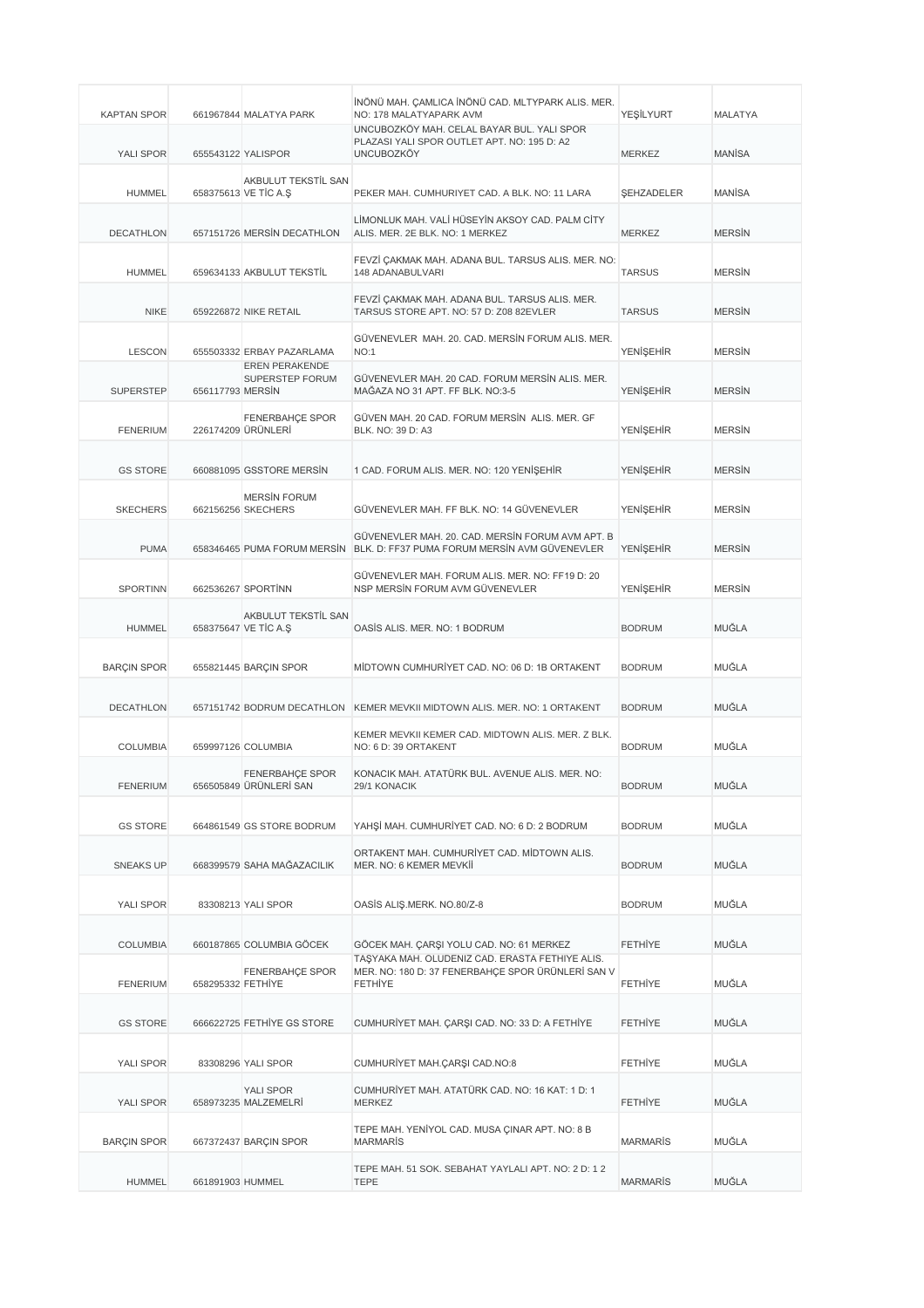| <b>KAPTAN SPOR</b> |                   | 661967844 MALATYA PARK                      | İNÖNÜ MAH. ÇAMLICA İNÖNÜ CAD. MLTYPARK ALIS. MER.<br>NO: 178 MALATYAPARK AVM                                           | YEŞİLYURT         | <b>MALATYA</b> |
|--------------------|-------------------|---------------------------------------------|------------------------------------------------------------------------------------------------------------------------|-------------------|----------------|
| YALI SPOR          |                   | 655543122 YALISPOR                          | UNCUBOZKÖY MAH. CELAL BAYAR BUL. YALI SPOR<br>PLAZASI YALI SPOR OUTLET APT. NO: 195 D: A2<br><b>UNCUBOZKÖY</b>         | <b>MERKEZ</b>     | <b>MANISA</b>  |
| <b>HUMMEL</b>      |                   | AKBULUT TEKSTİL SAN<br>658375613 VE TIC A.S | PEKER MAH. CUMHURIYET CAD. A BLK. NO: 11 LARA                                                                          | <b>ŞEHZADELER</b> | MANISA         |
| <b>DECATHLON</b>   |                   | 657151726 MERSIN DECATHLON                  | LİMONLUK MAH. VALİ HÜSEYİN AKSOY CAD. PALM CİTY<br>ALIS. MER. 2E BLK. NO: 1 MERKEZ                                     | <b>MERKEZ</b>     | <b>MERSIN</b>  |
| <b>HUMMEL</b>      |                   | 659634133 AKBULUT TEKSTİL                   | FEVZİ ÇAKMAK MAH. ADANA BUL. TARSUS ALIS. MER. NO:<br>148 ADANABULVARI                                                 | <b>TARSUS</b>     | <b>MERSIN</b>  |
| <b>NIKE</b>        |                   | 659226872 NIKE RETAIL                       | FEVZİ ÇAKMAK MAH. ADANA BUL. TARSUS ALIS. MER.<br>TARSUS STORE APT. NO: 57 D: Z08 82EVLER                              | <b>TARSUS</b>     | <b>MERSIN</b>  |
| <b>LESCON</b>      |                   | 655503332 ERBAY PAZARLAMA                   | GÜVENEVLER MAH. 20. CAD. MERSİN FORUM ALIS. MER.<br>NO:1                                                               | YENİŞEHİR         | <b>MERSIN</b>  |
| <b>SUPERSTEP</b>   | 656117793 MERSIN  | EREN PERAKENDE<br>SUPERSTEP FORUM           | GÜVENEVLER MAH. 20 CAD. FORUM MERSİN ALIS. MER.<br>MAĞAZA NO 31 APT. FF BLK. NO:3-5                                    | <b>YENİŞEHİR</b>  | <b>MERSIN</b>  |
| <b>FENERIUM</b>    |                   | FENERBAHÇE SPOR<br>226174209 ÜRÜNLERİ       | GÜVEN MAH, 20 CAD, FORUM MERSIN ALIS, MER, GF<br>BLK. NO: 39 D: A3                                                     | YENİŞEHİR         | <b>MERSIN</b>  |
| <b>GS STORE</b>    |                   | 660881095 GSSTORE MERSIN                    | 1 CAD. FORUM ALIS. MER. NO: 120 YENISEHIR                                                                              | <b>YENİŞEHİR</b>  | <b>MERSIN</b>  |
| <b>SKECHERS</b>    |                   | <b>MERSIN FORUM</b><br>662156256 SKECHERS   | GÜVENEVLER MAH, FF BLK, NO: 14 GÜVENEVLER                                                                              | <b>YENİSEHİR</b>  | <b>MERSIN</b>  |
| <b>PUMA</b>        |                   | 658346465 PUMA FORUM MERSIN                 | GÜVENEVLER MAH. 20. CAD. MERSİN FORUM AVM APT. B<br>BLK. D: FF37 PUMA FORUM MERSIN AVM GÜVENEVLER                      | <b>YENİŞEHİR</b>  | <b>MERSIN</b>  |
| SPORTINN           |                   | 662536267 SPORTINN                          | GÜVENEVLER MAH. FORUM ALIS. MER. NO: FF19 D: 20<br>NSP MERSIN FORUM AVM GÜVENEVLER                                     | YENİŞEHİR         | <b>MERSIN</b>  |
| <b>HUMMEL</b>      |                   | AKBULUT TEKSTİL SAN<br>658375647 VE TİC A.Ş | OASIS ALIS. MER. NO: 1 BODRUM                                                                                          | <b>BODRUM</b>     | MUĞLA          |
| <b>BARÇIN SPOR</b> |                   | 655821445 BARÇIN SPOR                       | MIDTOWN CUMHURIYET CAD. NO: 06 D: 1B ORTAKENT                                                                          | <b>BODRUM</b>     | MUĞLA          |
| <b>DECATHLON</b>   |                   | 657151742 BODRUM DECATHLON                  | KEMER MEVKII MIDTOWN ALIS. MER. NO: 1 ORTAKENT                                                                         | <b>BODRUM</b>     | MUĞLA          |
| <b>COLUMBIA</b>    |                   | 659997126 COLUMBIA                          | KEMER MEVKII KEMER CAD. MIDTOWN ALIS. MER. Z BLK.<br>NO: 6 D: 39 ORTAKENT                                              | <b>BODRUM</b>     | MUĞLA          |
| <b>FENERIUM</b>    |                   | FENERBAHÇE SPOR<br>656505849 URUNLERI SAN   | KONACIK MAH. ATATÜRK BUL. AVENUE ALIS. MER. NO:<br>29/1 KONACIK                                                        | <b>BODRUM</b>     | MUĞLA          |
| <b>GS STORE</b>    |                   | 664861549 GS STORE BODRUM                   | YAHSİ MAH. CUMHURİYET CAD. NO: 6 D: 2 BODRUM                                                                           | <b>BODRUM</b>     | MUĞLA          |
| <b>SNEAKS UP</b>   |                   | 668399579 SAHA MAĞAZACILIK                  | ORTAKENT MAH. CUMHURİYET CAD. MİDTOWN ALIS.<br>MER. NO: 6 KEMER MEVKİİ                                                 | <b>BODRUM</b>     | MUĞLA          |
| YALI SPOR          |                   | 83308213 YALI SPOR                          | OASİS ALIŞ.MERK. NO.80/Z-8                                                                                             | <b>BODRUM</b>     | MUĞLA          |
| <b>COLUMBIA</b>    |                   | 660187865 COLUMBIA GÖCEK                    | GÖCEK MAH. ÇARŞI YOLU CAD. NO: 61 MERKEZ                                                                               | <b>FETHIYE</b>    | MUĞLA          |
| <b>FENERIUM</b>    | 658295332 FETHIYE | FENERBAHÇE SPOR                             | TAŞYAKA MAH. ÖLÜDENİZ CAD. ERASTA FETHİYE ALIS.<br>MER. NO: 180 D: 37 FENERBAHÇE SPOR ÜRÜNLERİ SAN V<br><b>FETHIYE</b> | <b>FETHIYE</b>    | MUĞLA          |
| <b>GS STORE</b>    |                   | 666622725 FETHIYE GS STORE                  | CUMHURIYET MAH. ÇARŞI CAD. NO: 33 D: A FETHIYE                                                                         | <b>FETHIYE</b>    | MUĞLA          |
| YALI SPOR          |                   | 83308296 YALI SPOR                          | CUMHURİYET MAH.ÇARŞI CAD.NO:8                                                                                          | <b>FETHIYE</b>    | MUĞLA          |
| YALI SPOR          |                   | YALI SPOR<br>658973235 MALZEMELRI           | CUMHURİYET MAH. ATATÜRK CAD. NO: 16 KAT: 1 D: 1<br>MERKEZ                                                              | <b>FETHIYE</b>    | MUĞLA          |
| <b>BARÇIN SPOR</b> |                   | 667372437 BARÇIN SPOR                       | TEPE MAH. YENİYOL CAD. MUSA ÇINAR APT. NO: 8 B<br><b>MARMARIS</b>                                                      | <b>MARMARIS</b>   | MUĞLA          |
| <b>HUMMEL</b>      | 661891903 HUMMEL  |                                             | TEPE MAH. 51 SOK. SEBAHAT YAYLALI APT. NO: 2 D: 1 2<br><b>TEPE</b>                                                     | <b>MARMARIS</b>   | MUĞLA          |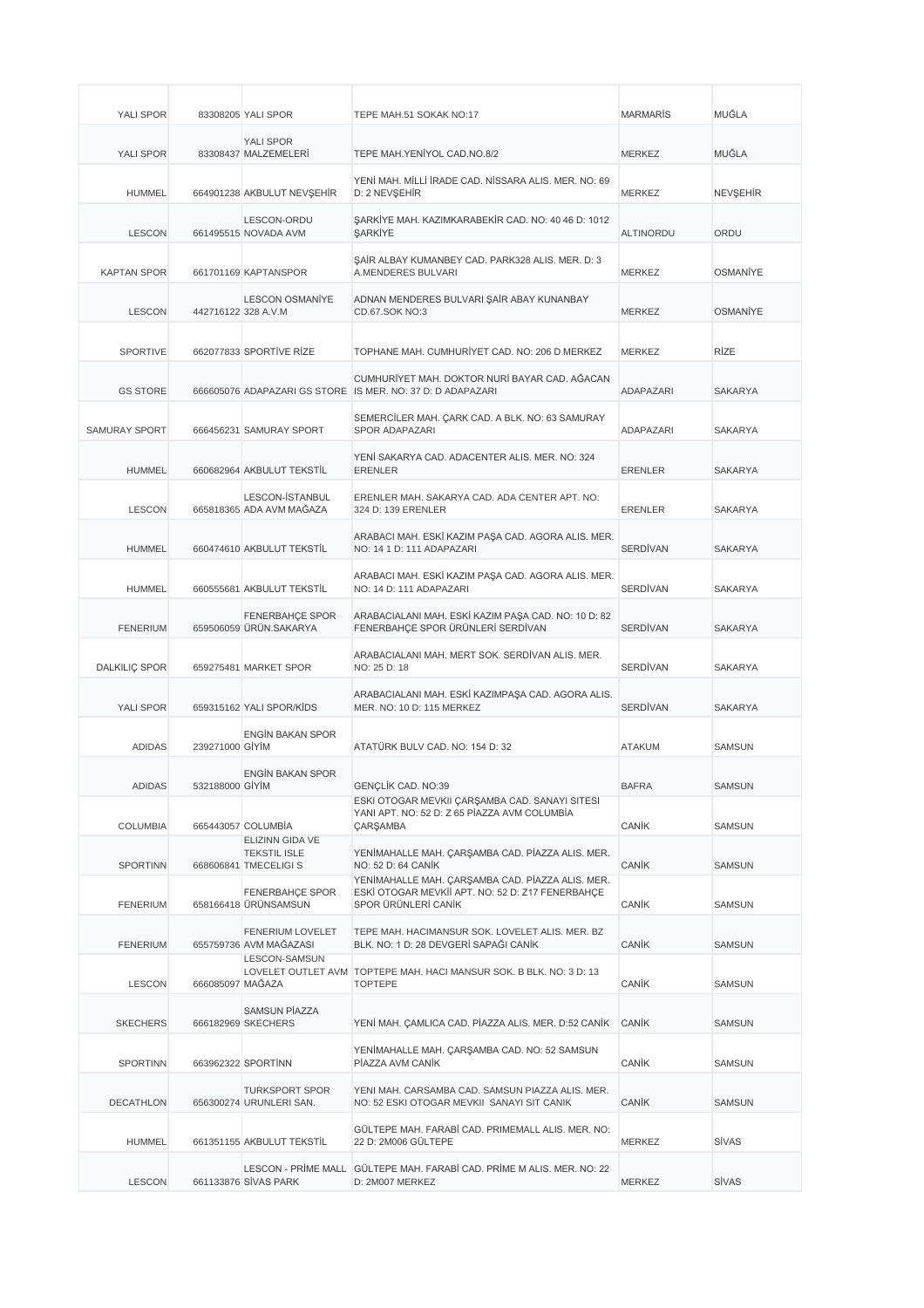| <b>YALI SPOR</b>     |                     | 83308205 YALI SPOR                                                     | TEPE MAH.51 SOKAK NO:17                                                                                                     | <b>MARMARIS</b>  | MUĞLA           |
|----------------------|---------------------|------------------------------------------------------------------------|-----------------------------------------------------------------------------------------------------------------------------|------------------|-----------------|
| YALI SPOR            |                     | YALI SPOR<br>83308437 MALZEMELERİ                                      | TEPE MAH.YENİYOL CAD.NO.8/2                                                                                                 | <b>MERKEZ</b>    | <b>MUĞLA</b>    |
| HUMMEL               |                     | 664901238 AKBULUT NEVŞEHİR                                             | YENİ MAH. MİLLİ İRADE CAD. NİSSARA ALIS. MER. NO: 69<br>D: 2 NEVŞEHİR                                                       | MERKEZ           | <b>NEVŞEHİR</b> |
| <b>LESCON</b>        |                     | LESCON-ORDU<br>661495515 NOVADA AVM                                    | ŞARKİYE MAH. KAZIMKARABEKİR CAD. NO: 40 46 D: 1012<br>SARKİYE                                                               | <b>ALTINORDU</b> | ORDU            |
| <b>KAPTAN SPOR</b>   |                     | 661701169 KAPTANSPOR                                                   | ŞAİR ALBAY KUMANBEY CAD. PARK328 ALIS. MER. D: 3<br>A.MENDERES BULVARI                                                      | <b>MERKEZ</b>    | <b>OSMANIYE</b> |
| <b>LESCON</b>        | 442716122 328 A.V.M | <b>LESCON OSMANİYE</b>                                                 | ADNAN MENDERES BULVARI ŞAİR ABAY KUNANBAY<br>CD.67.SOK NO:3                                                                 | <b>MERKEZ</b>    | <b>OSMANIYE</b> |
| <b>SPORTIVE</b>      |                     | 662077833 SPORTIVE RIZE                                                | TOPHANE MAH. CUMHURİYET CAD. NO: 206 D MERKEZ                                                                               | <b>MERKEZ</b>    | <b>RİZE</b>     |
| <b>GS STORE</b>      |                     |                                                                        | CUMHURİYET MAH. DOKTOR NURİ BAYAR CAD. AĞACAN<br>666605076 ADAPAZARI GS STORE IS MER. NO: 37 D: D ADAPAZARI                 | ADAPAZARI        | <b>SAKARYA</b>  |
| <b>SAMURAY SPORT</b> |                     | 666456231 SAMURAY SPORT                                                | SEMERCİLER MAH. ÇARK CAD. A BLK. NO: 63 SAMURAY<br>SPOR ADAPAZARI                                                           | ADAPAZARI        | SAKARYA         |
| <b>HUMMEL</b>        |                     | 660682964 AKBULUT TEKSTİL                                              | YENİ SAKARYA CAD. ADACENTER ALIS. MER. NO: 324<br><b>ERENLER</b>                                                            | <b>ERENLER</b>   | SAKARYA         |
| <b>LESCON</b>        |                     | LESCON-ISTANBUL<br>665818365 ADA AVM MAĞAZA                            | ERENLER MAH. SAKARYA CAD. ADA CENTER APT. NO:<br>324 D: 139 ERENLER                                                         | <b>ERENLER</b>   | SAKARYA         |
| <b>HUMMEL</b>        |                     | 660474610 AKBULUT TEKSTİL                                              | ARABACI MAH. ESKİ KAZIM PAŞA CAD. AGORA ALIS. MER.<br>NO: 14 1 D: 111 ADAPAZARI                                             | <b>SERDİVAN</b>  | <b>SAKARYA</b>  |
| <b>HUMMEL</b>        |                     | 660555681 AKBULUT TEKSTİL                                              | ARABACI MAH. ESKİ KAZIM PAŞA CAD. AGORA ALIS. MER.<br>NO: 14 D: 111 ADAPAZARI                                               | <b>SERDİVAN</b>  | SAKARYA         |
| <b>FENERIUM</b>      |                     | <b>FENERBAHÇE SPOR</b><br>659506059 ÜRÜN.SAKARYA                       | ARABACIALANI MAH. ESKİ KAZIM PAŞA CAD. NO: 10 D: 82<br>FENERBAHÇE SPOR ÜRÜNLERİ SERDİVAN                                    | <b>SERDİVAN</b>  | <b>SAKARYA</b>  |
| DALKILIÇ SPOR        |                     | 659275481 MARKET SPOR                                                  | ARABACIALANI MAH. MERT SOK. SERDİVAN ALIS. MER.<br>NO: 25 D: 18                                                             | <b>SERDİVAN</b>  | SAKARYA         |
|                      |                     |                                                                        |                                                                                                                             |                  |                 |
| YALI SPOR            |                     | 659315162 YALI SPOR/KIDS                                               | ARABACIALANI MAH. ESKİ KAZIMPAŞA CAD. AGORA ALIS.<br>MER. NO: 10 D: 115 MERKEZ                                              | <b>SERDİVAN</b>  | <b>SAKARYA</b>  |
| <b>ADIDAS</b>        | 239271000 GIYIM     | <b>ENGIN BAKAN SPOR</b>                                                | ATATÜRK BULV CAD. NO: 154 D: 32                                                                                             | <b>ATAKUM</b>    | <b>SAMSUN</b>   |
| <b>ADIDAS</b>        | 532188000 GIYIM     | <b>ENGÍN BAKAN SPOR</b>                                                | GENÇLİK CAD. NO:39                                                                                                          | <b>BAFRA</b>     | SAMSUN          |
| <b>COLUMBIA</b>      |                     | 665443057 COLUMBİA                                                     | ESKİ OTOGAR MEVKII ÇARŞAMBA CAD. SANAYİ SİTESİ<br>YANI APT. NO: 52 D: Z 65 PİAZZA AVM COLUMBİA<br><b>ÇARŞAMBA</b>           | CANIK            | <b>SAMSUN</b>   |
| <b>SPORTINN</b>      |                     | <b>ELIZINN GIDA VE</b><br><b>TEKSTIL ISLE</b><br>668606841 TMECELIGI S | YENİMAHALLE MAH. ÇARŞAMBA CAD. PİAZZA ALIS. MER.<br>NO: 52 D: 64 CANIK                                                      | CANIK            | <b>SAMSUN</b>   |
| <b>FENERIUM</b>      |                     | <b>FENERBAHÇE SPOR</b><br>658166418 ÜRÜNSAMSUN                         | YENİMAHALLE MAH. ÇARŞAMBA CAD. PİAZZA ALIS. MER.<br>ESKİ OTOGAR MEVKİİ APT. NO: 52 D: Z17 FENERBAHCE<br>SPOR ÜRÜNLERİ CANİK | CANIK            | <b>SAMSUN</b>   |
| <b>FENERIUM</b>      |                     | <b>FENERIUM LOVELET</b><br>655759736 AVM MAĞAZASI                      | TEPE MAH. HACIMANSUR SOK. LOVELET ALIS. MER. BZ<br>BLK. NO: 1 D: 28 DEVGERİ SAPAĞI CANİK                                    | CANIK            | <b>SAMSUN</b>   |
| <b>LESCON</b>        | 666085097 MAĞAZA    | <b>LESCON-SAMSUN</b>                                                   | LOVELET OUTLET AVM TOPTEPE MAH. HACI MANSUR SOK. B BLK. NO: 3 D: 13<br><b>TOPTEPE</b>                                       | CANIK            | <b>SAMSUN</b>   |
| <b>SKECHERS</b>      |                     | <b>SAMSUN PİAZZA</b><br>666182969 SKECHERS                             | YENİ MAH. ÇAMLICA CAD. PİAZZA ALIS. MER. D:52 CANİK                                                                         | CANIK            | <b>SAMSUN</b>   |
| <b>SPORTINN</b>      |                     | 663962322 SPORTINN                                                     | YENİMAHALLE MAH. ÇARŞAMBA CAD. NO: 52 SAMSUN<br>PÍAZZA AVM CANÍK                                                            | CANIK            | <b>SAMSUN</b>   |
| DECATHLON            |                     | <b>TURKSPORT SPOR</b><br>656300274 URUNLERI SAN.                       | YENI MAH. CARSAMBA CAD. SAMSUN PIAZZA ALIS. MER.<br>NO: 52 ESKI OTOGAR MEVKII SANAYI SIT CANIK                              | CANIK            | <b>SAMSUN</b>   |
| <b>HUMMEL</b>        |                     | 661351155 AKBULUT TEKSTİL                                              | GÜLTEPE MAH. FARABİ CAD. PRIMEMALL ALIS. MER. NO:<br>22 D: 2M006 GÜLTEPE                                                    | MERKEZ           | SİVAS           |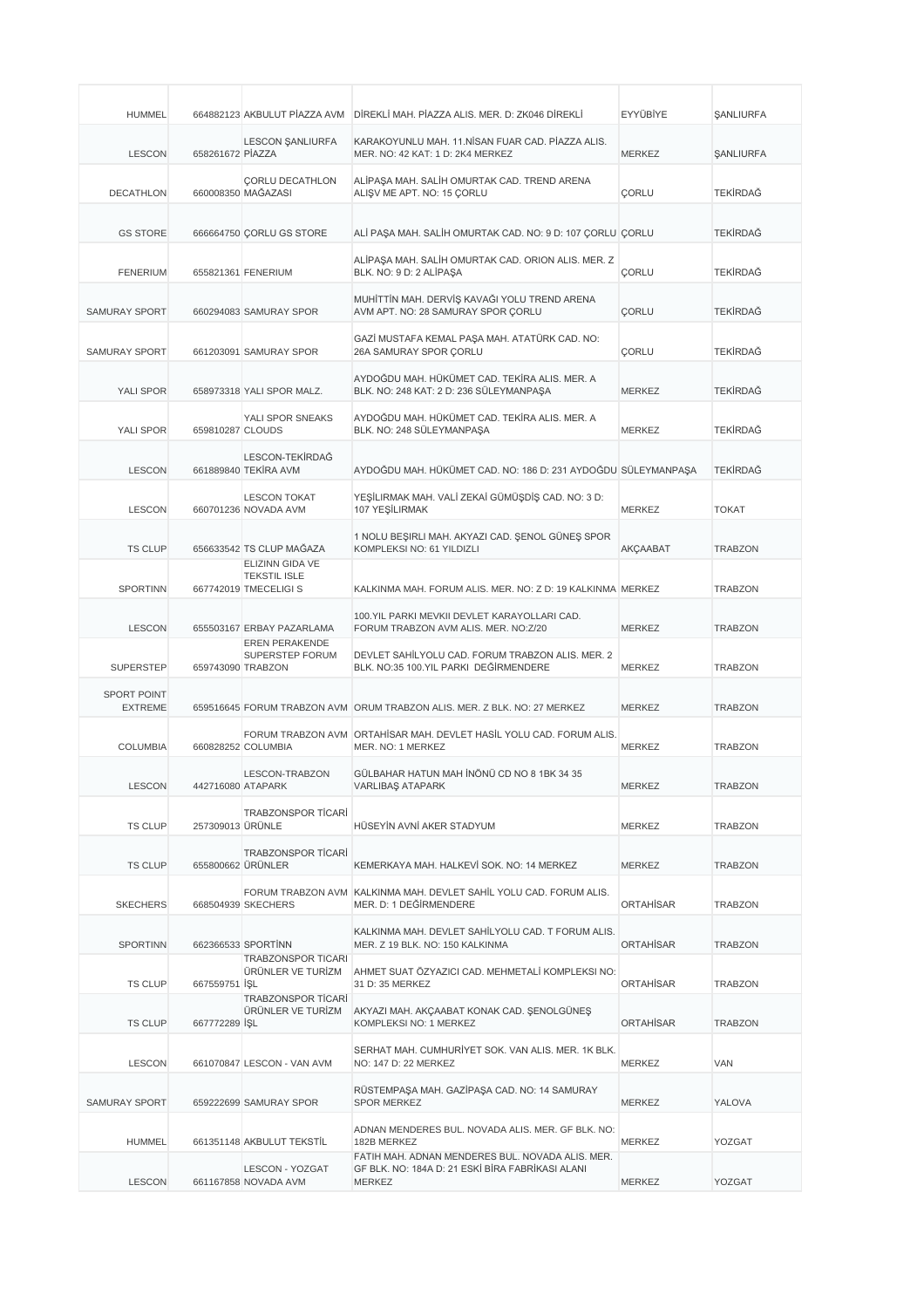| <b>HUMMEL</b>                        |                   |                                                                 | 664882123 AKBULUT PİAZZA AVM DİREKLİ MAH. PİAZZA ALIS. MER. D: ZK046 DİREKLİ                                          | EYYÜBİYE         | <b><i>ŞANLIURFA</i></b> |
|--------------------------------------|-------------------|-----------------------------------------------------------------|-----------------------------------------------------------------------------------------------------------------------|------------------|-------------------------|
| <b>LESCON</b>                        | 658261672 PIAZZA  | <b>LESCON ŞANLIURFA</b>                                         | KARAKOYUNLU MAH. 11. NİSAN FUAR CAD. PİAZZA ALIS.<br>MER. NO: 42 KAT: 1 D: 2K4 MERKEZ                                 | <b>MERKEZ</b>    | <b><i>ŞANLIURFA</i></b> |
| <b>DECATHLON</b>                     |                   | <b>CORLU DECATHLON</b><br>660008350 MAĞAZASI                    | ALİPAŞA MAH. SALİH OMURTAK CAD. TREND ARENA<br>ALIŞV ME APT. NO: 15 ÇORLU                                             | CORLU            | <b>TEKİRDAĞ</b>         |
| <b>GS STORE</b>                      |                   | 666664750 CORLU GS STORE                                        | ALİ PAŞA MAH. SALİH OMURTAK CAD. NO: 9 D: 107 ÇORLU ÇORLU                                                             |                  | <b>TEKİRDAĞ</b>         |
| <b>FENERIUM</b>                      |                   | 655821361 FENERIUM                                              | ALİPAŞA MAH. SALİH OMURTAK CAD. ORION ALIS. MER. Z<br>BLK. NO: 9 D: 2 ALİPAŞA                                         | CORLU            | <b>TEKİRDAĞ</b>         |
| <b>SAMURAY SPORT</b>                 |                   | 660294083 SAMURAY SPOR                                          | MUHİTTİN MAH. DERVİŞ KAVAĞI YOLU TREND ARENA<br>AVM APT. NO: 28 SAMURAY SPOR ÇORLU                                    | <b>ÇORLU</b>     | <b>TEKİRDAĞ</b>         |
| <b>SAMURAY SPORT</b>                 |                   | 661203091 SAMURAY SPOR                                          | GAZİ MUSTAFA KEMAL PAŞA MAH. ATATÜRK CAD. NO:<br>26A SAMURAY SPOR ÇORLU                                               | <b>ÇORLU</b>     | <b>TEKİRDAĞ</b>         |
| YALI SPOR                            |                   | 658973318 YALI SPOR MALZ.                                       | AYDOĞDU MAH. HÜKÜMET CAD. TEKİRA ALIS. MER. A<br>BLK. NO: 248 KAT: 2 D: 236 SÜLEYMANPAŞA                              | <b>MERKEZ</b>    | <b>TEKİRDAĞ</b>         |
| YALI SPOR                            | 659810287 CLOUDS  | YALI SPOR SNEAKS                                                | AYDOĞDU MAH. HÜKÜMET CAD. TEKİRA ALIS. MER. A<br>BLK. NO: 248 SÜLEYMANPAŞA                                            | <b>MERKEZ</b>    | <b>TEKİRDAĞ</b>         |
| <b>LESCON</b>                        |                   | LESCON-TEKİRDAĞ<br>661889840 TEKİRA AVM                         | AYDOĞDU MAH. HÜKÜMET CAD. NO: 186 D: 231 AYDOĞDU SÜLEYMANPAŞA                                                         |                  | <b>TEKİRDAĞ</b>         |
| <b>LESCON</b>                        |                   | <b>LESCON TOKAT</b><br>660701236 NOVADA AVM                     | YEŞİLIRMAK MAH. VALİ ZEKAİ GÜMÜŞDİŞ CAD. NO: 3 D:<br>107 YEŞİLIRMAK                                                   | <b>MERKEZ</b>    | <b>TOKAT</b>            |
| <b>TS CLUP</b>                       |                   | 656633542 TS CLUP MAĞAZA                                        | 1 NOLU BEŞIRLI MAH. AKYAZI CAD. ŞENOL GÜNEŞ SPOR<br>KOMPLEKSI NO: 61 YILDIZLI                                         | <b>AKÇAABAT</b>  | <b>TRABZON</b>          |
| <b>SPORTINN</b>                      |                   | ELIZINN GIDA VE<br><b>TEKSTIL ISLE</b><br>667742019 TMECELIGI S | KALKINMA MAH. FORUM ALIS. MER. NO: Z D: 19 KALKINMA MERKEZ                                                            |                  | <b>TRABZON</b>          |
| <b>LESCON</b>                        |                   | 655503167 ERBAY PAZARLAMA                                       | 100. YIL PARKI MEVKII DEVLET KARAYOLLARI CAD.<br>FORUM TRABZON AVM ALIS. MER. NO:Z/20                                 | <b>MERKEZ</b>    | <b>TRABZON</b>          |
| <b>SUPERSTEP</b>                     | 659743090 TRABZON | <b>EREN PERAKENDE</b><br>SUPERSTEP FORUM                        | DEVLET SAHİLYOLU CAD. FORUM TRABZON ALIS. MER. 2<br>BLK. NO:35 100.YIL PARKI DEĞİRMENDERE                             | <b>MERKEZ</b>    | <b>TRABZON</b>          |
| <b>SPORT POINT</b><br><b>EXTREME</b> |                   |                                                                 | 659516645 FORUM TRABZON AVM ORUM TRABZON ALIS, MER. Z BLK, NO: 27 MERKEZ                                              | <b>MERKEZ</b>    | <b>TRABZON</b>          |
| <b>COLUMBIA</b>                      |                   | 660828252 COLUMBIA                                              | FORUM TRABZON AVM ORTAHISAR MAH. DEVLET HASIL YOLU CAD. FORUM ALIS.<br>MER. NO: 1 MERKEZ                              | MERKEZ           | <b>TRABZON</b>          |
| <b>LESCON</b>                        | 442716080 ATAPARK | LESCON-TRABZON                                                  | GÜLBAHAR HATUN MAH İNÖNÜ CD NO 8 1BK 34 35<br>VARLIBAŞ ATAPARK                                                        | <b>MERKEZ</b>    | <b>TRABZON</b>          |
| <b>TS CLUP</b>                       | 257309013 ÜRÜNLE  | <b>TRABZONSPOR TİCARİ</b>                                       | HÜSEYİN AVNİ AKER STADYUM                                                                                             | <b>MERKEZ</b>    | <b>TRABZON</b>          |
| <b>TS CLUP</b>                       |                   | <b>TRABZONSPOR TİCARİ</b><br>655800662 ÜRÜNLER                  | KEMERKAYA MAH, HALKEVİ SOK, NO: 14 MERKEZ                                                                             | MERKEZ           | <b>TRABZON</b>          |
| <b>SKECHERS</b>                      |                   | 668504939 SKECHERS                                              | FORUM TRABZON AVM KALKINMA MAH. DEVLET SAHİL YOLU CAD. FORUM ALIS.<br>MER. D: 1 DEĞİRMENDERE                          | <b>ORTAHISAR</b> | <b>TRABZON</b>          |
| <b>SPORTINN</b>                      |                   | 662366533 SPORTINN                                              | KALKINMA MAH. DEVLET SAHİLYOLU CAD. T FORUM ALIS.<br>MER. Z 19 BLK. NO: 150 KALKINMA                                  | <b>ORTAHISAR</b> | <b>TRABZON</b>          |
| <b>TS CLUP</b>                       | 667559751 ISL     | <b>TRABZONSPOR TICARI</b><br>ÜRÜNLER VE TURİZM                  | AHMET SUAT ÖZYAZICI CAD. MEHMETALİ KOMPLEKSI NO:<br>31 D: 35 MERKEZ                                                   | <b>ORTAHISAR</b> | <b>TRABZON</b>          |
| <b>TS CLUP</b>                       | 667772289 ISL     | <b>TRABZONSPOR TICARI</b><br>ÜRÜNLER VE TURİZM                  | AKYAZI MAH. AKÇAABAT KONAK CAD. ŞENOLGÜNEŞ<br>KOMPLEKSI NO: 1 MERKEZ                                                  | <b>ORTAHISAR</b> | <b>TRABZON</b>          |
| <b>LESCON</b>                        |                   | 661070847 LESCON - VAN AVM                                      | SERHAT MAH. CUMHURİYET SOK. VAN ALIS. MER. 1K BLK.<br>NO: 147 D: 22 MERKEZ                                            | <b>MERKEZ</b>    | VAN                     |
| SAMURAY SPORT                        |                   | 659222699 SAMURAY SPOR                                          | RÜSTEMPAŞA MAH. GAZİPAŞA CAD. NO: 14 SAMURAY<br><b>SPOR MERKEZ</b>                                                    | MERKEZ           | YALOVA                  |
| <b>HUMMEL</b>                        |                   | 661351148 AKBULUT TEKSTİL                                       | ADNAN MENDERES BUL. NOVADA ALIS. MER. GF BLK. NO:<br>182B MERKEZ                                                      | MERKEZ           | YOZGAT                  |
| <b>LESCON</b>                        |                   | LESCON - YOZGAT<br>661167858 NOVADA AVM                         | FATIH MAH. ADNAN MENDERES BUL. NOVADA ALIS. MER.<br>GF BLK. NO: 184A D: 21 ESKİ BİRA FABRİKASI ALANI<br><b>MERKEZ</b> | MERKEZ           | YOZGAT                  |